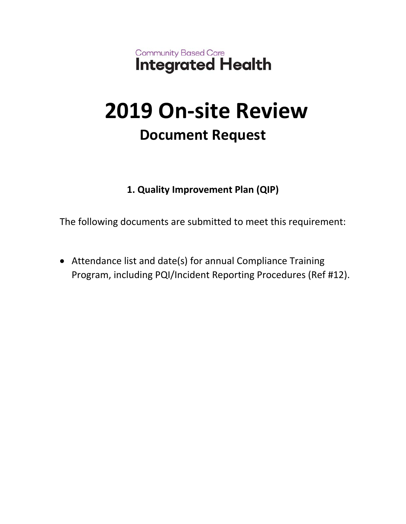Community Based Care<br>Integrated Health

## **2019 On-site Review Document Request**

## **1. Quality Improvement Plan (QIP)**

The following documents are submitted to meet this requirement:

 Attendance list and date(s) for annual Compliance Training Program, including PQI/Incident Reporting Procedures (Ref #12).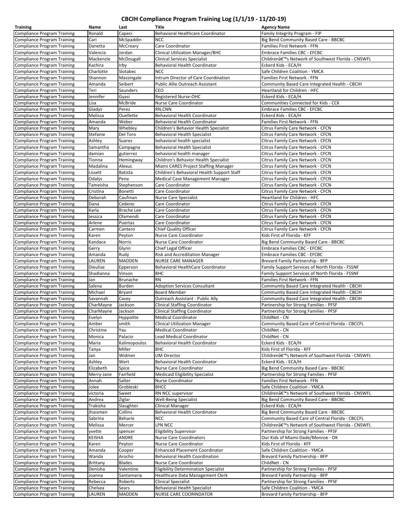## **CBCIH Compliance Program Training Log (1/1/19 ‐ 11/20‐19)**

| <b>Training</b>                                                          | Name             | Last              | <b>Title</b>                                            | <b>Agency Name</b>                                                                      |
|--------------------------------------------------------------------------|------------------|-------------------|---------------------------------------------------------|-----------------------------------------------------------------------------------------|
| <b>Compliance Program Training</b>                                       | Ronald           | Capeci            | Behavioral Healthcare Coordinator                       | Family Integrity Program - FIP                                                          |
| <b>Compliance Program Training</b>                                       | Cari             | McSpaddin         | <b>NCC</b>                                              | Big Bend Community Based Care - BBCBC                                                   |
| <b>Compliance Program Training</b>                                       | Danetta          | McCreary          | Care Coordinator                                        | Families First Network - FFN                                                            |
| <b>Compliance Program Training</b>                                       | Valencia         | Jordan            | Clinical Utilization Manager/BHC                        | <b>Embrace Families CBC - EFCBC</b>                                                     |
| <b>Compliance Program Training</b>                                       | Mackenzie        | McDougall         | <b>Clinical Services Specialist</b>                     | Children's Network of Southwest Florida - CNSWFL                                        |
| <b>Compliance Program Training</b>                                       | Kachira          | Irby              | Behavioral Health Coordinator                           | Eckerd Kids - ECA/H                                                                     |
| <b>Compliance Program Training</b>                                       | Charlotte        | Slotabec          | <b>NCC</b>                                              | Safe Children Coalition - YMCA                                                          |
| <b>Compliance Program Training</b>                                       | Shannon          | Massingale        | Intrum Director of Care Coordination                    | Families First Network - FFN                                                            |
| <b>Compliance Program Training</b>                                       | Amanda           | Seibert           | Public Allie Outreach Assistant                         | Community Based Care Integrated Health - CBCIH                                          |
| Compliance Program Training                                              | Teri             | Saunders          | CEO                                                     | Heartland for Children - HFC                                                            |
| <b>Compliance Program Training</b>                                       | Jennifer         | Gyasi             | Registered Nurse-OHC                                    | Eckerd Kids - ECA/H                                                                     |
| <b>Compliance Program Training</b>                                       | Lisa             | McBride           | Nurse Care Coordinator                                  | Communities Connected for Kids - CCK                                                    |
| <b>Compliance Program Training</b>                                       | Gladys           | Perez             | RN, CNN                                                 | <b>Embrace Families CBC - EFCBC</b>                                                     |
| <b>Compliance Program Training</b>                                       | Melissa          | Ouellette         | Behavioral Health Coordinator                           | Eckerd Kids - ECA/H                                                                     |
| <b>Compliance Program Training</b>                                       | Amanda           | Weber             | Behavioral Health Coordinator                           | Families First Network - FFN                                                            |
| <b>Compliance Program Training</b>                                       | Mary             | Whebley           | Children's Behavior Health Specialist                   | Citrus Family Care Network - CFCN                                                       |
| <b>Compliance Program Training</b>                                       | Stefanie         | Del Toro          | <b>Behavioral Health Specialist</b>                     | Citrus Family Care Network - CFCN                                                       |
| <b>Compliance Program Training</b>                                       | Ashley           | Suarez            | behavioral health specialist                            | Citrus Family Care Network - CFCN                                                       |
| <b>Compliance Program Training</b>                                       | Samantha         | Campagna          | <b>Behavioral Health Specialist</b>                     | Citrus Family Care Network - CFCN                                                       |
| <b>Compliance Program Training</b>                                       | damian           | gutierrez         | behavioral health manager                               | Citrus Family Care Network - CFCN                                                       |
| <b>Compliance Program Training</b>                                       | Tionna           | Hemingway         | Children's Behavior Health Specialist                   | Citrus Family Care Network - CFCN                                                       |
| <b>Compliance Program Training</b>                                       | Madalina         | Alexuc            | Miami CARES Project Staffing Manager                    | Citrus Family Care Network - CFCN                                                       |
| <b>Compliance Program Training</b>                                       | Lissett          | Batista           | Children's Behavioral Health Support Staff              | Citrus Family Care Network - CFCN                                                       |
| <b>Compliance Program Training</b>                                       | Odalys           | Pena              | Medical Case Management Manager                         | Citrus Family Care Network - CFCN                                                       |
| <b>Compliance Program Training</b>                                       | Tameisha         | Stephenson        | Care Coordinator                                        | Citrus Family Care Network - CFCN                                                       |
| <b>Compliance Program Training</b>                                       | Cristina         | <b>Bonetti</b>    | Care Coordinator                                        | Citrus Family Care Network - CFCN                                                       |
| <b>Compliance Program Training</b>                                       | Deborah          | Caufman           | Nurse Care Specialist                                   | Heartland for Children - HFC                                                            |
| <b>Compliance Program Training</b>                                       | Dana             | Cedeno            | Care Coordinator                                        | Citrus Family Care Network - CFCN                                                       |
| <b>Compliance Program Training</b>                                       | Karla            | <b>Brache Lee</b> | Care Coordinator                                        | Citrus Family Care Network - CFCN                                                       |
| <b>Compliance Program Training</b>                                       | Jessica          | Olamendi          | Care Coordinator                                        | Citrus Family Care Network - CFCN                                                       |
| <b>Compliance Program Training</b>                                       | Arlene           | Puertas           | Care Coordinator                                        | Citrus Family Care Network - CFCN                                                       |
| <b>Compliance Program Training</b>                                       | Carmen           | Cantero           | Chief Quality Officer                                   | Citrus Family Care Network - CFCN                                                       |
| <b>Compliance Program Training</b>                                       | Karen            | Peyton            | Nurse Care Coordinator                                  | Kids First of Florida - KFF                                                             |
| <b>Compliance Program Training</b>                                       | Kandace          | Norris            | Nurse Care Coordinator                                  | Big Bend Community Based Care - BBCBC                                                   |
| <b>Compliance Program Training</b>                                       | Gerry            | Glynn             | Chief Legal Officer                                     | <b>Embrace Families CBC - EFCBC</b>                                                     |
| Compliance Program Training                                              | Amanda           | Rudy              | Risk and Accreditation Manager                          | Embrace Families CBC - EFCBC                                                            |
| <b>Compliance Program Training</b>                                       | LAUREN           | MADDEN            | <b>NURSE CARE MANAGER</b>                               | Brevard Family Partnership - BFP                                                        |
| <b>Compliance Program Training</b>                                       | <b>Dieulise</b>  | Epperson          | Behavioral HealthCare Coordinator                       | Family Support Services of North Florida - FSSNF                                        |
|                                                                          |                  |                   | <b>BHC</b>                                              |                                                                                         |
| <b>Compliance Program Training</b><br><b>Compliance Program Training</b> | Shadianna<br>Jan | Vinson            | <b>RN</b>                                               | Family Support Services of North Florida - FSSNF<br><b>Families First Network - FFN</b> |
|                                                                          |                  | Brunache          |                                                         |                                                                                         |
| <b>Compliance Program Training</b>                                       | Salena           | <b>Burden</b>     | <b>Adoption Services Consultant</b>                     | Community Based Care Integrated Health - CBCIH                                          |
| <b>Compliance Program Training</b>                                       | Michael          | <b>Bryant</b>     | <b>Board Member</b><br>Outreach Assistant - Public Ally | Community Based Care Integrated Health - CBCIH                                          |
| <b>Compliance Program Training</b>                                       | Savannah         | Casey             |                                                         | Community Based Care Integrated Health - CBCIH                                          |
| <b>Compliance Program Training</b>                                       | CharMayne        | Jackson           | <b>Clinical Staffing Coordinator</b>                    | Partnership for Strong Families - PFSF                                                  |
| <b>Compliance Program Training</b>                                       | CharMayne        | Jackson           | <b>Clinical Staffing Coordinator</b>                    | Partnership for Strong Families - PFSF                                                  |
| <b>Compliance Program Training</b>                                       | Evelyn           | Hyppolite         | <b>Medical Coordinator</b>                              | ChildNet - CN                                                                           |
| <b>Compliance Program Training</b>                                       | Amber            | smith             | <b>Clinical Utilization Manager</b>                     | Community Based Care of Central Florida - CBCCFL                                        |
| <b>Compliance Program Training</b>                                       | Christine        | Yau               | <b>Medical Coordinator</b>                              | ChildNet - CN                                                                           |
| <b>Compliance Program Training</b>                                       | Monica           | Palacio           | Lead Medical Coordinator                                | ChildNet - CN                                                                           |
| <b>Compliance Program Training</b>                                       | Maria            | Kalimopoulos      | Behavioral Health Coordinator                           | Eckerd Kids - ECA/H                                                                     |
| <b>Compliance Program Training</b>                                       | Tanya            | Miller            | <b>BHC</b>                                              | Kids First of Florida - KFF                                                             |
| <b>Compliance Program Training</b>                                       | Jan              | Widmer            | <b>UM Director</b>                                      | Children's Network of Southwest Florida - CNSWFL                                        |
| <b>Compliance Program Training</b>                                       | Ashley           | Wert              | Behavioral Health Coordinator                           | Eckerd Kids - ECA/H                                                                     |
| <b>Compliance Program Training</b>                                       | Elizabeth        | Spice             | Nurse Care Coordinator                                  | Big Bend Community Based Care - BBCBC                                                   |
| <b>Compliance Program Training</b>                                       | Merry-Jane       | Fairfield         | <b>Medicaid Eligibility Specialist</b>                  | Partnership for Strong Families - PFSF                                                  |
| <b>Compliance Program Training</b>                                       | Annah            | Salter            | Nurse Coordinator                                       | Families First Network - FFN                                                            |
| <b>Compliance Program Training</b>                                       | Jolee            | Grobleski         | <b>BHCC</b>                                             | Safe Children Coalition - YMCA                                                          |
| <b>Compliance Program Training</b>                                       | victoria         | Sweet             | RN NCC supervisor                                       | Children's Network of Southwest Florida - CNSWFL                                        |
| <b>Compliance Program Training</b>                                       | Andrea           | Ziglar            | <b>Well-Being Specialist</b>                            | Big Bend Community Based Care - BBCBC                                                   |
| <b>Compliance Program Training</b>                                       | Trakisha         | Slaughter         | Clinical Manager                                        | Eckerd Kids - ECA/H                                                                     |
| Compliance Program Training                                              | Jhaismen         | Collins           | Behavioral Health Coordinator                           | Big Bend Community Based Care - BBCBC                                                   |
| <b>Compliance Program Training</b>                                       | Sabrina          | Beharie           | <b>NCC</b>                                              | Community Based Care of Central Florida - CBCCFL                                        |
| <b>Compliance Program Training</b>                                       | Melissa          | Mercer            | LPN NCC                                                 | Children's Network of Southwest Florida - CNSWFL                                        |
| <b>Compliance Program Training</b>                                       | yvette           | spencer           | <b>Eligibility Supervisor</b>                           | Partnership for Strong Families - PFSF                                                  |
| <b>Compliance Program Training</b>                                       | <b>KEISHA</b>    | ANDRE             | Nurse Care Coordinators                                 | Our Kids of Miami-Dade/Monroe - OK                                                      |
| Compliance Program Training                                              | Karen            | Peyton            | Nurse Care Coordinator                                  | Kids First of Florida - KFF                                                             |
| <b>Compliance Program Training</b>                                       | Amanda           | Cooper            | <b>Enhanced Placement Coordinator</b>                   | Safe Children Coalition - YMCA                                                          |
| <b>Compliance Program Training</b>                                       | Wanda            | Arocho            | Behavioral Health Coordination                          | Brevard Family Partnership - BFP                                                        |
| <b>Compliance Program Training</b>                                       | <b>Brittany</b>  | <b>Blades</b>     | Nurse Care Coordinator                                  | ChildNet - CN                                                                           |
| <b>Compliance Program Training</b>                                       | Denisha          | Valentine         | <b>Eligibility Determination Specialist</b>             | Partnership for Strong Families - PFSF                                                  |
| <b>Compliance Program Training</b>                                       | Joanna           | Santamaria        | Healthcare Data Management Clerk                        | Brevard Family Partnership - BFP                                                        |
| <b>Compliance Program Training</b>                                       | Rebecca          | Roberts           | <b>Clinical Specialist</b>                              | Partnership for Strong Families - PFSF                                                  |
| <b>Compliance Program Training</b>                                       | Chelsea          | Sears             | <b>Behavioral Health Specialist</b>                     | Safe Children Coalition - YMCA                                                          |
| <b>Compliance Program Training</b>                                       | LAUREN           | MADDEN            | NURSE CARE COORINDATOR                                  | Brevard Family Partnership - BFP                                                        |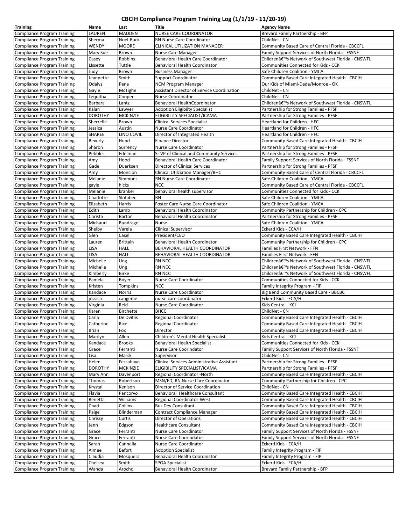## **CBCIH Compliance Program Training Log (1/1/19 ‐ 11/20‐19)**

| <b>Training</b>                                                          | Name           | Last            | Title                                             | <b>Agency Name</b>                               |
|--------------------------------------------------------------------------|----------------|-----------------|---------------------------------------------------|--------------------------------------------------|
| <b>Compliance Program Training</b>                                       | LAUREN         | <b>MADDEN</b>   | <b>NURSE CARE COORDINATOR</b>                     | Brevard Family Partnership - BFP                 |
| <b>Compliance Program Training</b>                                       | Sherma         | Noel-Buck       | RN Nurse Care Coordinator                         | ChildNet - CN                                    |
| <b>Compliance Program Training</b>                                       | WENDY          | <b>MOORE</b>    | CLINICAL UTILIZATION MANAGER                      | Community Based Care of Central Florida - CBCCFL |
| <b>Compliance Program Training</b>                                       | Mary Sue       | Brown           | Nurse Care Manager                                | Family Support Services of North Florida - FSSNF |
| <b>Compliance Program Training</b>                                       | Casey          | Robbins         | Behavioral Health Care Coordinator                | Children's Network of Southwest Florida - CNSWFL |
| <b>Compliance Program Training</b>                                       | Lissette       | Tuttle          | Behavioral Health Coordinator                     | Communities Connected for Kids - CCK             |
| <b>Compliance Program Training</b>                                       | Judy           | Brown           | <b>Business Manager</b>                           | Safe Children Coalition - YMCA                   |
| <b>Compliance Program Training</b>                                       | Jeannette      | Smith           | <b>Support Coordinator</b>                        | Community Based Care Integrated Health - CBCIH   |
| <b>Compliance Program Training</b>                                       | Odalys         | Pena            | <b>NCM Program Manager</b>                        | Our Kids of Miami-Dade/Monroe - OK               |
|                                                                          | Gayle          | McTighe         | <b>Assistant Director of Service Coordination</b> | ChildNet - CN                                    |
| <b>Compliance Program Training</b><br><b>Compliance Program Training</b> | Lequitha       | Cooper          | Nurse Coordinator                                 | ChildNet - CN                                    |
|                                                                          | <b>Barbara</b> |                 | Behavioral HealthCoordinator                      |                                                  |
| <b>Compliance Program Training</b>                                       |                | Lantz           |                                                   | Children's Network of Southwest Florida - CNSWFL |
| <b>Compliance Program Training</b>                                       | Kalan          | Lawyer          | <b>Adoption Eligibilty Specialist</b>             | Partnership for Strong Families - PFSF           |
| <b>Compliance Program Training</b>                                       | <b>DOROTHY</b> | <b>MCKINZIE</b> | ELIGIBILITY SPECIALIST/ICAMA                      | Partnership for Strong Families - PFSF           |
| <b>Compliance Program Training</b>                                       | Sherrelle      | Brown           | <b>Clinical Services Specialist</b>               | Heartland for Children - HFC                     |
| <b>Compliance Program Training</b>                                       | Jessica        | Austin          | Nurse Care Coordinator                            | Heartland for Children - HFC                     |
| <b>Compliance Program Training</b>                                       | <b>SHAREE</b>  | LINO COVIL      | Director of Integrated Health                     | Heartland for Children - HFC                     |
| <b>Compliance Program Training</b>                                       | <b>Beverly</b> | Hund            | <b>Finance Director</b>                           | Community Based Care Integrated Health - CBCIH   |
| <b>Compliance Program Training</b>                                       | Sharon         | Surrency        | Nurse Care Coordinator                            | Partnership for Strong Families - PFSF           |
| <b>Compliance Program Training</b>                                       | Pebbles        | Edelman         | Sr VP of Clinical and Community Services          | Partnership for Strong Families - PFSF           |
| <b>Compliance Program Training</b>                                       | Amy            | Hood            | Behavioral Health Care Coordinator                | Family Support Services of North Florida - FSSNF |
| <b>Compliance Program Training</b>                                       | Gade           | Duerksen        | <b>Director of Clinical Services</b>              | Partnership for Strong Families - PFSF           |
| <b>Compliance Program Training</b>                                       | Amy            | Moncion         | <b>Clinical Utilziation Manager/BHC</b>           | Community Based Care of Central Florida - CBCCFL |
| <b>Compliance Program Training</b>                                       | Melanie        | Simmons         | RN Nurse Care Coordinator                         | Safe Children Coalition - YMCA                   |
| <b>Compliance Program Training</b>                                       | gayle          | hicks           | <b>NCC</b>                                        | Community Based Care of Central Florida - CBCCFL |
| <b>Compliance Program Training</b>                                       | Melanie        | kranker         | behavioral health supervisor                      | Communities Connected for Kids - CCK             |
| <b>Compliance Program Training</b>                                       | Charlotte      | Slotabec        | <b>RN</b>                                         | Safe Children Coalition - YMCA                   |
| <b>Compliance Program Training</b>                                       | Elizabeth      | Harris          | Foster Care Nurse Care Coordinator                | Safe Children Coalition - YMCA                   |
| <b>Compliance Program Training</b>                                       | Edith          | Lamb            | Behavioral Health Coordinator                     | Community Partnership for Children - CPC         |
| <b>Compliance Program Training</b>                                       | Christa        | Barton          | Behavioral Health Coordinator                     | Partnership for Strong Families - PFSF           |
| <b>Compliance Program Training</b>                                       | Michauri       | Bundrage        | Nurse                                             | Safe Children Coalition - YMCA                   |
| <b>Compliance Program Training</b>                                       | Shelby         | Varela          | <b>Clinical Supervisor</b>                        | Eckerd Kids - ECA/H                              |
| <b>Compliance Program Training</b>                                       | Glen           | Casel           | President/CEO                                     | Community Based Care Integrated Health - CBCIH   |
| <b>Compliance Program Training</b>                                       | Lauren         | <b>Brittain</b> | Behavioral Health Coordinator                     | Community Partnership for Children - CPC         |
| <b>Compliance Program Training</b>                                       | <b>LISA</b>    | <b>HALL</b>     | BEHAVIORAL HEALTH COORDINATOR                     | Families First Network - FFN                     |
| <b>Compliance Program Training</b>                                       | <b>LISA</b>    | <b>HALL</b>     | BEHAVIORAL HEALTH COORDINATOR                     | Families First Network - FFN                     |
| <b>Compliance Program Training</b>                                       | Michelle       | Ung             | <b>RN NCC</b>                                     | Children's Network of Southwest Florida - CNSWFL |
| <b>Compliance Program Training</b>                                       | Michelle       | Ung             | <b>RN NCC</b>                                     | Children's Network of Southwest Florida - CNSWFL |
| <b>Compliance Program Training</b>                                       | Kimberly       | <b>Birke</b>    | <b>RN NCC</b>                                     | Children's Network of Southwest Florida - CNSWFL |
| <b>Compliance Program Training</b>                                       | Pamela         | Boyer           | Nurse Care Coordinator                            | Communities Connected for Kids - CCK             |
| <b>Compliance Program Training</b>                                       | Kristen        | Tompkins        | <b>NCC</b>                                        | Family Integrity Program - FIP                   |
| <b>Compliance Program Training</b>                                       | Kandace        | Norris          | Nurse Care Coordinator                            | Big Bend Community Based Care - BBCBC            |
| <b>Compliance Program Training</b>                                       | jessica        | cangeme         | nurse care coordinator                            | Eckerd Kids - ECA/H                              |
| <b>Compliance Program Training</b>                                       | Virginia       | Reid            | Nurse Care Coordinator                            | Kids Central - KCI                               |
| <b>Compliance Program Training</b>                                       | Karen          | Birchette       | <b>BHCC</b>                                       | ChildNet - CN                                    |
| <b>Compliance Program Training</b>                                       | Carla          | De Dvitiis      | Regional Coordinator                              | Community Based Care Integrated Health - CBCIH   |
| <b>Compliance Program Training</b>                                       | Catherine      | Rice            | Regional Coordinator                              | Community Based Care Integrated Health - CBCIH   |
| <b>Compliance Program Training</b>                                       | <b>Brian</b>   | Fox             | Director                                          | Community Based Care Integrated Health - CBCIH   |
| <b>Compliance Program Training</b>                                       | Marilyn        | Allen           | Children's Mental Health Specialist               | Kids Central - KCI                               |
| <b>Compliance Program Training</b>                                       | Kandace        | <b>Brooks</b>   | <b>Behavioral Health Specialist</b>               | Communities Connected for Kids - CCK             |
| <b>Compliance Program Training</b>                                       | Grace          | Ferranti        | Nurse Care Coorindator                            | Family Support Services of North Florida - FSSNF |
| <b>Compliance Program Training</b>                                       | Lisa           | Marsk           | Supervisor                                        | ChildNet - CN                                    |
| <b>Compliance Program Training</b>                                       | Helen          | Fessahaye       | Clinical Services Administrative Assistant        | Partnership for Strong Families - PFSF           |
| <b>Compliance Program Training</b>                                       | <b>DOROTHY</b> | <b>MCKINZIE</b> | ELIGIBILITY SPECIALIST/ICAMA                      | Partnership for Strong Families - PFSF           |
| <b>Compliance Program Training</b>                                       | Mary Ann       | Davenport       | Regional Coordinator -North                       | Community Based Care Integrated Health - CBCIH   |
| <b>Compliance Program Training</b>                                       | Thomas         | Robertson       | MSN/ED, RN Nurse Care Coordinator                 | Community Partnership for Children - CPC         |
| <b>Compliance Program Training</b>                                       | Krystal        | Kenison         | Director of Service Coordination                  | ChildNet - CN                                    |
| <b>Compliance Program Training</b>                                       | Flavia         | Pancorvo        | Behavioral Healthcare Consultant                  | Community Based Care Integrated Health - CBCIH   |
| <b>Compliance Program Training</b>                                       | Renetta        | Williams        | Regional Coordinator-West                         | Community Based Care Integrated Health - CBCIH   |
| <b>Compliance Program Training</b>                                       | Chad           | Collins         | <b>Bus Dev Consultant</b>                         | Community Based Care Integrated Health - CBCIH   |
| <b>Compliance Program Training</b>                                       | Paige          | Blinderman      | <b>Contract Compliance Manager</b>                | Community Based Care Integrated Health - CBCIH   |
| <b>Compliance Program Training</b>                                       | Chrissy        |                 | Director of Operations                            |                                                  |
| <b>Compliance Program Training</b>                                       |                | Curtis          |                                                   | Community Based Care Integrated Health - CBCIH   |
|                                                                          | Jenn           | Edgson          | <b>Healthcare Consultant</b>                      | Community Based Care Integrated Health - CBCIH   |
| <b>Compliance Program Training</b>                                       | Grace          | Ferranti        | Nurse Care Coordinator                            | Family Support Services of North Florida - FSSNF |
| <b>Compliance Program Training</b>                                       | Grace          | Ferranti        | Nurse Care Coorindator                            | Family Support Services of North Florida - FSSNF |
| <b>Compliance Program Training</b>                                       | Sarah          | Cannella        | Nurse Care Coordinator                            | Eckerd Kids - ECA/H                              |
| <b>Compliance Program Training</b>                                       | Aimee          | Befort          | <b>Adoption Specialist</b>                        | Family Integrity Program - FIP                   |
| <b>Compliance Program Training</b>                                       | Claudia        | Mosquera        | Behavioral Health Coordinator                     | Family Integrity Program - FIP                   |
| <b>Compliance Program Training</b>                                       | Chelsea        | Smith           | <b>SPOA Specialist</b>                            | Eckerd Kids - ECA/H                              |
| <b>Compliance Program Training</b>                                       | Wanda          | Arocho          | Behavioral Health Coordinator                     | Brevard Family Partnership - BFP                 |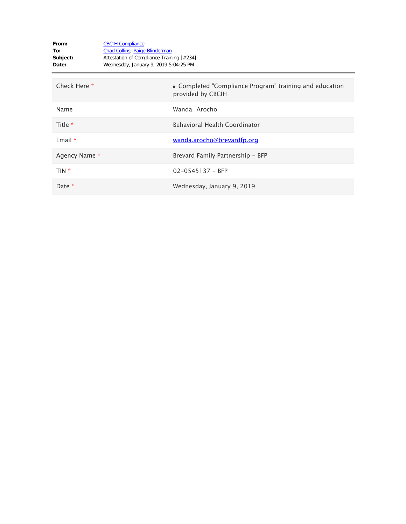| From:<br>To:<br>Subject:<br>Date: | <b>CBCIH Compliance</b><br><b>Chad Collins</b> ; Paige Blinderman<br>Attestation of Compliance Training [#234]<br>Wednesday, January 9, 2019 5:04:25 PM |                                                                              |
|-----------------------------------|---------------------------------------------------------------------------------------------------------------------------------------------------------|------------------------------------------------------------------------------|
| Check Here *                      |                                                                                                                                                         | • Completed "Compliance Program" training and education<br>provided by CBCIH |
| Name                              |                                                                                                                                                         | Wanda Arocho                                                                 |
| Title *                           |                                                                                                                                                         | <b>Behavioral Health Coordinator</b>                                         |
| Email $*$                         |                                                                                                                                                         | wanda.arocho@brevardfp.org                                                   |
| Agency Name *                     |                                                                                                                                                         | Brevard Family Partnership - BFP                                             |
| $TIN *$                           |                                                                                                                                                         | $02 - 0545137 - BFP$                                                         |
| Date $*$                          |                                                                                                                                                         | Wednesday, January 9, 2019                                                   |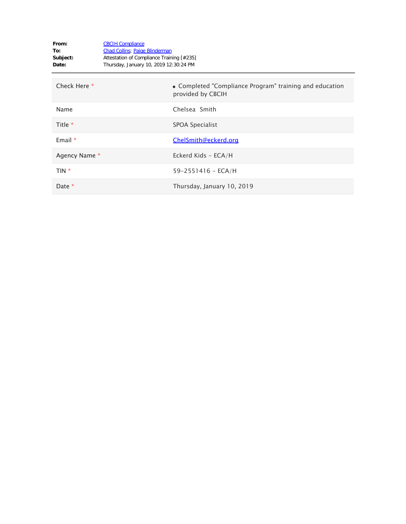| From:<br>To:<br>Subject:<br>Date: | <b>CBCIH Compliance</b><br><b>Chad Collins</b> ; Paige Blinderman<br>Attestation of Compliance Training [#235]<br>Thursday, January 10, 2019 12:30:24 PM |                                                                              |
|-----------------------------------|----------------------------------------------------------------------------------------------------------------------------------------------------------|------------------------------------------------------------------------------|
| Check Here *                      |                                                                                                                                                          | • Completed "Compliance Program" training and education<br>provided by CBCIH |
| Name                              |                                                                                                                                                          | Chelsea Smith                                                                |
| Title *                           |                                                                                                                                                          | SPOA Specialist                                                              |
| Email $*$                         |                                                                                                                                                          | ChelSmith@eckerd.org                                                         |
| Agency Name *                     |                                                                                                                                                          | Eckerd Kids - ECA/H                                                          |
| TIN *                             |                                                                                                                                                          | $59 - 2551416 - ECA/H$                                                       |
| Date *                            |                                                                                                                                                          | Thursday, January 10, 2019                                                   |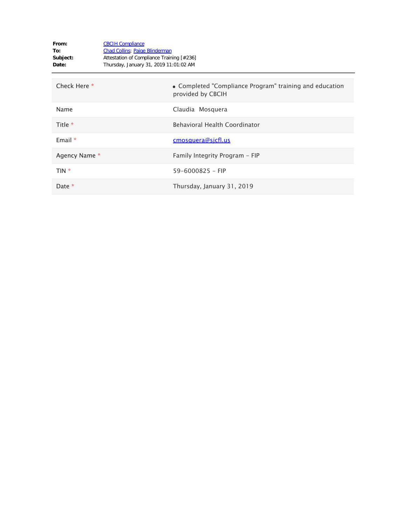| From:<br>To:<br>Subject:<br>Date: | <b>CBCIH Compliance</b><br><b>Chad Collins</b> ; Paige Blinderman<br>Attestation of Compliance Training [#236]<br>Thursday, January 31, 2019 11:01:02 AM |                                                                              |
|-----------------------------------|----------------------------------------------------------------------------------------------------------------------------------------------------------|------------------------------------------------------------------------------|
| Check Here *                      |                                                                                                                                                          | • Completed "Compliance Program" training and education<br>provided by CBCIH |
| Name                              |                                                                                                                                                          | Claudia Mosquera                                                             |
| Title $*$                         |                                                                                                                                                          | <b>Behavioral Health Coordinator</b>                                         |
| Email $*$                         |                                                                                                                                                          | <u>cmosquera@sicfl.us</u>                                                    |
| Agency Name *                     |                                                                                                                                                          | Family Integrity Program - FIP                                               |
| TIN *                             |                                                                                                                                                          | $59 - 6000825 - FIP$                                                         |
| Date *                            |                                                                                                                                                          | Thursday, January 31, 2019                                                   |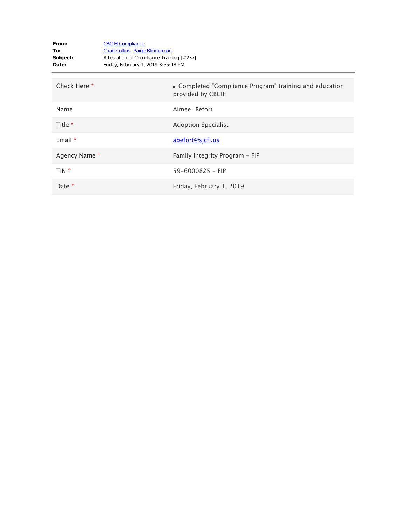| From:<br>To:<br>Subject:<br>Date: | <b>CBCIH Compliance</b><br>Chad Collins; Paige Blinderman<br>Attestation of Compliance Training [#237]<br>Friday, February 1, 2019 3:55:18 PM |                                                                              |
|-----------------------------------|-----------------------------------------------------------------------------------------------------------------------------------------------|------------------------------------------------------------------------------|
| Check Here *                      |                                                                                                                                               | • Completed "Compliance Program" training and education<br>provided by CBCIH |
| Name                              |                                                                                                                                               | Aimee Befort                                                                 |
| Title *                           |                                                                                                                                               | <b>Adoption Specialist</b>                                                   |
| Email $*$                         |                                                                                                                                               | abefort@sicfl.us                                                             |
| Agency Name *                     |                                                                                                                                               | Family Integrity Program - FIP                                               |
| $TIN *$                           |                                                                                                                                               | $59 - 6000825 - FIP$                                                         |
| Date *                            |                                                                                                                                               | Friday, February 1, 2019                                                     |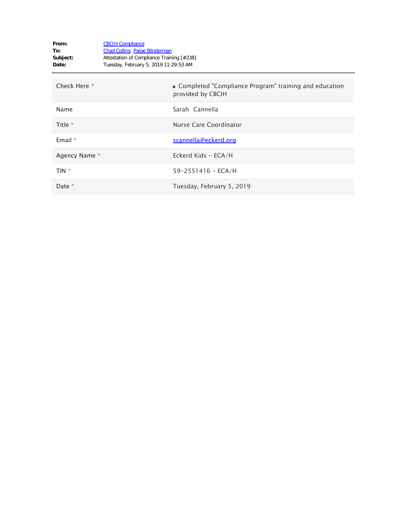| From:<br>To:<br>Subject:<br>Date: | <b>CBCIH Compliance</b><br><b>Chad Collins</b> ; Paige Blinderman<br>Attestation of Compliance Training [#238]<br>Tuesday, February 5, 2019 11:29:53 AM |                                                                              |
|-----------------------------------|---------------------------------------------------------------------------------------------------------------------------------------------------------|------------------------------------------------------------------------------|
| Check Here *                      |                                                                                                                                                         | • Completed "Compliance Program" training and education<br>provided by CBCIH |
| Name                              |                                                                                                                                                         | Sarah Cannella                                                               |
| Title *                           |                                                                                                                                                         | Nurse Care Coordinator                                                       |
| Email $*$                         |                                                                                                                                                         | scannella@eckerd.org                                                         |
| Agency Name *                     |                                                                                                                                                         | Eckerd Kids - ECA/H                                                          |
| TIN *                             |                                                                                                                                                         | $59 - 2551416 - ECA/H$                                                       |
| Date *                            |                                                                                                                                                         | Tuesday, February 5, 2019                                                    |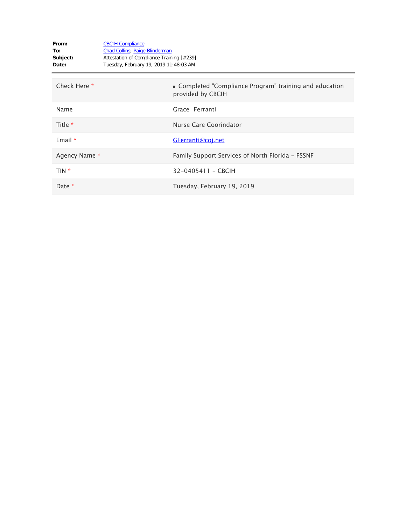| From:<br>To:<br>Subject:<br>Date: | <b>CBCIH Compliance</b><br><b>Chad Collins</b> ; Paige Blinderman<br>Attestation of Compliance Training [#239]<br>Tuesday, February 19, 2019 11:48:03 AM |                                                                              |
|-----------------------------------|----------------------------------------------------------------------------------------------------------------------------------------------------------|------------------------------------------------------------------------------|
| Check Here *                      |                                                                                                                                                          | • Completed "Compliance Program" training and education<br>provided by CBCIH |
| Name                              |                                                                                                                                                          | Grace Ferranti                                                               |
| Title *                           |                                                                                                                                                          | Nurse Care Coorindator                                                       |
| Email $*$                         |                                                                                                                                                          | GFerranti@coj.net                                                            |
| Agency Name *                     |                                                                                                                                                          | Family Support Services of North Florida - FSSNF                             |
| TIN *                             |                                                                                                                                                          | 32-0405411 - CBCIH                                                           |
| Date *                            |                                                                                                                                                          | Tuesday, February 19, 2019                                                   |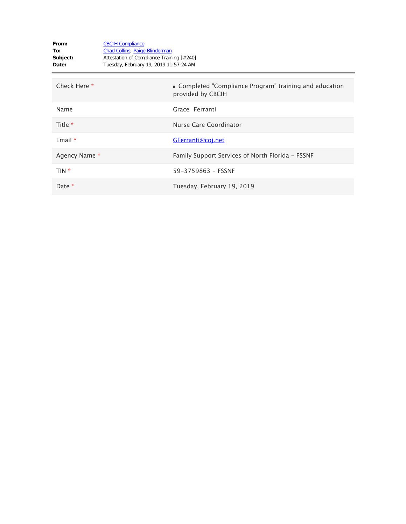| From:<br>To:<br>Subject:<br>Date: | <b>CBCIH Compliance</b><br><b>Chad Collins</b> ; Paige Blinderman<br>Attestation of Compliance Training [#240]<br>Tuesday, February 19, 2019 11:57:24 AM |                                                                              |
|-----------------------------------|----------------------------------------------------------------------------------------------------------------------------------------------------------|------------------------------------------------------------------------------|
| Check Here *                      |                                                                                                                                                          | • Completed "Compliance Program" training and education<br>provided by CBCIH |
| Name                              |                                                                                                                                                          | Grace Ferranti                                                               |
| Title *                           |                                                                                                                                                          | Nurse Care Coordinator                                                       |
| Email $*$                         |                                                                                                                                                          | GFerranti@coj.net                                                            |
| Agency Name *                     |                                                                                                                                                          | Family Support Services of North Florida - FSSNF                             |
| TIN *                             |                                                                                                                                                          | 59-3759863 - FSSNF                                                           |
| Date *                            |                                                                                                                                                          | Tuesday, February 19, 2019                                                   |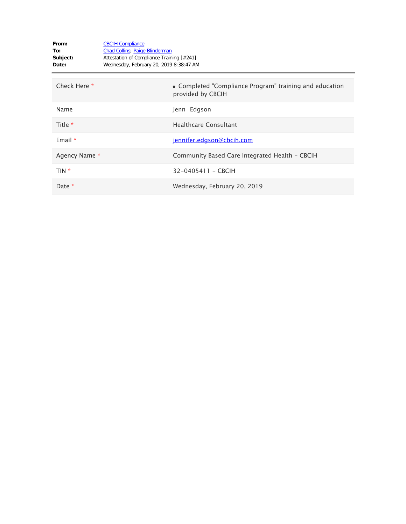| From:<br>To:<br>Subject:<br>Date: | <b>CBCIH Compliance</b><br><b>Chad Collins</b> ; Paige Blinderman<br>Attestation of Compliance Training [#241]<br>Wednesday, February 20, 2019 8:38:47 AM |  |
|-----------------------------------|-----------------------------------------------------------------------------------------------------------------------------------------------------------|--|
| Check Here *                      | • Completed "Compliance Program" training and education<br>provided by CBCIH                                                                              |  |
| Name                              | Jenn Edgson                                                                                                                                               |  |
| Title *                           | <b>Healthcare Consultant</b>                                                                                                                              |  |
| Email $*$                         | jennifer.edgson@cbcih.com                                                                                                                                 |  |
| Agency Name *                     | Community Based Care Integrated Health - CBCIH                                                                                                            |  |
| TIN *                             | 32-0405411 - CBCIH                                                                                                                                        |  |
| Date *                            | Wednesday, February 20, 2019                                                                                                                              |  |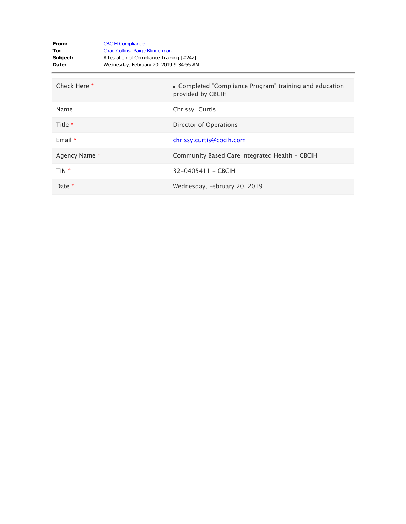| From:<br>To:<br>Subject:<br>Date: | <b>CBCIH Compliance</b><br><b>Chad Collins</b> ; Paige Blinderman<br>Attestation of Compliance Training [#242]<br>Wednesday, February 20, 2019 9:34:55 AM |                                                                              |
|-----------------------------------|-----------------------------------------------------------------------------------------------------------------------------------------------------------|------------------------------------------------------------------------------|
| Check Here *                      |                                                                                                                                                           | • Completed "Compliance Program" training and education<br>provided by CBCIH |
| Name                              |                                                                                                                                                           | Chrissy Curtis                                                               |
| Title *                           |                                                                                                                                                           | Director of Operations                                                       |
| Email $*$                         |                                                                                                                                                           | chrissy.curtis@cbcih.com                                                     |
| Agency Name *                     |                                                                                                                                                           | Community Based Care Integrated Health - CBCIH                               |
| TIN *                             |                                                                                                                                                           | 32-0405411 - CBCIH                                                           |
| Date *                            |                                                                                                                                                           | Wednesday, February 20, 2019                                                 |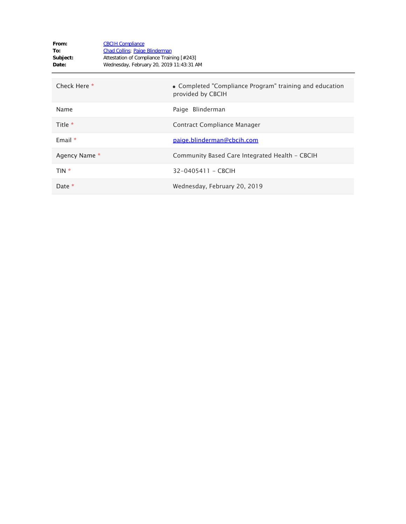| From:<br>To:<br>Subject:<br>Date: | <b>CBCIH Compliance</b><br><b>Chad Collins</b> ; Paige Blinderman<br>Attestation of Compliance Training [#243]<br>Wednesday, February 20, 2019 11:43:31 AM |                                                                              |
|-----------------------------------|------------------------------------------------------------------------------------------------------------------------------------------------------------|------------------------------------------------------------------------------|
| Check Here *                      |                                                                                                                                                            | • Completed "Compliance Program" training and education<br>provided by CBCIH |
| Name                              |                                                                                                                                                            | Paige Blinderman                                                             |
| Title $*$                         |                                                                                                                                                            | Contract Compliance Manager                                                  |
| Email $*$                         |                                                                                                                                                            | paige.blinderman@cbcih.com                                                   |
| Agency Name *                     |                                                                                                                                                            | Community Based Care Integrated Health - CBCIH                               |
| TIN *                             |                                                                                                                                                            | 32-0405411 - CBCIH                                                           |
| Date *                            |                                                                                                                                                            | Wednesday, February 20, 2019                                                 |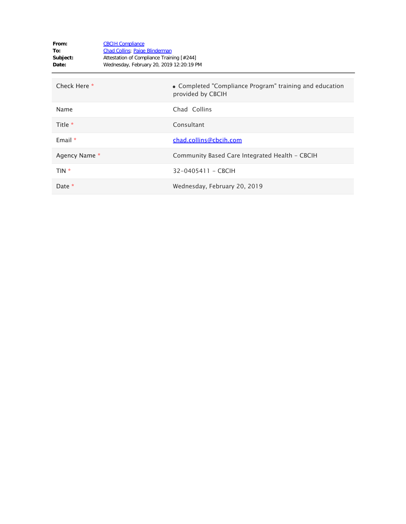| From:<br>To:<br>Subject:<br>Date: | <b>CBCIH Compliance</b><br><b>Chad Collins</b> ; Paige Blinderman<br>Attestation of Compliance Training [#244]<br>Wednesday, February 20, 2019 12:20:19 PM |                                                                              |
|-----------------------------------|------------------------------------------------------------------------------------------------------------------------------------------------------------|------------------------------------------------------------------------------|
| Check Here *                      |                                                                                                                                                            | • Completed "Compliance Program" training and education<br>provided by CBCIH |
| Name                              |                                                                                                                                                            | Chad Collins                                                                 |
| Title *                           |                                                                                                                                                            | Consultant                                                                   |
| Email $*$                         |                                                                                                                                                            | chad.collins@cbcih.com                                                       |
| Agency Name *                     |                                                                                                                                                            | Community Based Care Integrated Health - CBCIH                               |
| TIN *                             |                                                                                                                                                            | 32-0405411 - CBCIH                                                           |
| Date *                            |                                                                                                                                                            | Wednesday, February 20, 2019                                                 |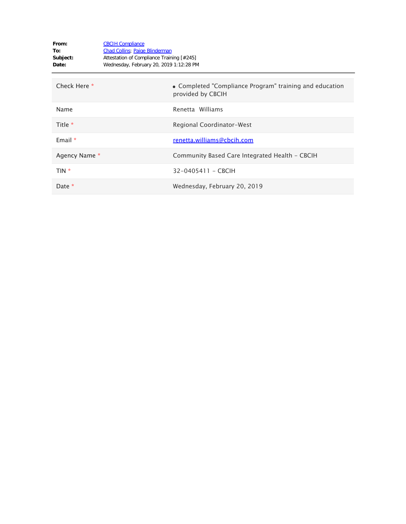| From:<br>To:<br>Subject:<br>Date: | <b>CBCIH Compliance</b><br><b>Chad Collins</b> ; Paige Blinderman<br>Attestation of Compliance Training [#245]<br>Wednesday, February 20, 2019 1:12:28 PM |                                                                              |
|-----------------------------------|-----------------------------------------------------------------------------------------------------------------------------------------------------------|------------------------------------------------------------------------------|
| Check Here *                      |                                                                                                                                                           | • Completed "Compliance Program" training and education<br>provided by CBCIH |
| Name                              |                                                                                                                                                           | Renetta Williams                                                             |
| Title *                           |                                                                                                                                                           | Regional Coordinator-West                                                    |
| Email $*$                         |                                                                                                                                                           | renetta.williams@cbcih.com                                                   |
| Agency Name *                     |                                                                                                                                                           | Community Based Care Integrated Health - CBCIH                               |
| TIN *                             |                                                                                                                                                           | 32-0405411 - CBCIH                                                           |
| Date *                            |                                                                                                                                                           | Wednesday, February 20, 2019                                                 |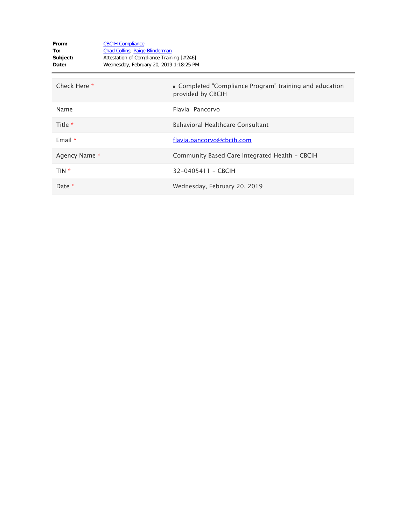| From:<br>To:<br>Subject:<br>Date: | <b>CBCIH Compliance</b><br><b>Chad Collins</b> ; Paige Blinderman<br>Attestation of Compliance Training [#246]<br>Wednesday, February 20, 2019 1:18:25 PM |                                                                              |
|-----------------------------------|-----------------------------------------------------------------------------------------------------------------------------------------------------------|------------------------------------------------------------------------------|
| Check Here *                      |                                                                                                                                                           | • Completed "Compliance Program" training and education<br>provided by CBCIH |
| Name                              |                                                                                                                                                           | Flavia Pancorvo                                                              |
| Title *                           |                                                                                                                                                           | Behavioral Healthcare Consultant                                             |
| Email $*$                         |                                                                                                                                                           | flavia.pancorvo@cbcih.com                                                    |
| Agency Name *                     |                                                                                                                                                           | Community Based Care Integrated Health - CBCIH                               |
| TIN *                             |                                                                                                                                                           | 32-0405411 - CBCIH                                                           |
| Date *                            |                                                                                                                                                           | Wednesday, February 20, 2019                                                 |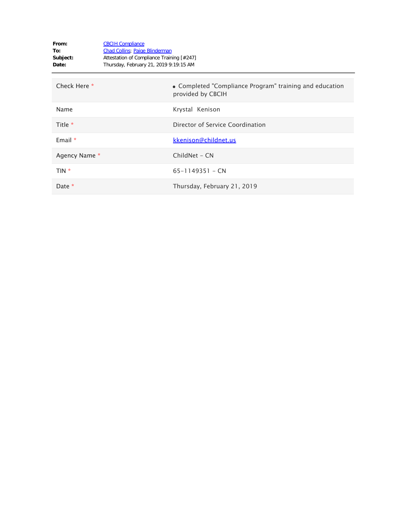| From:<br>To:<br>Subject:<br>Date: | <b>CBCIH Compliance</b><br><b>Chad Collins</b> ; Paige Blinderman<br>Attestation of Compliance Training [#247]<br>Thursday, February 21, 2019 9:19:15 AM |                                                                              |
|-----------------------------------|----------------------------------------------------------------------------------------------------------------------------------------------------------|------------------------------------------------------------------------------|
| Check Here *                      |                                                                                                                                                          | • Completed "Compliance Program" training and education<br>provided by CBCIH |
| Name                              |                                                                                                                                                          | Krystal Kenison                                                              |
| Title $*$                         |                                                                                                                                                          | Director of Service Coordination                                             |
| Email $*$                         |                                                                                                                                                          | kkenison@childnet.us                                                         |
| Agency Name *                     |                                                                                                                                                          | ChildNet - CN                                                                |
| TIN *                             |                                                                                                                                                          | $65 - 1149351 - CN$                                                          |
| Date *                            |                                                                                                                                                          | Thursday, February 21, 2019                                                  |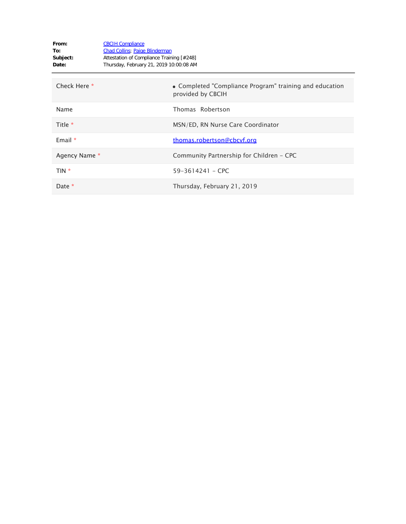| From:<br>To:<br>Subject:<br>Date: | <b>CBCIH Compliance</b><br><b>Chad Collins</b> ; Paige Blinderman<br>Attestation of Compliance Training [#248]<br>Thursday, February 21, 2019 10:00:08 AM |                                                                              |
|-----------------------------------|-----------------------------------------------------------------------------------------------------------------------------------------------------------|------------------------------------------------------------------------------|
| Check Here *                      |                                                                                                                                                           | • Completed "Compliance Program" training and education<br>provided by CBCIH |
| Name                              |                                                                                                                                                           | Thomas Robertson                                                             |
| Title *                           |                                                                                                                                                           | MSN/ED, RN Nurse Care Coordinator                                            |
| Email $*$                         |                                                                                                                                                           | thomas.robertson@cbcvf.org                                                   |
| Agency Name *                     |                                                                                                                                                           | Community Partnership for Children - CPC                                     |
| TIN *                             |                                                                                                                                                           | $59 - 3614241 -$ CPC                                                         |
| Date *                            |                                                                                                                                                           | Thursday, February 21, 2019                                                  |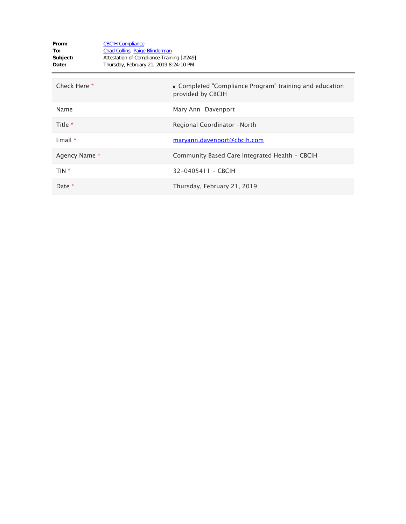| From:<br>To:<br>Subject:<br>Date: | <b>CBCIH Compliance</b><br><b>Chad Collins</b> ; Paige Blinderman<br>Attestation of Compliance Training [#249]<br>Thursday, February 21, 2019 8:24:10 PM |                                                                              |
|-----------------------------------|----------------------------------------------------------------------------------------------------------------------------------------------------------|------------------------------------------------------------------------------|
| Check Here *                      |                                                                                                                                                          | • Completed "Compliance Program" training and education<br>provided by CBCIH |
| Name                              |                                                                                                                                                          | Mary Ann Davenport                                                           |
| Title $*$                         |                                                                                                                                                          | Regional Coordinator -North                                                  |
| Email $*$                         |                                                                                                                                                          | maryann.davenport@cbcih.com                                                  |
| Agency Name *                     |                                                                                                                                                          | Community Based Care Integrated Health - CBCIH                               |
| TIN *                             |                                                                                                                                                          | 32-0405411 - CBCIH                                                           |
| Date *                            |                                                                                                                                                          | Thursday, February 21, 2019                                                  |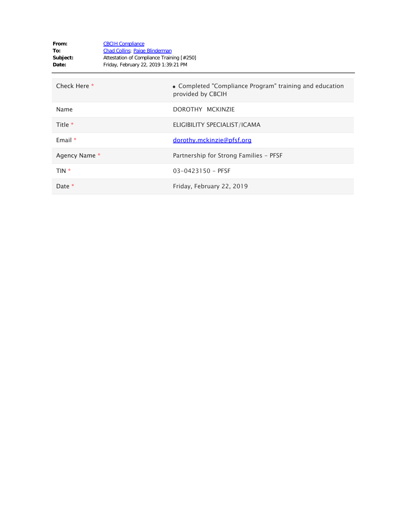| From:<br>To:<br>Subject:<br>Date: | <b>CBCIH Compliance</b><br><b>Chad Collins</b> ; Paige Blinderman<br>Attestation of Compliance Training [#250]<br>Friday, February 22, 2019 1:39:21 PM |                                                                              |
|-----------------------------------|--------------------------------------------------------------------------------------------------------------------------------------------------------|------------------------------------------------------------------------------|
| Check Here *                      |                                                                                                                                                        | • Completed "Compliance Program" training and education<br>provided by CBCIH |
| Name                              |                                                                                                                                                        | DOROTHY MCKINZIE                                                             |
| Title $*$                         |                                                                                                                                                        | ELIGIBILITY SPECIALIST/ICAMA                                                 |
| Email $*$                         |                                                                                                                                                        | dorothy.mckinzie@pfsf.org                                                    |
| Agency Name *                     |                                                                                                                                                        | Partnership for Strong Families - PFSF                                       |
| TIN *                             |                                                                                                                                                        | $03 - 0423150 - PFSF$                                                        |
| Date $*$                          |                                                                                                                                                        | Friday, February 22, 2019                                                    |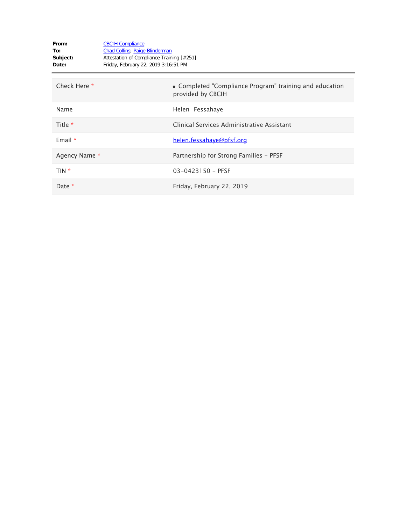| From:<br>To:<br>Subject:<br>Date: | <b>CBCIH Compliance</b><br>Chad Collins; Paige Blinderman<br>Attestation of Compliance Training [#251]<br>Friday, February 22, 2019 3:16:51 PM |                                                                              |
|-----------------------------------|------------------------------------------------------------------------------------------------------------------------------------------------|------------------------------------------------------------------------------|
| Check Here *                      |                                                                                                                                                | • Completed "Compliance Program" training and education<br>provided by CBCIH |
| Name                              |                                                                                                                                                | Helen Fessahaye                                                              |
| Title *                           |                                                                                                                                                | Clinical Services Administrative Assistant                                   |
| Email $*$                         |                                                                                                                                                | helen.fessahaye@pfsf.org                                                     |
| Agency Name *                     |                                                                                                                                                | Partnership for Strong Families - PFSF                                       |
| TIN *                             |                                                                                                                                                | $03 - 0423150 - PFSF$                                                        |
| Date *                            |                                                                                                                                                | Friday, February 22, 2019                                                    |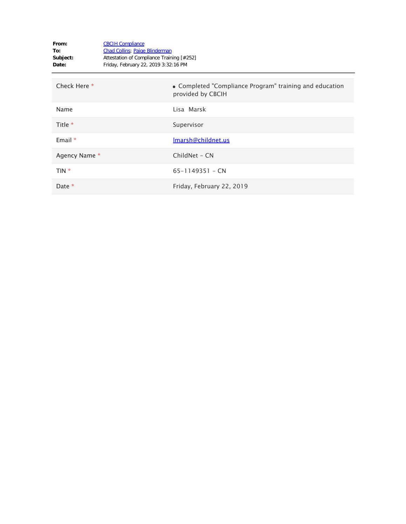| From:<br>To:<br>Subject:<br>Date: | <b>CBCIH Compliance</b><br><b>Chad Collins</b> ; Paige Blinderman<br>Attestation of Compliance Training [#252]<br>Friday, February 22, 2019 3:32:16 PM |                                                                              |
|-----------------------------------|--------------------------------------------------------------------------------------------------------------------------------------------------------|------------------------------------------------------------------------------|
| Check Here *                      |                                                                                                                                                        | • Completed "Compliance Program" training and education<br>provided by CBCIH |
| Name                              |                                                                                                                                                        | Lisa Marsk                                                                   |
| Title *                           |                                                                                                                                                        | Supervisor                                                                   |
| Email $*$                         |                                                                                                                                                        | Imarsh@childnet.us                                                           |
| Agency Name *                     |                                                                                                                                                        | ChildNet - CN                                                                |
| TIN *                             |                                                                                                                                                        | $65 - 1149351 - CN$                                                          |
| Date $*$                          |                                                                                                                                                        | Friday, February 22, 2019                                                    |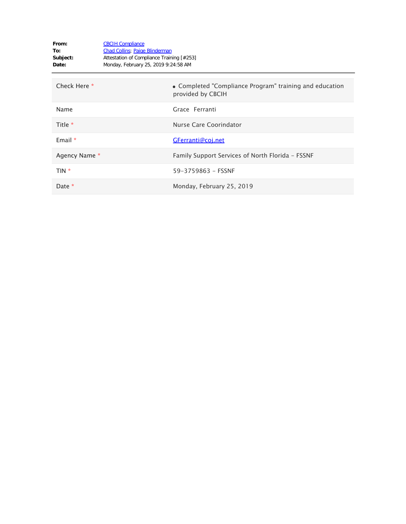| From:<br>To:<br>Subject:<br>Date: | <b>CBCIH Compliance</b><br><b>Chad Collins</b> ; Paige Blinderman<br>Attestation of Compliance Training [#253]<br>Monday, February 25, 2019 9:24:58 AM |                                                                              |
|-----------------------------------|--------------------------------------------------------------------------------------------------------------------------------------------------------|------------------------------------------------------------------------------|
| Check Here *                      |                                                                                                                                                        | • Completed "Compliance Program" training and education<br>provided by CBCIH |
| Name                              |                                                                                                                                                        | Grace Ferranti                                                               |
| Title *                           |                                                                                                                                                        | Nurse Care Coorindator                                                       |
| Email *                           |                                                                                                                                                        | GFerranti@coj.net                                                            |
| Agency Name *                     |                                                                                                                                                        | Family Support Services of North Florida - FSSNF                             |
| TIN *                             |                                                                                                                                                        | 59-3759863 - FSSNF                                                           |
| Date *                            |                                                                                                                                                        | Monday, February 25, 2019                                                    |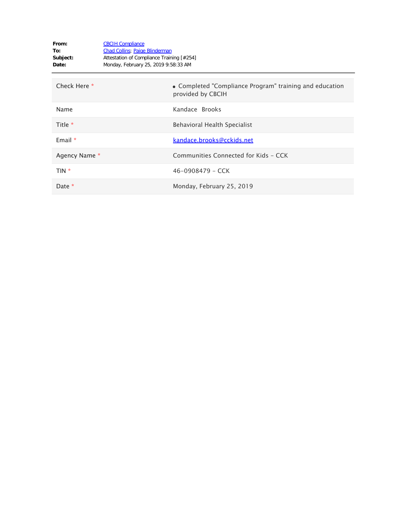| From:<br>To:<br>Subject:<br>Date: | <b>CBCIH Compliance</b><br><b>Chad Collins</b> ; Paige Blinderman<br>Attestation of Compliance Training [#254]<br>Monday, February 25, 2019 9:58:33 AM |                                                                              |
|-----------------------------------|--------------------------------------------------------------------------------------------------------------------------------------------------------|------------------------------------------------------------------------------|
| Check Here *                      |                                                                                                                                                        | • Completed "Compliance Program" training and education<br>provided by CBCIH |
| Name                              |                                                                                                                                                        | Kandace Brooks                                                               |
| Title $*$                         |                                                                                                                                                        | Behavioral Health Specialist                                                 |
| Email $*$                         |                                                                                                                                                        | kandace.brooks@cckids.net                                                    |
| Agency Name *                     |                                                                                                                                                        | Communities Connected for Kids - CCK                                         |
| TIN *                             |                                                                                                                                                        | 46-0908479 - CCK                                                             |
| Date *                            |                                                                                                                                                        | Monday, February 25, 2019                                                    |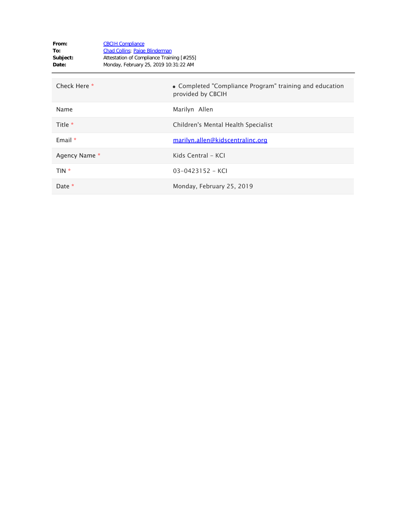| From:<br>To:<br>Subject:<br>Date: | <b>CBCIH Compliance</b><br><b>Chad Collins</b> ; Paige Blinderman<br>Attestation of Compliance Training [#255]<br>Monday, February 25, 2019 10:31:22 AM |                                                                              |
|-----------------------------------|---------------------------------------------------------------------------------------------------------------------------------------------------------|------------------------------------------------------------------------------|
| Check Here *                      |                                                                                                                                                         | • Completed "Compliance Program" training and education<br>provided by CBCIH |
| Name                              |                                                                                                                                                         | Marilyn Allen                                                                |
| Title *                           |                                                                                                                                                         | Children's Mental Health Specialist                                          |
| Email $*$                         |                                                                                                                                                         | marilyn.allen@kidscentralinc.org                                             |
| Agency Name *                     |                                                                                                                                                         | Kids Central - KCI                                                           |
| TIN *                             |                                                                                                                                                         | $03 - 0423152 - KCI$                                                         |
| Date *                            |                                                                                                                                                         | Monday, February 25, 2019                                                    |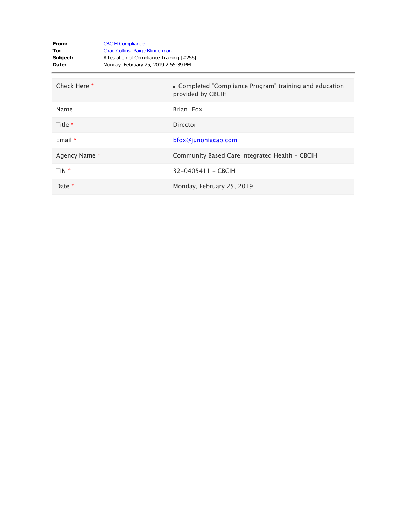| From:<br>To:<br>Subject:<br>Date: | <b>CBCIH Compliance</b><br><b>Chad Collins</b> ; Paige Blinderman<br>Attestation of Compliance Training [#256]<br>Monday, February 25, 2019 2:55:39 PM |                                                                              |
|-----------------------------------|--------------------------------------------------------------------------------------------------------------------------------------------------------|------------------------------------------------------------------------------|
| Check Here *                      |                                                                                                                                                        | • Completed "Compliance Program" training and education<br>provided by CBCIH |
| Name                              |                                                                                                                                                        | Brian Fox                                                                    |
| Title *                           |                                                                                                                                                        | <b>Director</b>                                                              |
| Email $*$                         |                                                                                                                                                        | bfox@junoniacap.com                                                          |
| Agency Name *                     |                                                                                                                                                        | Community Based Care Integrated Health - CBCIH                               |
| TIN *                             |                                                                                                                                                        | 32-0405411 - CBCIH                                                           |
| Date *                            |                                                                                                                                                        | Monday, February 25, 2019                                                    |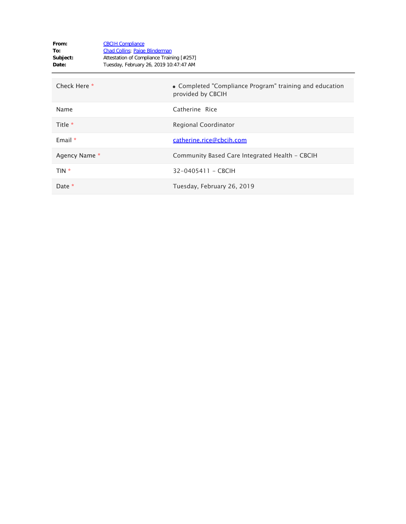| From:<br>To:<br>Subject:<br>Date: | <b>CBCIH Compliance</b><br><b>Chad Collins</b> ; Paige Blinderman<br>Attestation of Compliance Training [#257]<br>Tuesday, February 26, 2019 10:47:47 AM |                                                                              |
|-----------------------------------|----------------------------------------------------------------------------------------------------------------------------------------------------------|------------------------------------------------------------------------------|
| Check Here *                      |                                                                                                                                                          | • Completed "Compliance Program" training and education<br>provided by CBCIH |
| Name                              |                                                                                                                                                          | Catherine Rice                                                               |
| Title *                           |                                                                                                                                                          | Regional Coordinator                                                         |
| Email $*$                         |                                                                                                                                                          | catherine.rice@cbcih.com                                                     |
| Agency Name *                     |                                                                                                                                                          | Community Based Care Integrated Health - CBCIH                               |
| TIN *                             |                                                                                                                                                          | 32-0405411 - CBCIH                                                           |
| Date *                            |                                                                                                                                                          | Tuesday, February 26, 2019                                                   |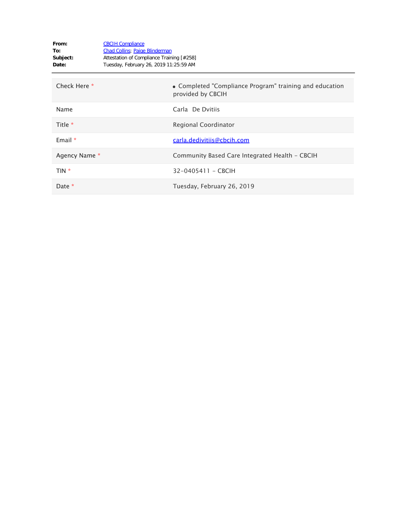| From:<br>To:<br>Subject:<br>Date: | <b>CBCIH Compliance</b><br><b>Chad Collins</b> ; Paige Blinderman<br>Attestation of Compliance Training [#258]<br>Tuesday, February 26, 2019 11:25:59 AM |                                                                              |
|-----------------------------------|----------------------------------------------------------------------------------------------------------------------------------------------------------|------------------------------------------------------------------------------|
| Check Here *                      |                                                                                                                                                          | • Completed "Compliance Program" training and education<br>provided by CBCIH |
| Name                              |                                                                                                                                                          | Carla De Dvitiis                                                             |
| Title $*$                         |                                                                                                                                                          | Regional Coordinator                                                         |
| Email $*$                         |                                                                                                                                                          | carla.dedivitiis@cbcih.com                                                   |
| Agency Name *                     |                                                                                                                                                          | Community Based Care Integrated Health - CBCIH                               |
| TIN *                             |                                                                                                                                                          | 32-0405411 - CBCIH                                                           |
| Date *                            |                                                                                                                                                          | Tuesday, February 26, 2019                                                   |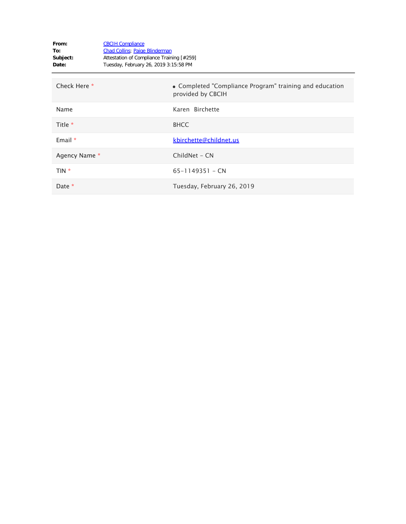| From:<br>To:<br>Subject:<br>Date: | <b>CBCIH Compliance</b><br>Chad Collins; Paige Blinderman<br>Attestation of Compliance Training [#259]<br>Tuesday, February 26, 2019 3:15:58 PM |                                                                              |
|-----------------------------------|-------------------------------------------------------------------------------------------------------------------------------------------------|------------------------------------------------------------------------------|
| Check Here *                      |                                                                                                                                                 | • Completed "Compliance Program" training and education<br>provided by CBCIH |
| Name                              |                                                                                                                                                 | Karen Birchette                                                              |
| Title *                           |                                                                                                                                                 | <b>BHCC</b>                                                                  |
| Email $*$                         |                                                                                                                                                 | kbirchette@childnet.us                                                       |
| Agency Name *                     |                                                                                                                                                 | ChildNet - CN                                                                |
| TIN *                             |                                                                                                                                                 | $65 - 1149351 - CN$                                                          |
| Date *                            |                                                                                                                                                 | Tuesday, February 26, 2019                                                   |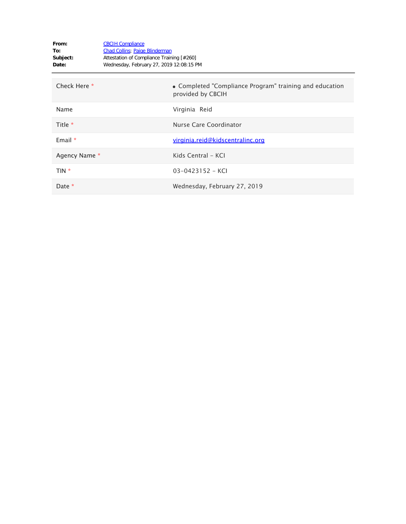| From:<br>To:<br>Subject:<br>Date: | <b>CBCIH Compliance</b><br><b>Chad Collins</b> ; Paige Blinderman<br>Attestation of Compliance Training [#260]<br>Wednesday, February 27, 2019 12:08:15 PM |                                                                              |
|-----------------------------------|------------------------------------------------------------------------------------------------------------------------------------------------------------|------------------------------------------------------------------------------|
| Check Here *                      |                                                                                                                                                            | • Completed "Compliance Program" training and education<br>provided by CBCIH |
| Name                              |                                                                                                                                                            | Virginia Reid                                                                |
| Title *                           |                                                                                                                                                            | Nurse Care Coordinator                                                       |
| Email $*$                         |                                                                                                                                                            | virginia.reid@kidscentralinc.org                                             |
| Agency Name *                     |                                                                                                                                                            | Kids Central - KCI                                                           |
| TIN *                             |                                                                                                                                                            | $03 - 0423152 - KCI$                                                         |
| Date *                            |                                                                                                                                                            | Wednesday, February 27, 2019                                                 |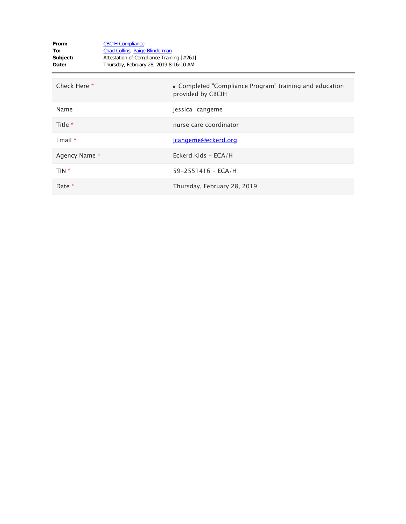| From:<br>To:<br>Subject:<br>Date: | <b>CBCIH Compliance</b><br><b>Chad Collins</b> ; Paige Blinderman<br>Attestation of Compliance Training [#261]<br>Thursday, February 28, 2019 8:16:10 AM |                                                                              |
|-----------------------------------|----------------------------------------------------------------------------------------------------------------------------------------------------------|------------------------------------------------------------------------------|
| Check Here *                      |                                                                                                                                                          | • Completed "Compliance Program" training and education<br>provided by CBCIH |
| Name                              |                                                                                                                                                          | jessica cangeme                                                              |
| Title *                           |                                                                                                                                                          | nurse care coordinator                                                       |
| Email $*$                         |                                                                                                                                                          | jcangeme@eckerd.org                                                          |
| Agency Name *                     |                                                                                                                                                          | Eckerd Kids - ECA/H                                                          |
| TIN *                             |                                                                                                                                                          | $59 - 2551416 - ECA/H$                                                       |
| Date *                            |                                                                                                                                                          | Thursday, February 28, 2019                                                  |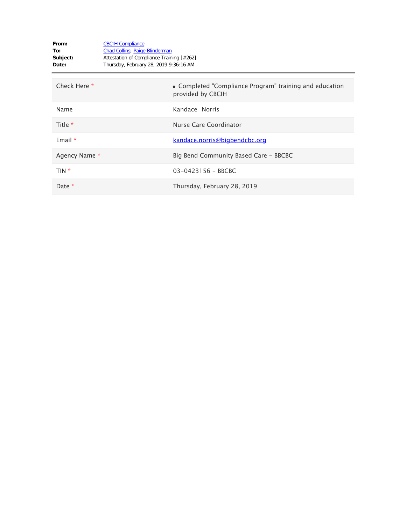| From:<br>To:<br>Subject:<br>Date: | <b>CBCIH Compliance</b><br><b>Chad Collins</b> ; Paige Blinderman<br>Attestation of Compliance Training [#262]<br>Thursday, February 28, 2019 9:36:16 AM |                                                                              |
|-----------------------------------|----------------------------------------------------------------------------------------------------------------------------------------------------------|------------------------------------------------------------------------------|
| Check Here *                      |                                                                                                                                                          | • Completed "Compliance Program" training and education<br>provided by CBCIH |
| Name                              |                                                                                                                                                          | Kandace Norris                                                               |
| Title $*$                         |                                                                                                                                                          | Nurse Care Coordinator                                                       |
| Email $*$                         |                                                                                                                                                          | kandace.norris@bigbendcbc.org                                                |
| Agency Name *                     |                                                                                                                                                          | Big Bend Community Based Care - BBCBC                                        |
| TIN *                             |                                                                                                                                                          | 03-0423156 - BBCBC                                                           |
| Date *                            |                                                                                                                                                          | Thursday, February 28, 2019                                                  |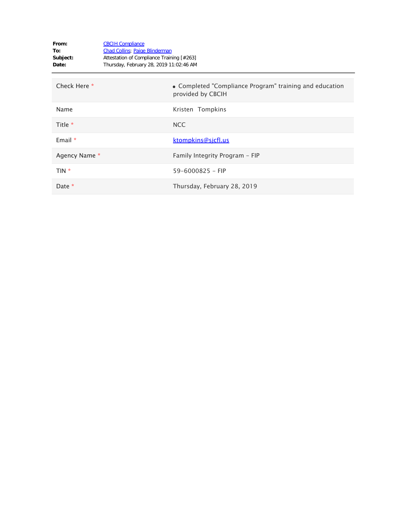| From:<br>To:<br>Subject:<br>Date: | <b>CBCIH Compliance</b><br><b>Chad Collins</b> ; Paige Blinderman<br>Attestation of Compliance Training [#263]<br>Thursday, February 28, 2019 11:02:46 AM |                                                                              |
|-----------------------------------|-----------------------------------------------------------------------------------------------------------------------------------------------------------|------------------------------------------------------------------------------|
| Check Here *                      |                                                                                                                                                           | • Completed "Compliance Program" training and education<br>provided by CBCIH |
| Name                              |                                                                                                                                                           | Kristen Tompkins                                                             |
| Title *                           |                                                                                                                                                           | <b>NCC</b>                                                                   |
| Email $*$                         |                                                                                                                                                           | <u>ktompkins@sicfl.us</u>                                                    |
| Agency Name *                     |                                                                                                                                                           | Family Integrity Program - FIP                                               |
| $TIN *$                           |                                                                                                                                                           | $59 - 6000825 - FIP$                                                         |
| Date $*$                          |                                                                                                                                                           | Thursday, February 28, 2019                                                  |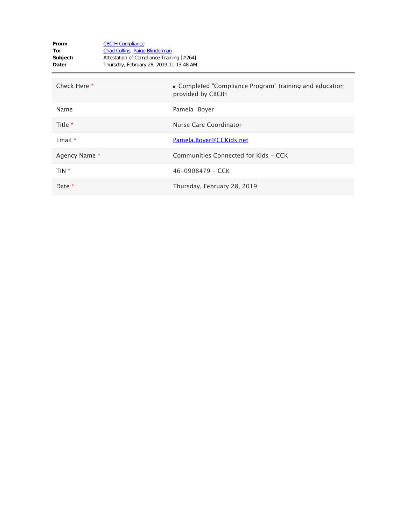| From:<br>To:<br>Subject:<br>Date: | <b>CBCIH Compliance</b><br><b>Chad Collins</b> ; Paige Blinderman<br>Attestation of Compliance Training [#264]<br>Thursday, February 28, 2019 11:13:48 AM |                                                                              |
|-----------------------------------|-----------------------------------------------------------------------------------------------------------------------------------------------------------|------------------------------------------------------------------------------|
| Check Here *                      |                                                                                                                                                           | • Completed "Compliance Program" training and education<br>provided by CBCIH |
| Name                              |                                                                                                                                                           | Pamela Boyer                                                                 |
| Title $*$                         |                                                                                                                                                           | Nurse Care Coordinator                                                       |
| Email $*$                         |                                                                                                                                                           | Pamela.Boyer@CCKids.net                                                      |
| Agency Name *                     |                                                                                                                                                           | Communities Connected for Kids - CCK                                         |
| TIN *                             |                                                                                                                                                           | $46 - 0908479 - CCK$                                                         |
| Date *                            |                                                                                                                                                           | Thursday, February 28, 2019                                                  |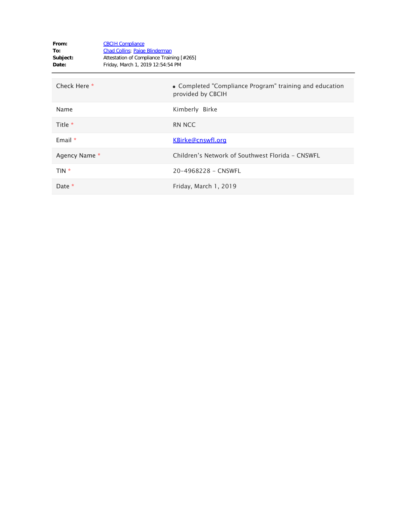| From:<br>To:<br>Subject:<br>Date: | <b>CBCIH Compliance</b><br><b>Chad Collins</b> ; Paige Blinderman<br>Attestation of Compliance Training [#265]<br>Friday, March 1, 2019 12:54:54 PM |                                                                              |
|-----------------------------------|-----------------------------------------------------------------------------------------------------------------------------------------------------|------------------------------------------------------------------------------|
| Check Here *                      |                                                                                                                                                     | • Completed "Compliance Program" training and education<br>provided by CBCIH |
| Name                              |                                                                                                                                                     | Kimberly Birke                                                               |
| Title *                           |                                                                                                                                                     | <b>RN NCC</b>                                                                |
| Email $*$                         |                                                                                                                                                     | KBirke@cnswfl.org                                                            |
| Agency Name *                     |                                                                                                                                                     | Children's Network of Southwest Florida - CNSWFL                             |
| TIN *                             |                                                                                                                                                     | 20-4968228 - CNSWFL                                                          |
| Date *                            |                                                                                                                                                     | Friday, March 1, 2019                                                        |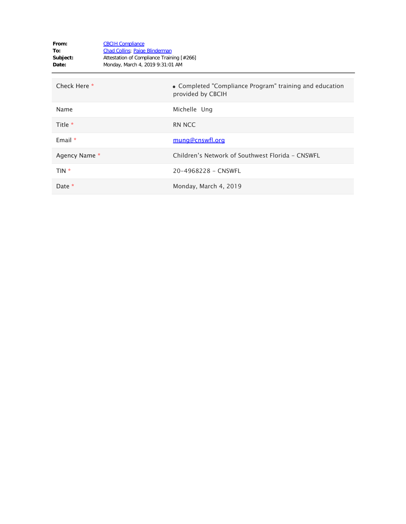| From:<br>To:<br>Subject:<br>Date: | <b>CBCIH Compliance</b><br><b>Chad Collins</b> ; Paige Blinderman<br>Attestation of Compliance Training [#266]<br>Monday, March 4, 2019 9:31:01 AM |                                                                              |
|-----------------------------------|----------------------------------------------------------------------------------------------------------------------------------------------------|------------------------------------------------------------------------------|
| Check Here *                      |                                                                                                                                                    | • Completed "Compliance Program" training and education<br>provided by CBCIH |
| Name                              |                                                                                                                                                    | Michelle Ung                                                                 |
| Title *                           |                                                                                                                                                    | <b>RN NCC</b>                                                                |
| Email $*$                         |                                                                                                                                                    | mung@cnswfl.org                                                              |
| Agency Name *                     |                                                                                                                                                    | Children's Network of Southwest Florida - CNSWFL                             |
| TIN *                             |                                                                                                                                                    | 20-4968228 - CNSWFL                                                          |
| Date *                            |                                                                                                                                                    | Monday, March 4, 2019                                                        |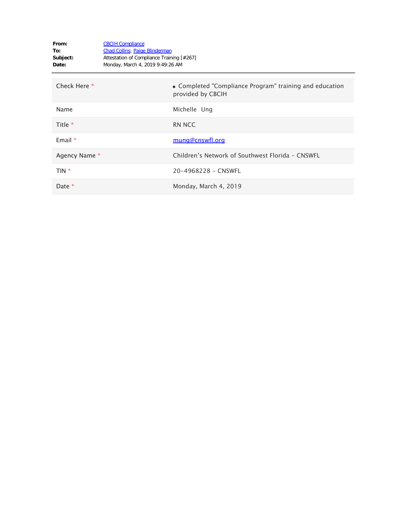| From:<br>To:<br>Subject:<br>Date: | <b>CBCIH Compliance</b><br><b>Chad Collins</b> ; Paige Blinderman<br>Attestation of Compliance Training [#267]<br>Monday, March 4, 2019 9:49:26 AM |                                                                              |
|-----------------------------------|----------------------------------------------------------------------------------------------------------------------------------------------------|------------------------------------------------------------------------------|
| Check Here *                      |                                                                                                                                                    | • Completed "Compliance Program" training and education<br>provided by CBCIH |
| Name                              |                                                                                                                                                    | Michelle Ung                                                                 |
| Title *                           |                                                                                                                                                    | <b>RN NCC</b>                                                                |
| Email $*$                         |                                                                                                                                                    | mung@cnswfl.org                                                              |
| Agency Name *                     |                                                                                                                                                    | Children's Network of Southwest Florida - CNSWFL                             |
| TIN *                             |                                                                                                                                                    | 20-4968228 - CNSWFL                                                          |
| Date *                            |                                                                                                                                                    | Monday, March 4, 2019                                                        |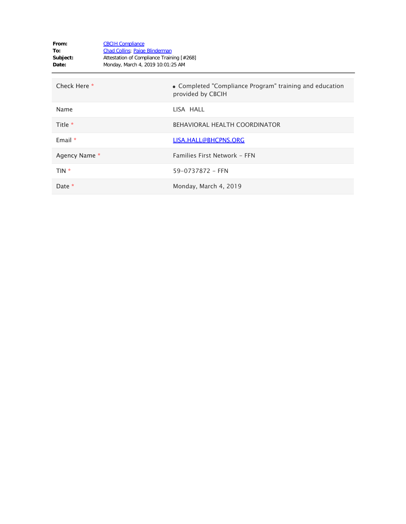| From:<br>To:<br>Subject:<br>Date: | <b>CBCIH Compliance</b><br><b>Chad Collins</b> ; Paige Blinderman<br>Attestation of Compliance Training [#268]<br>Monday, March 4, 2019 10:01:25 AM |                                                                              |
|-----------------------------------|-----------------------------------------------------------------------------------------------------------------------------------------------------|------------------------------------------------------------------------------|
| Check Here *                      |                                                                                                                                                     | • Completed "Compliance Program" training and education<br>provided by CBCIH |
| Name                              |                                                                                                                                                     | LISA HALL                                                                    |
| Title $*$                         |                                                                                                                                                     | <b>BEHAVIORAL HEALTH COORDINATOR</b>                                         |
| Email $*$                         |                                                                                                                                                     | LISA.HALL@BHCPNS.ORG                                                         |
| Agency Name *                     |                                                                                                                                                     | Families First Network - FFN                                                 |
| TIN *                             |                                                                                                                                                     | 59-0737872 - FFN                                                             |
| Date *                            |                                                                                                                                                     | Monday, March 4, 2019                                                        |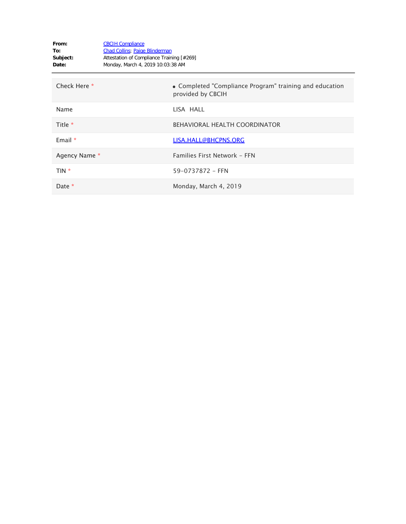| From:<br>To:<br>Subject:<br>Date: | <b>CBCIH Compliance</b><br><b>Chad Collins</b> ; Paige Blinderman<br>Attestation of Compliance Training [#269]<br>Monday, March 4, 2019 10:03:38 AM |                                                                              |
|-----------------------------------|-----------------------------------------------------------------------------------------------------------------------------------------------------|------------------------------------------------------------------------------|
| Check Here *                      |                                                                                                                                                     | • Completed "Compliance Program" training and education<br>provided by CBCIH |
| Name                              |                                                                                                                                                     | LISA HALL                                                                    |
| Title $*$                         |                                                                                                                                                     | <b>BEHAVIORAL HEALTH COORDINATOR</b>                                         |
| Email $*$                         |                                                                                                                                                     | LISA.HALL@BHCPNS.ORG                                                         |
| Agency Name *                     |                                                                                                                                                     | Families First Network - FFN                                                 |
| TIN *                             |                                                                                                                                                     | 59-0737872 - FFN                                                             |
| Date *                            |                                                                                                                                                     | Monday, March 4, 2019                                                        |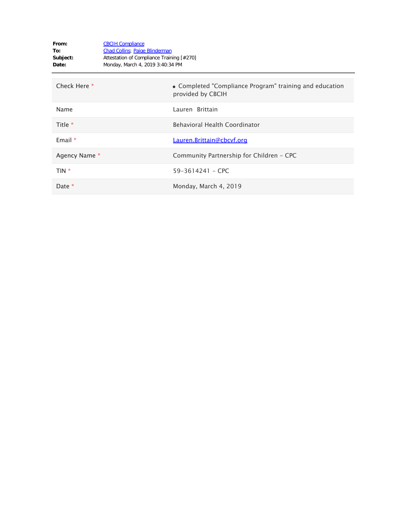| From:<br>To:<br>Subject:<br>Date: | <b>CBCIH Compliance</b><br><b>Chad Collins</b> ; Paige Blinderman<br>Attestation of Compliance Training [#270]<br>Monday, March 4, 2019 3:40:34 PM |                                                                              |
|-----------------------------------|----------------------------------------------------------------------------------------------------------------------------------------------------|------------------------------------------------------------------------------|
| Check Here *                      |                                                                                                                                                    | • Completed "Compliance Program" training and education<br>provided by CBCIH |
| Name                              |                                                                                                                                                    | Lauren Brittain                                                              |
| Title *                           |                                                                                                                                                    | <b>Behavioral Health Coordinator</b>                                         |
| Email $*$                         |                                                                                                                                                    | Lauren.Brittain@cbcvf.org                                                    |
| Agency Name *                     |                                                                                                                                                    | Community Partnership for Children - CPC                                     |
| $TIN *$                           |                                                                                                                                                    | $59 - 3614241 -$ CPC                                                         |
| Date $*$                          |                                                                                                                                                    | Monday, March 4, 2019                                                        |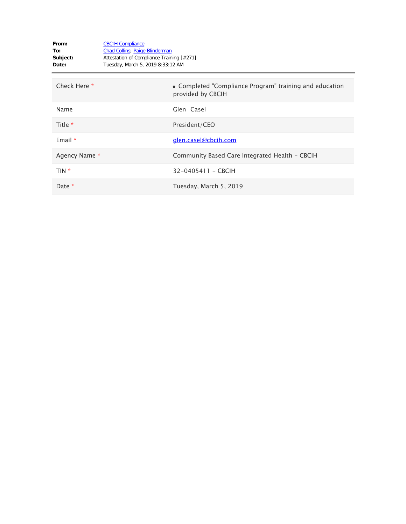| From:<br>To:<br>Subject:<br>Date: | <b>CBCIH Compliance</b><br><b>Chad Collins</b> ; Paige Blinderman<br>Attestation of Compliance Training [#271]<br>Tuesday, March 5, 2019 8:33:12 AM |                                                                              |
|-----------------------------------|-----------------------------------------------------------------------------------------------------------------------------------------------------|------------------------------------------------------------------------------|
| Check Here *                      |                                                                                                                                                     | • Completed "Compliance Program" training and education<br>provided by CBCIH |
| Name                              |                                                                                                                                                     | Glen Casel                                                                   |
| Title *                           |                                                                                                                                                     | President/CEO                                                                |
| Email $*$                         |                                                                                                                                                     | glen.casel@cbcih.com                                                         |
| Agency Name *                     |                                                                                                                                                     | Community Based Care Integrated Health - CBCIH                               |
| TIN *                             |                                                                                                                                                     | 32-0405411 - CBCIH                                                           |
| Date *                            |                                                                                                                                                     | Tuesday, March 5, 2019                                                       |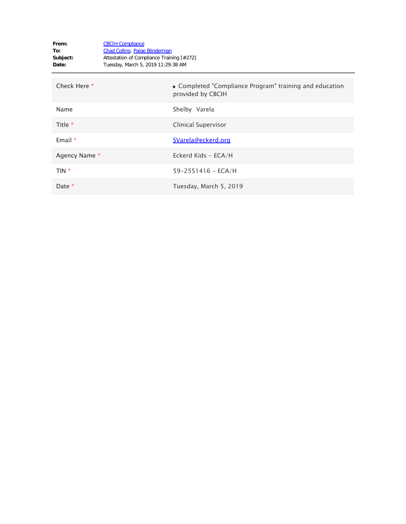| From:<br>To:<br>Subject:<br>Date: | <b>CBCIH Compliance</b><br><b>Chad Collins</b> ; Paige Blinderman<br>Attestation of Compliance Training [#272]<br>Tuesday, March 5, 2019 11:29:38 AM |                                                                              |
|-----------------------------------|------------------------------------------------------------------------------------------------------------------------------------------------------|------------------------------------------------------------------------------|
| Check Here *                      |                                                                                                                                                      | • Completed "Compliance Program" training and education<br>provided by CBCIH |
| Name                              |                                                                                                                                                      | Shelby Varela                                                                |
| Title *                           |                                                                                                                                                      | Clinical Supervisor                                                          |
| Email $*$                         |                                                                                                                                                      | SVarela@eckerd.org                                                           |
| Agency Name *                     |                                                                                                                                                      | Eckerd Kids - ECA/H                                                          |
| TIN *                             |                                                                                                                                                      | $59 - 2551416 - ECA/H$                                                       |
| Date *                            |                                                                                                                                                      | Tuesday, March 5, 2019                                                       |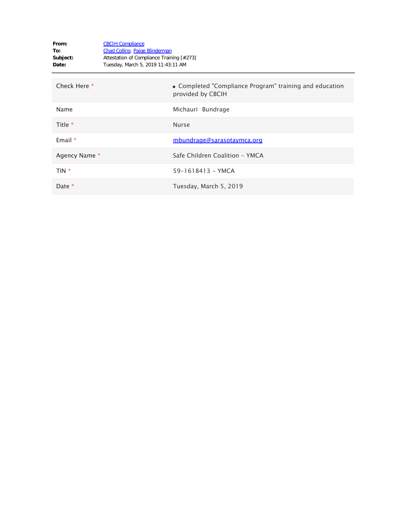| From:<br>To:<br>Subject:<br>Date: | <b>CBCIH Compliance</b><br><b>Chad Collins</b> ; Paige Blinderman<br>Attestation of Compliance Training [#273]<br>Tuesday, March 5, 2019 11:43:11 AM |                                                                              |
|-----------------------------------|------------------------------------------------------------------------------------------------------------------------------------------------------|------------------------------------------------------------------------------|
| Check Here *                      |                                                                                                                                                      | • Completed "Compliance Program" training and education<br>provided by CBCIH |
| Name                              |                                                                                                                                                      | Michauri Bundrage                                                            |
| Title *                           |                                                                                                                                                      | <b>Nurse</b>                                                                 |
| Email $*$                         |                                                                                                                                                      | mbundrage@sarasotaymca.org                                                   |
| Agency Name *                     |                                                                                                                                                      | Safe Children Coalition - YMCA                                               |
| TIN *                             |                                                                                                                                                      | 59-1618413 - YMCA                                                            |
| Date $*$                          |                                                                                                                                                      | Tuesday, March 5, 2019                                                       |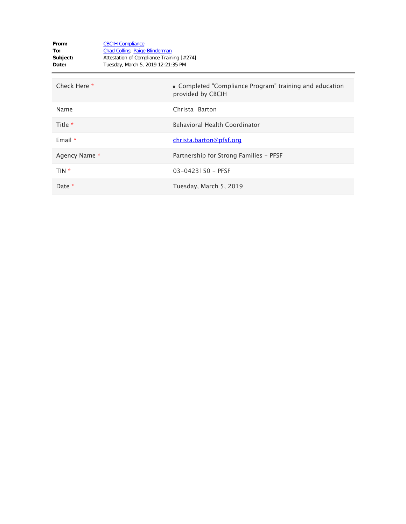| From:<br>To:<br>Subject:<br>Date: | <b>CBCIH Compliance</b><br><b>Chad Collins</b> ; Paige Blinderman<br>Attestation of Compliance Training [#274]<br>Tuesday, March 5, 2019 12:21:35 PM |                                                                              |
|-----------------------------------|------------------------------------------------------------------------------------------------------------------------------------------------------|------------------------------------------------------------------------------|
| Check Here *                      |                                                                                                                                                      | • Completed "Compliance Program" training and education<br>provided by CBCIH |
| Name                              |                                                                                                                                                      | Christa Barton                                                               |
| Title *                           |                                                                                                                                                      | Behavioral Health Coordinator                                                |
| Email $*$                         |                                                                                                                                                      | christa.barton@pfsf.org                                                      |
| Agency Name *                     |                                                                                                                                                      | Partnership for Strong Families - PFSF                                       |
| TIN *                             |                                                                                                                                                      | $03 - 0423150 - PFSF$                                                        |
| Date *                            |                                                                                                                                                      | Tuesday, March 5, 2019                                                       |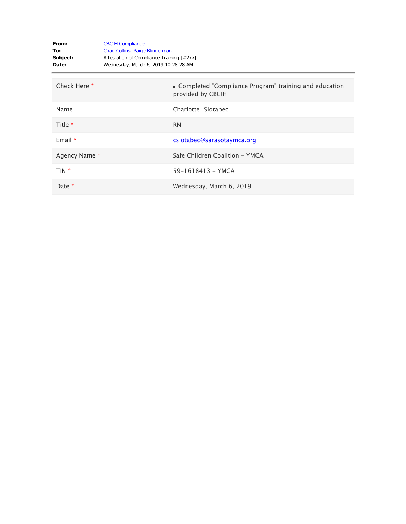| From:<br>To:<br>Subject:<br>Date: | <b>CBCIH Compliance</b><br><b>Chad Collins</b> ; Paige Blinderman<br>Attestation of Compliance Training [#277]<br>Wednesday, March 6, 2019 10:28:28 AM |                                                                              |
|-----------------------------------|--------------------------------------------------------------------------------------------------------------------------------------------------------|------------------------------------------------------------------------------|
| Check Here *                      |                                                                                                                                                        | • Completed "Compliance Program" training and education<br>provided by CBCIH |
| Name                              |                                                                                                                                                        | Charlotte Slotabec                                                           |
| Title *                           |                                                                                                                                                        | <b>RN</b>                                                                    |
| Email $*$                         |                                                                                                                                                        | cslotabec@sarasotaymca.org                                                   |
| Agency Name *                     |                                                                                                                                                        | Safe Children Coalition - YMCA                                               |
| $TIN *$                           |                                                                                                                                                        | 59-1618413 - YMCA                                                            |
| Date $*$                          |                                                                                                                                                        | Wednesday, March 6, 2019                                                     |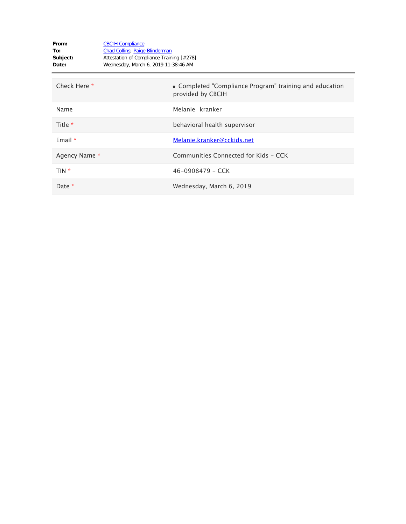| From:<br>To:<br>Subject:<br>Date: | <b>CBCIH Compliance</b><br><b>Chad Collins</b> ; Paige Blinderman<br>Attestation of Compliance Training [#278]<br>Wednesday, March 6, 2019 11:38:46 AM |                                                                              |
|-----------------------------------|--------------------------------------------------------------------------------------------------------------------------------------------------------|------------------------------------------------------------------------------|
| Check Here *                      |                                                                                                                                                        | • Completed "Compliance Program" training and education<br>provided by CBCIH |
| Name                              |                                                                                                                                                        | Melanie kranker                                                              |
| Title *                           |                                                                                                                                                        | behavioral health supervisor                                                 |
| Email $*$                         |                                                                                                                                                        | Melanie.kranker@cckids.net                                                   |
| Agency Name *                     |                                                                                                                                                        | Communities Connected for Kids - CCK                                         |
| TIN *                             |                                                                                                                                                        | $46 - 0908479 - CCK$                                                         |
| Date *                            |                                                                                                                                                        | Wednesday, March 6, 2019                                                     |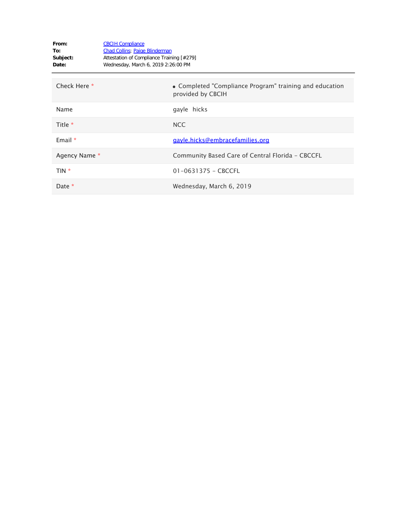| From:<br>To:<br>Subject:<br>Date: | <b>CBCIH Compliance</b><br><b>Chad Collins</b> ; Paige Blinderman<br>Attestation of Compliance Training [#279]<br>Wednesday, March 6, 2019 2:26:00 PM |                                                                              |
|-----------------------------------|-------------------------------------------------------------------------------------------------------------------------------------------------------|------------------------------------------------------------------------------|
| Check Here *                      |                                                                                                                                                       | • Completed "Compliance Program" training and education<br>provided by CBCIH |
| Name                              |                                                                                                                                                       | gayle hicks                                                                  |
| Title *                           |                                                                                                                                                       | NCC                                                                          |
| Email $*$                         |                                                                                                                                                       | gayle.hicks@embracefamilies.org                                              |
| Agency Name *                     |                                                                                                                                                       | Community Based Care of Central Florida - CBCCFL                             |
| TIN *                             |                                                                                                                                                       | $01 - 0631375 - CBCCFL$                                                      |
| Date *                            |                                                                                                                                                       | Wednesday, March 6, 2019                                                     |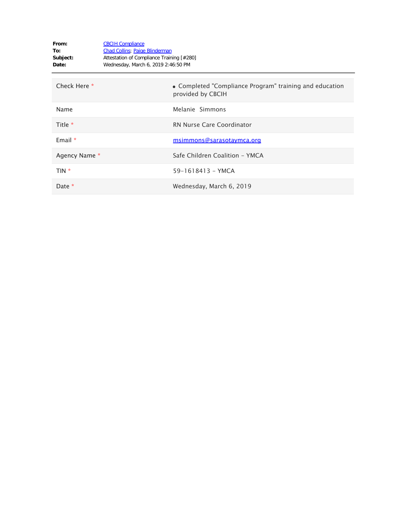| From:<br>To:<br>Subject:<br>Date: | <b>CBCIH Compliance</b><br><b>Chad Collins</b> ; Paige Blinderman<br>Attestation of Compliance Training [#280]<br>Wednesday, March 6, 2019 2:46:50 PM |                                                                              |
|-----------------------------------|-------------------------------------------------------------------------------------------------------------------------------------------------------|------------------------------------------------------------------------------|
| Check Here *                      |                                                                                                                                                       | • Completed "Compliance Program" training and education<br>provided by CBCIH |
| Name                              |                                                                                                                                                       | Melanie Simmons                                                              |
| Title *                           |                                                                                                                                                       | <b>RN Nurse Care Coordinator</b>                                             |
| Email $*$                         |                                                                                                                                                       | msimmons@sarasotaymca.org                                                    |
| Agency Name *                     |                                                                                                                                                       | Safe Children Coalition - YMCA                                               |
| TIN *                             |                                                                                                                                                       | 59-1618413 - YMCA                                                            |
| Date *                            |                                                                                                                                                       | Wednesday, March 6, 2019                                                     |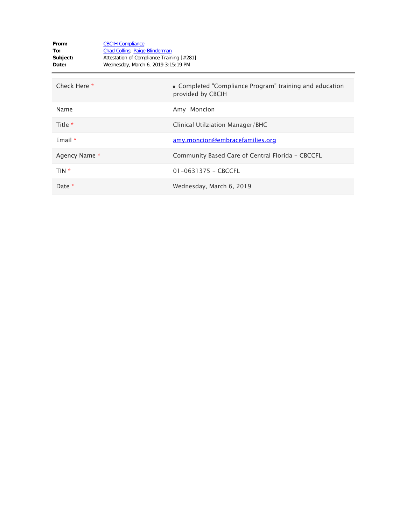| From:<br>To:<br>Subject:<br>Date: | <b>CBCIH Compliance</b><br><b>Chad Collins</b> ; Paige Blinderman<br>Attestation of Compliance Training [#281]<br>Wednesday, March 6, 2019 3:15:19 PM |
|-----------------------------------|-------------------------------------------------------------------------------------------------------------------------------------------------------|
| Check Here *                      | • Completed "Compliance Program" training and education<br>provided by CBCIH                                                                          |
| Name                              | Amy Moncion                                                                                                                                           |
| Title $*$                         | Clinical Utilziation Manager/BHC                                                                                                                      |
| Email $*$                         | <u>amy.moncion@embracefamilies.org</u>                                                                                                                |
| Agency Name *                     | Community Based Care of Central Florida - CBCCFL                                                                                                      |
| TIN *                             | $01 - 0631375 - CBCCFL$                                                                                                                               |
| Date *                            | Wednesday, March 6, 2019                                                                                                                              |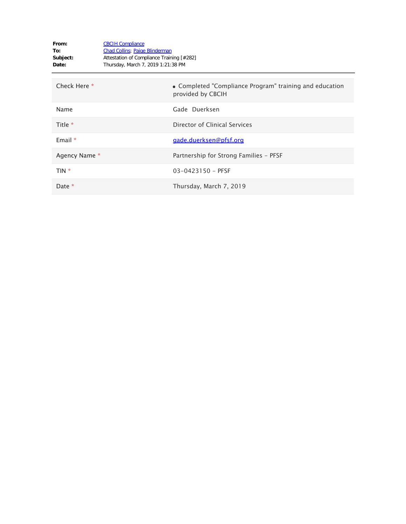| From:<br>To:<br>Subject:<br>Date: | <b>CBCIH Compliance</b><br><b>Chad Collins</b> ; Paige Blinderman<br>Attestation of Compliance Training [#282]<br>Thursday, March 7, 2019 1:21:38 PM |                                                                              |
|-----------------------------------|------------------------------------------------------------------------------------------------------------------------------------------------------|------------------------------------------------------------------------------|
| Check Here *                      |                                                                                                                                                      | • Completed "Compliance Program" training and education<br>provided by CBCIH |
| Name                              |                                                                                                                                                      | Gade Duerksen                                                                |
| Title *                           |                                                                                                                                                      | Director of Clinical Services                                                |
| Email $*$                         |                                                                                                                                                      | gade.duerksen@pfsf.org                                                       |
| Agency Name *                     |                                                                                                                                                      | Partnership for Strong Families - PFSF                                       |
| TIN *                             |                                                                                                                                                      | $03 - 0423150 - PFSF$                                                        |
| Date *                            |                                                                                                                                                      | Thursday, March 7, 2019                                                      |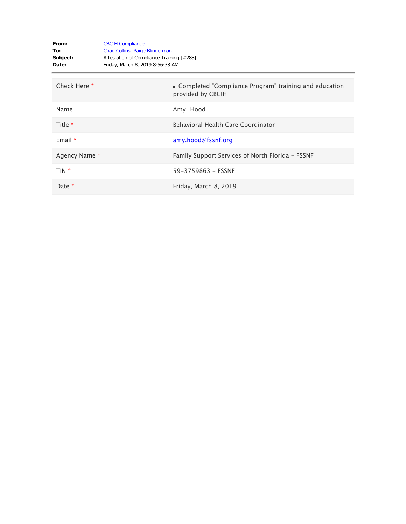| From:<br>To:<br>Subject:<br>Date: | <b>CBCIH Compliance</b><br><b>Chad Collins</b> ; Paige Blinderman<br>Attestation of Compliance Training [#283]<br>Friday, March 8, 2019 8:56:33 AM |                                                                              |
|-----------------------------------|----------------------------------------------------------------------------------------------------------------------------------------------------|------------------------------------------------------------------------------|
| Check Here *                      |                                                                                                                                                    | • Completed "Compliance Program" training and education<br>provided by CBCIH |
| Name                              |                                                                                                                                                    | Amy Hood                                                                     |
| Title *                           |                                                                                                                                                    | Behavioral Health Care Coordinator                                           |
| Email $*$                         |                                                                                                                                                    | amy.hood@fssnf.org                                                           |
| Agency Name *                     |                                                                                                                                                    | Family Support Services of North Florida - FSSNF                             |
| TIN *                             |                                                                                                                                                    | 59-3759863 - FSSNF                                                           |
| Date *                            |                                                                                                                                                    | Friday, March 8, 2019                                                        |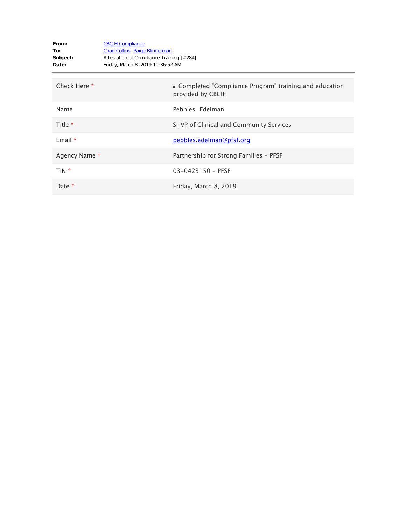| From:<br>To:<br>Subject:<br>Date: | <b>CBCIH Compliance</b><br><b>Chad Collins</b> ; Paige Blinderman<br>Attestation of Compliance Training [#284]<br>Friday, March 8, 2019 11:36:52 AM |                                                                              |
|-----------------------------------|-----------------------------------------------------------------------------------------------------------------------------------------------------|------------------------------------------------------------------------------|
| Check Here *                      |                                                                                                                                                     | • Completed "Compliance Program" training and education<br>provided by CBCIH |
| Name                              |                                                                                                                                                     | Pebbles Edelman                                                              |
| Title *                           |                                                                                                                                                     | Sr VP of Clinical and Community Services                                     |
| Email $*$                         |                                                                                                                                                     | pebbles.edelman@pfsf.org                                                     |
| Agency Name *                     |                                                                                                                                                     | Partnership for Strong Families - PFSF                                       |
| TIN *                             |                                                                                                                                                     | $03 - 0423150 - PFSF$                                                        |
| Date *                            |                                                                                                                                                     | Friday, March 8, 2019                                                        |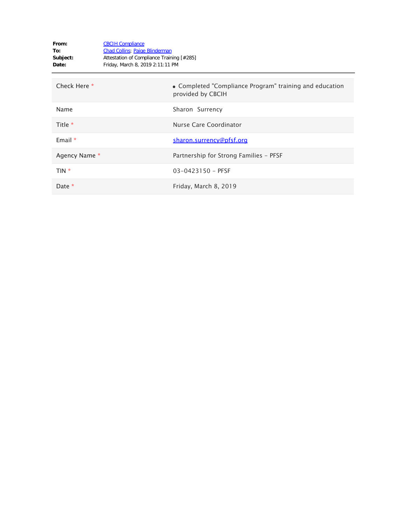| From:<br>To:<br>Subject:<br>Date: | <b>CBCIH Compliance</b><br><b>Chad Collins</b> ; Paige Blinderman<br>Attestation of Compliance Training [#285]<br>Friday, March 8, 2019 2:11:11 PM |                                                                              |
|-----------------------------------|----------------------------------------------------------------------------------------------------------------------------------------------------|------------------------------------------------------------------------------|
| Check Here *                      |                                                                                                                                                    | • Completed "Compliance Program" training and education<br>provided by CBCIH |
| Name                              |                                                                                                                                                    | Sharon Surrency                                                              |
| Title *                           |                                                                                                                                                    | Nurse Care Coordinator                                                       |
| Email $*$                         |                                                                                                                                                    | sharon.surrency@pfsf.org                                                     |
| Agency Name *                     |                                                                                                                                                    | Partnership for Strong Families - PFSF                                       |
| TIN *                             |                                                                                                                                                    | 03-0423150 - PFSF                                                            |
| Date *                            |                                                                                                                                                    | Friday, March 8, 2019                                                        |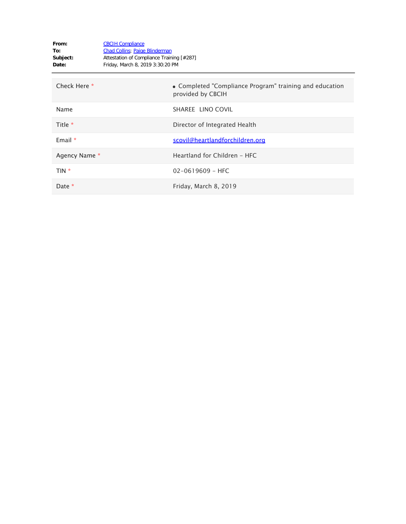| From:<br>To:<br>Subject:<br>Date: | <b>CBCIH Compliance</b><br><b>Chad Collins</b> ; Paige Blinderman<br>Attestation of Compliance Training [#287]<br>Friday, March 8, 2019 3:30:20 PM |                                                                              |
|-----------------------------------|----------------------------------------------------------------------------------------------------------------------------------------------------|------------------------------------------------------------------------------|
| Check Here *                      |                                                                                                                                                    | • Completed "Compliance Program" training and education<br>provided by CBCIH |
| Name                              |                                                                                                                                                    | SHAREE LINO COVIL                                                            |
| Title $*$                         |                                                                                                                                                    | Director of Integrated Health                                                |
| Email $*$                         |                                                                                                                                                    | scovil@heartlandforchildren.org                                              |
| Agency Name *                     |                                                                                                                                                    | Heartland for Children - HFC                                                 |
| TIN *                             |                                                                                                                                                    | $02 - 0619609 - HFC$                                                         |
| Date $*$                          |                                                                                                                                                    | Friday, March 8, 2019                                                        |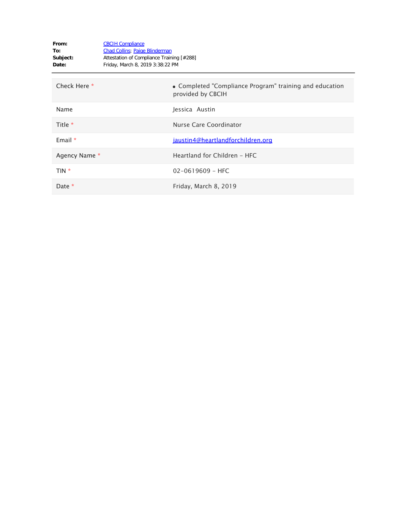| From:<br>To:<br>Subject:<br>Date: | <b>CBCIH Compliance</b><br><b>Chad Collins</b> ; Paige Blinderman<br>Attestation of Compliance Training [#288]<br>Friday, March 8, 2019 3:38:22 PM |                                                                              |
|-----------------------------------|----------------------------------------------------------------------------------------------------------------------------------------------------|------------------------------------------------------------------------------|
| Check Here *                      |                                                                                                                                                    | • Completed "Compliance Program" training and education<br>provided by CBCIH |
| Name                              |                                                                                                                                                    | Jessica Austin                                                               |
| Title *                           |                                                                                                                                                    | Nurse Care Coordinator                                                       |
| Email $*$                         |                                                                                                                                                    | jaustin4@heartlandforchildren.org                                            |
| Agency Name *                     |                                                                                                                                                    | Heartland for Children - HFC                                                 |
| TIN *                             |                                                                                                                                                    | $02 - 0619609 - HFC$                                                         |
| Date $*$                          |                                                                                                                                                    | Friday, March 8, 2019                                                        |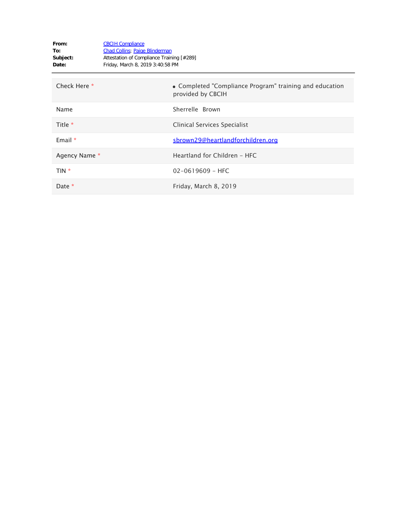| From:<br>To:<br>Subject:<br>Date: | <b>CBCIH Compliance</b><br><b>Chad Collins</b> ; Paige Blinderman<br>Attestation of Compliance Training [#289]<br>Friday, March 8, 2019 3:40:58 PM |                                                                              |
|-----------------------------------|----------------------------------------------------------------------------------------------------------------------------------------------------|------------------------------------------------------------------------------|
| Check Here *                      |                                                                                                                                                    | • Completed "Compliance Program" training and education<br>provided by CBCIH |
| Name                              |                                                                                                                                                    | Sherrelle Brown                                                              |
| Title *                           |                                                                                                                                                    | Clinical Services Specialist                                                 |
| Email $*$                         |                                                                                                                                                    | sbrown29@heartlandforchildren.org                                            |
| Agency Name *                     |                                                                                                                                                    | Heartland for Children - HFC                                                 |
| TIN <sup>*</sup>                  |                                                                                                                                                    | $02 - 0619609 - HFC$                                                         |
| Date *                            |                                                                                                                                                    | Friday, March 8, 2019                                                        |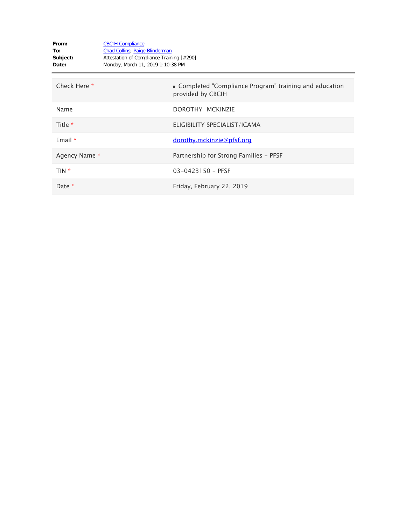| From:<br>To:<br>Subject:<br>Date: | <b>CBCIH Compliance</b><br><b>Chad Collins</b> ; Paige Blinderman<br>Attestation of Compliance Training [#290]<br>Monday, March 11, 2019 1:10:38 PM |                                                                              |
|-----------------------------------|-----------------------------------------------------------------------------------------------------------------------------------------------------|------------------------------------------------------------------------------|
| Check Here *                      |                                                                                                                                                     | • Completed "Compliance Program" training and education<br>provided by CBCIH |
| Name                              |                                                                                                                                                     | DOROTHY MCKINZIE                                                             |
| Title *                           |                                                                                                                                                     | ELIGIBILITY SPECIALIST/ICAMA                                                 |
| Email $*$                         |                                                                                                                                                     | dorothy.mckinzie@pfsf.org                                                    |
| Agency Name *                     |                                                                                                                                                     | Partnership for Strong Families - PFSF                                       |
| TIN <sup>*</sup>                  |                                                                                                                                                     | $03 - 0423150 - PFSF$                                                        |
| Date *                            |                                                                                                                                                     | Friday, February 22, 2019                                                    |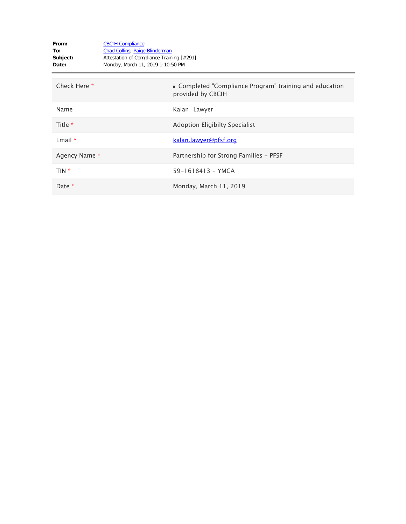| From:<br>To:<br>Subject:<br>Date: | <b>CBCIH Compliance</b><br><b>Chad Collins</b> ; Paige Blinderman<br>Attestation of Compliance Training [#291]<br>Monday, March 11, 2019 1:10:50 PM |                                                                              |
|-----------------------------------|-----------------------------------------------------------------------------------------------------------------------------------------------------|------------------------------------------------------------------------------|
| Check Here *                      |                                                                                                                                                     | • Completed "Compliance Program" training and education<br>provided by CBCIH |
| Name                              |                                                                                                                                                     | Kalan Lawyer                                                                 |
| Title *                           |                                                                                                                                                     | Adoption Eligibilty Specialist                                               |
| Email $*$                         |                                                                                                                                                     | <u>kalan.lawyer@pfsf.org</u>                                                 |
| Agency Name *                     |                                                                                                                                                     | Partnership for Strong Families - PFSF                                       |
| TIN <sup>*</sup>                  |                                                                                                                                                     | 59-1618413 - YMCA                                                            |
| Date *                            |                                                                                                                                                     | Monday, March 11, 2019                                                       |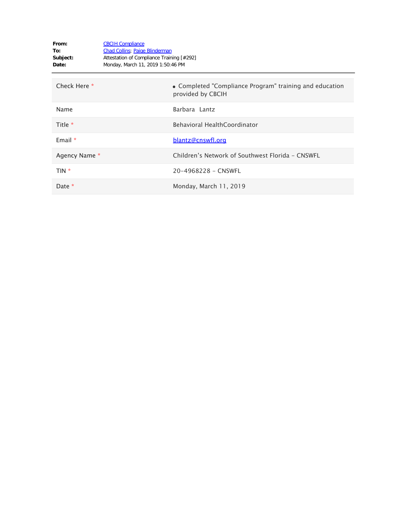| From:<br>To:<br>Subject:<br>Date: | <b>CBCIH Compliance</b><br>Chad Collins; Paige Blinderman<br>Attestation of Compliance Training [#292]<br>Monday, March 11, 2019 1:50:46 PM |                                                                              |
|-----------------------------------|---------------------------------------------------------------------------------------------------------------------------------------------|------------------------------------------------------------------------------|
| Check Here *                      |                                                                                                                                             | • Completed "Compliance Program" training and education<br>provided by CBCIH |
| Name                              |                                                                                                                                             | Barbara Lantz                                                                |
| Title *                           |                                                                                                                                             | Behavioral HealthCoordinator                                                 |
| Email $*$                         |                                                                                                                                             | blantz@cnswfl.org                                                            |
| Agency Name *                     |                                                                                                                                             | Children's Network of Southwest Florida - CNSWFL                             |
| TIN *                             |                                                                                                                                             | 20-4968228 - CNSWFL                                                          |
| Date *                            |                                                                                                                                             | Monday, March 11, 2019                                                       |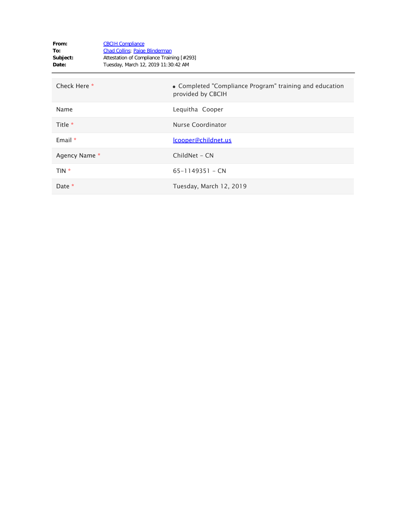| From:<br>To:<br>Subject:<br>Date: | <b>CBCIH Compliance</b><br><b>Chad Collins</b> ; Paige Blinderman<br>Attestation of Compliance Training [#293]<br>Tuesday, March 12, 2019 11:30:42 AM |                                                                              |
|-----------------------------------|-------------------------------------------------------------------------------------------------------------------------------------------------------|------------------------------------------------------------------------------|
| Check Here *                      |                                                                                                                                                       | • Completed "Compliance Program" training and education<br>provided by CBCIH |
| Name                              |                                                                                                                                                       | Lequitha Cooper                                                              |
| Title $*$                         |                                                                                                                                                       | Nurse Coordinator                                                            |
| Email $*$                         |                                                                                                                                                       | lcooper@childnet.us                                                          |
| Agency Name *                     |                                                                                                                                                       | ChildNet - CN                                                                |
| TIN *                             |                                                                                                                                                       | $65 - 1149351 - CN$                                                          |
| Date $*$                          |                                                                                                                                                       | Tuesday, March 12, 2019                                                      |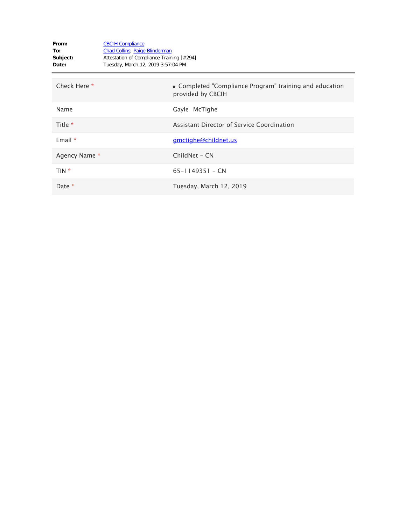| From:<br>To:<br>Subject:<br>Date: | <b>CBCIH Compliance</b><br><b>Chad Collins</b> ; Paige Blinderman<br>Attestation of Compliance Training [#294]<br>Tuesday, March 12, 2019 3:57:04 PM |                                                                              |
|-----------------------------------|------------------------------------------------------------------------------------------------------------------------------------------------------|------------------------------------------------------------------------------|
| Check Here *                      |                                                                                                                                                      | • Completed "Compliance Program" training and education<br>provided by CBCIH |
| Name                              |                                                                                                                                                      | Gayle McTighe                                                                |
| Title $*$                         |                                                                                                                                                      | Assistant Director of Service Coordination                                   |
| Email $*$                         |                                                                                                                                                      | gmctighe@childnet.us                                                         |
| Agency Name *                     |                                                                                                                                                      | ChildNet - CN                                                                |
| TIN *                             |                                                                                                                                                      | $65 - 1149351 - CN$                                                          |
| Date $*$                          |                                                                                                                                                      | Tuesday, March 12, 2019                                                      |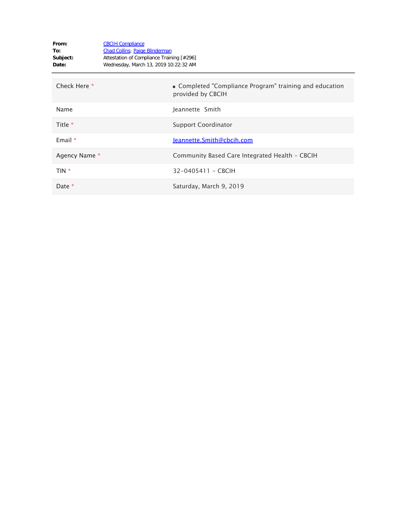| From:<br>To:<br>Subject:<br>Date: | <b>CBCIH Compliance</b><br><b>Chad Collins</b> ; Paige Blinderman<br>Attestation of Compliance Training [#296]<br>Wednesday, March 13, 2019 10:22:32 AM |                                                                              |
|-----------------------------------|---------------------------------------------------------------------------------------------------------------------------------------------------------|------------------------------------------------------------------------------|
| Check Here *                      |                                                                                                                                                         | • Completed "Compliance Program" training and education<br>provided by CBCIH |
| Name                              |                                                                                                                                                         | Jeannette Smith                                                              |
| Title *                           |                                                                                                                                                         | <b>Support Coordinator</b>                                                   |
| Email $*$                         |                                                                                                                                                         | Jeannette.Smith@cbcih.com                                                    |
| Agency Name *                     |                                                                                                                                                         | Community Based Care Integrated Health - CBCIH                               |
| TIN *                             |                                                                                                                                                         | 32-0405411 - CBCIH                                                           |
| Date *                            |                                                                                                                                                         | Saturday, March 9, 2019                                                      |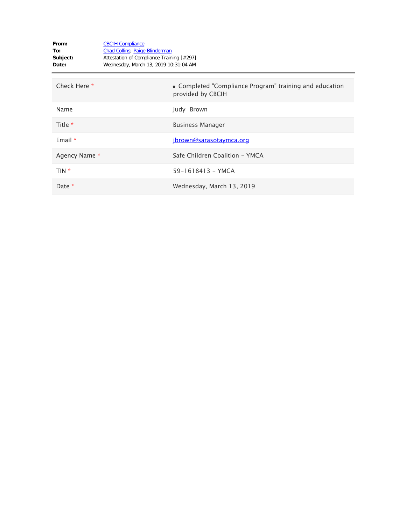| From:<br>To:<br>Subject:<br>Date: | <b>CBCIH Compliance</b><br><b>Chad Collins; Paige Blinderman</b><br>Attestation of Compliance Training [#297]<br>Wednesday, March 13, 2019 10:31:04 AM |                                                                              |
|-----------------------------------|--------------------------------------------------------------------------------------------------------------------------------------------------------|------------------------------------------------------------------------------|
| Check Here *                      |                                                                                                                                                        | • Completed "Compliance Program" training and education<br>provided by CBCIH |
| Name                              |                                                                                                                                                        | Judy Brown                                                                   |
| Title *                           |                                                                                                                                                        | <b>Business Manager</b>                                                      |
| Email $*$                         |                                                                                                                                                        | jbrown@sarasotaymca.org                                                      |
| Agency Name *                     |                                                                                                                                                        | Safe Children Coalition - YMCA                                               |
| TIN *                             |                                                                                                                                                        | 59-1618413 - YMCA                                                            |
| Date *                            |                                                                                                                                                        | Wednesday, March 13, 2019                                                    |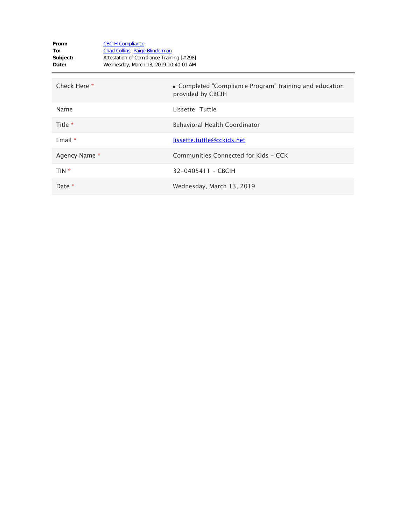| From:<br>To:<br>Subject:<br>Date: | <b>CBCIH Compliance</b><br><b>Chad Collins</b> ; Paige Blinderman<br>Attestation of Compliance Training [#298]<br>Wednesday, March 13, 2019 10:40:01 AM |                                                                              |
|-----------------------------------|---------------------------------------------------------------------------------------------------------------------------------------------------------|------------------------------------------------------------------------------|
| Check Here *                      |                                                                                                                                                         | • Completed "Compliance Program" training and education<br>provided by CBCIH |
| Name                              |                                                                                                                                                         | Lissette Tuttle                                                              |
| Title *                           |                                                                                                                                                         | <b>Behavioral Health Coordinator</b>                                         |
| Email $*$                         |                                                                                                                                                         | lissette.tuttle@cckids.net                                                   |
| Agency Name *                     |                                                                                                                                                         | Communities Connected for Kids - CCK                                         |
| TIN *                             |                                                                                                                                                         | 32-0405411 - CBCIH                                                           |
| Date *                            |                                                                                                                                                         | Wednesday, March 13, 2019                                                    |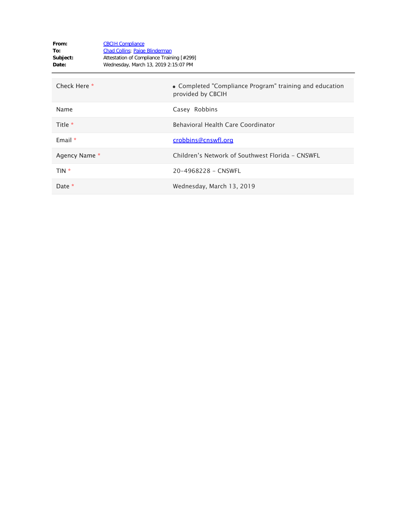| From:<br>To:<br>Subject:<br>Date: | <b>CBCIH Compliance</b><br><b>Chad Collins</b> ; Paige Blinderman<br>Attestation of Compliance Training [#299]<br>Wednesday, March 13, 2019 2:15:07 PM |                                                                              |
|-----------------------------------|--------------------------------------------------------------------------------------------------------------------------------------------------------|------------------------------------------------------------------------------|
| Check Here *                      |                                                                                                                                                        | • Completed "Compliance Program" training and education<br>provided by CBCIH |
| Name                              |                                                                                                                                                        | Casey Robbins                                                                |
| Title *                           |                                                                                                                                                        | Behavioral Health Care Coordinator                                           |
| Email $*$                         |                                                                                                                                                        | crobbins@cnswfl.org                                                          |
| Agency Name *                     |                                                                                                                                                        | Children's Network of Southwest Florida - CNSWFL                             |
| TIN *                             |                                                                                                                                                        | 20-4968228 - CNSWFL                                                          |
| Date *                            |                                                                                                                                                        | Wednesday, March 13, 2019                                                    |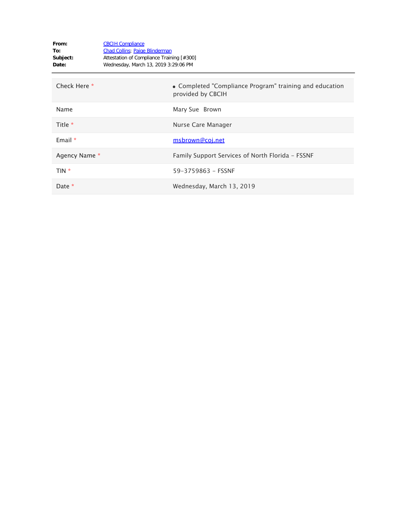| From:<br>To:<br>Subject:<br>Date: | <b>CBCIH Compliance</b><br><b>Chad Collins</b> ; Paige Blinderman<br>Attestation of Compliance Training [#300]<br>Wednesday, March 13, 2019 3:29:06 PM |                                                                              |
|-----------------------------------|--------------------------------------------------------------------------------------------------------------------------------------------------------|------------------------------------------------------------------------------|
| Check Here *                      |                                                                                                                                                        | • Completed "Compliance Program" training and education<br>provided by CBCIH |
| Name                              |                                                                                                                                                        | Mary Sue Brown                                                               |
| Title *                           |                                                                                                                                                        | Nurse Care Manager                                                           |
| Email $*$                         |                                                                                                                                                        | msbrown@coj.net                                                              |
| Agency Name *                     |                                                                                                                                                        | Family Support Services of North Florida - FSSNF                             |
| TIN *                             |                                                                                                                                                        | 59-3759863 - FSSNF                                                           |
| Date *                            |                                                                                                                                                        | Wednesday, March 13, 2019                                                    |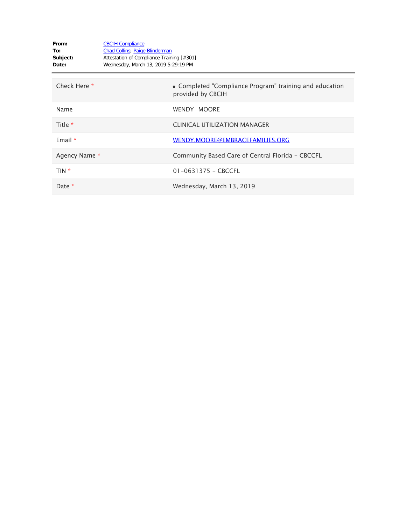| From:<br>To:<br>Subject:<br>Date: | <b>CBCIH Compliance</b><br><b>Chad Collins</b> ; Paige Blinderman<br>Attestation of Compliance Training [#301]<br>Wednesday, March 13, 2019 5:29:19 PM |                                                                              |
|-----------------------------------|--------------------------------------------------------------------------------------------------------------------------------------------------------|------------------------------------------------------------------------------|
| Check Here *                      |                                                                                                                                                        | • Completed "Compliance Program" training and education<br>provided by CBCIH |
| Name                              |                                                                                                                                                        | <b>WENDY MOORE</b>                                                           |
| Title $*$                         |                                                                                                                                                        | <b>CLINICAL UTILIZATION MANAGER</b>                                          |
| Email $*$                         |                                                                                                                                                        | WENDY.MOORE@EMBRACEFAMILIES.ORG                                              |
| Agency Name *                     |                                                                                                                                                        | Community Based Care of Central Florida - CBCCFL                             |
| TIN *                             |                                                                                                                                                        | $01 - 0631375 - CBCCFL$                                                      |
| Date *                            |                                                                                                                                                        | Wednesday, March 13, 2019                                                    |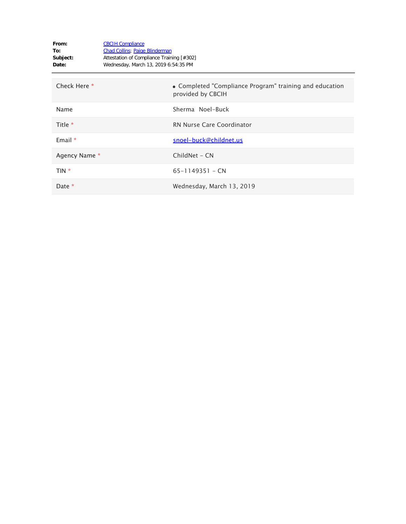| From:<br>To:<br>Subject:<br>Date: | <b>CBCIH Compliance</b><br><b>Chad Collins</b> ; Paige Blinderman<br>Attestation of Compliance Training [#302]<br>Wednesday, March 13, 2019 6:54:35 PM |                                                                              |
|-----------------------------------|--------------------------------------------------------------------------------------------------------------------------------------------------------|------------------------------------------------------------------------------|
| Check Here *                      |                                                                                                                                                        | • Completed "Compliance Program" training and education<br>provided by CBCIH |
| Name                              |                                                                                                                                                        | Sherma Noel-Buck                                                             |
| Title $*$                         |                                                                                                                                                        | RN Nurse Care Coordinator                                                    |
| Email $*$                         |                                                                                                                                                        | snoel-buck@childnet.us                                                       |
| Agency Name *                     |                                                                                                                                                        | ChildNet - CN                                                                |
| TIN *                             |                                                                                                                                                        | $65 - 1149351 - CN$                                                          |
| Date *                            |                                                                                                                                                        | Wednesday, March 13, 2019                                                    |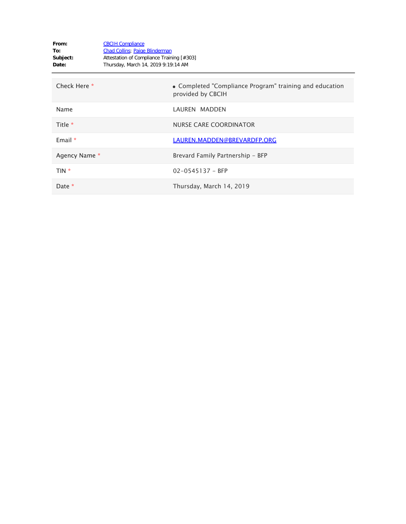| From:<br>To:<br>Subject:<br>Date: | <b>CBCIH Compliance</b><br><b>Chad Collins</b> ; Paige Blinderman<br>Attestation of Compliance Training [#303]<br>Thursday, March 14, 2019 9:19:14 AM |                                                                              |
|-----------------------------------|-------------------------------------------------------------------------------------------------------------------------------------------------------|------------------------------------------------------------------------------|
| Check Here *                      |                                                                                                                                                       | • Completed "Compliance Program" training and education<br>provided by CBCIH |
| Name                              |                                                                                                                                                       | LAUREN MADDEN                                                                |
| Title $*$                         |                                                                                                                                                       | NURSE CARE COORDINATOR                                                       |
| Email $*$                         |                                                                                                                                                       | LAUREN.MADDEN@BREVARDFP.ORG                                                  |
| Agency Name *                     |                                                                                                                                                       | Brevard Family Partnership - BFP                                             |
| TIN *                             |                                                                                                                                                       | $02 - 0545137 - BFP$                                                         |
| Date *                            |                                                                                                                                                       | Thursday, March 14, 2019                                                     |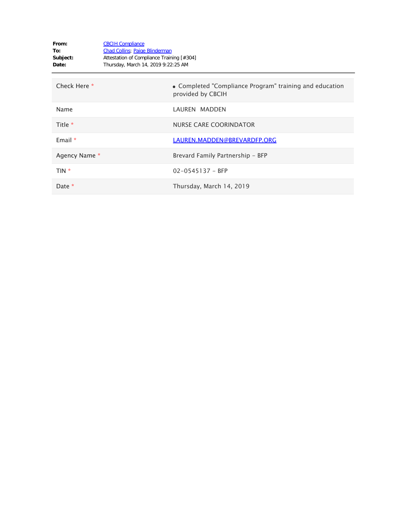| From:<br>To:<br>Subject:<br>Date: | <b>CBCIH Compliance</b><br><b>Chad Collins</b> ; Paige Blinderman<br>Attestation of Compliance Training [#304]<br>Thursday, March 14, 2019 9:22:25 AM |                                                                              |
|-----------------------------------|-------------------------------------------------------------------------------------------------------------------------------------------------------|------------------------------------------------------------------------------|
| Check Here *                      |                                                                                                                                                       | • Completed "Compliance Program" training and education<br>provided by CBCIH |
| Name                              |                                                                                                                                                       | LAUREN MADDEN                                                                |
| Title *                           |                                                                                                                                                       | NURSE CARE COORINDATOR                                                       |
| Email $*$                         |                                                                                                                                                       | LAUREN.MADDEN@BREVARDFP.ORG                                                  |
| Agency Name *                     |                                                                                                                                                       | Brevard Family Partnership - BFP                                             |
| TIN *                             |                                                                                                                                                       | $02 - 0545137 - BFP$                                                         |
| Date *                            |                                                                                                                                                       | Thursday, March 14, 2019                                                     |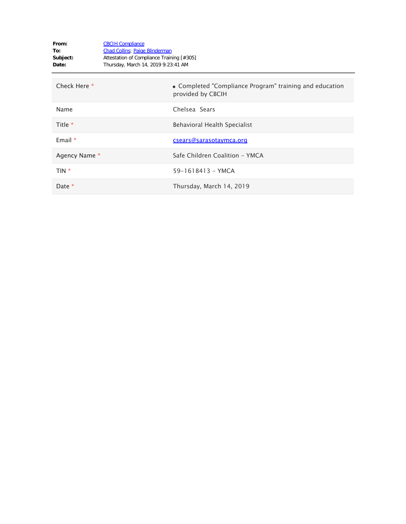| From:<br>To:<br>Subject:<br>Date: | <b>CBCIH Compliance</b><br><b>Chad Collins</b> ; Paige Blinderman<br>Attestation of Compliance Training [#305]<br>Thursday, March 14, 2019 9:23:41 AM |                                                                              |
|-----------------------------------|-------------------------------------------------------------------------------------------------------------------------------------------------------|------------------------------------------------------------------------------|
| Check Here *                      |                                                                                                                                                       | • Completed "Compliance Program" training and education<br>provided by CBCIH |
| Name                              |                                                                                                                                                       | Chelsea Sears                                                                |
| Title $*$                         |                                                                                                                                                       | Behavioral Health Specialist                                                 |
| Email $*$                         |                                                                                                                                                       | csears@sarasotaymca.org                                                      |
| Agency Name *                     |                                                                                                                                                       | Safe Children Coalition - YMCA                                               |
| $TIN *$                           |                                                                                                                                                       | 59-1618413 - YMCA                                                            |
| Date $*$                          |                                                                                                                                                       | Thursday, March 14, 2019                                                     |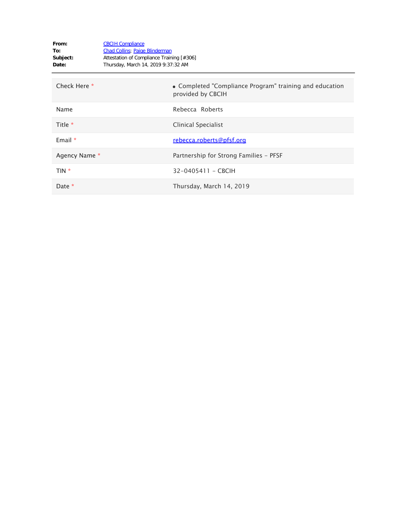| From:<br>To:<br>Subject:<br>Date: | <b>CBCIH Compliance</b><br><b>Chad Collins</b> ; Paige Blinderman<br>Attestation of Compliance Training [#306]<br>Thursday, March 14, 2019 9:37:32 AM |                                                                              |
|-----------------------------------|-------------------------------------------------------------------------------------------------------------------------------------------------------|------------------------------------------------------------------------------|
| Check Here *                      |                                                                                                                                                       | • Completed "Compliance Program" training and education<br>provided by CBCIH |
| Name                              |                                                                                                                                                       | Rebecca Roberts                                                              |
| Title $*$                         |                                                                                                                                                       | Clinical Specialist                                                          |
| Email $*$                         |                                                                                                                                                       | rebecca.roberts@pfsf.org                                                     |
| Agency Name *                     |                                                                                                                                                       | Partnership for Strong Families - PFSF                                       |
| TIN *                             |                                                                                                                                                       | 32-0405411 - CBCIH                                                           |
| Date $*$                          |                                                                                                                                                       | Thursday, March 14, 2019                                                     |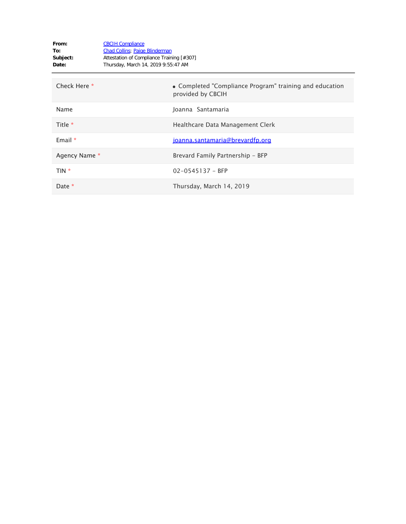| From:<br>To:<br>Subject:<br>Date: | <b>CBCIH Compliance</b><br><b>Chad Collins</b> ; Paige Blinderman<br>Attestation of Compliance Training [#307]<br>Thursday, March 14, 2019 9:55:47 AM |                                                                              |
|-----------------------------------|-------------------------------------------------------------------------------------------------------------------------------------------------------|------------------------------------------------------------------------------|
| Check Here *                      |                                                                                                                                                       | • Completed "Compliance Program" training and education<br>provided by CBCIH |
| Name                              |                                                                                                                                                       | Joanna Santamaria                                                            |
| Title $*$                         |                                                                                                                                                       | Healthcare Data Management Clerk                                             |
| Email $*$                         |                                                                                                                                                       | joanna.santamaria@brevardfp.org                                              |
| Agency Name *                     |                                                                                                                                                       | Brevard Family Partnership - BFP                                             |
| TIN *                             |                                                                                                                                                       | $02 - 0545137 - BFP$                                                         |
| Date *                            |                                                                                                                                                       | Thursday, March 14, 2019                                                     |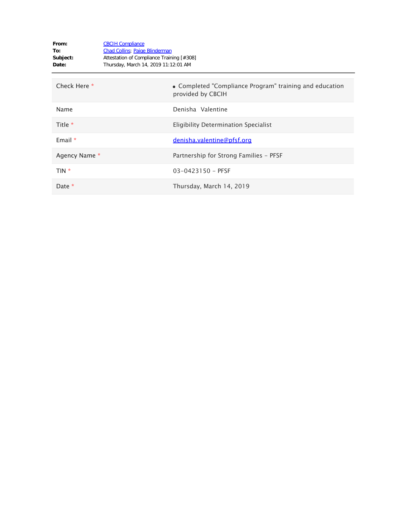| From:<br>To:<br>Subject:<br>Date: | <b>CBCIH Compliance</b><br><b>Chad Collins</b> ; Paige Blinderman<br>Attestation of Compliance Training [#308]<br>Thursday, March 14, 2019 11:12:01 AM |                                                                              |
|-----------------------------------|--------------------------------------------------------------------------------------------------------------------------------------------------------|------------------------------------------------------------------------------|
| Check Here *                      |                                                                                                                                                        | • Completed "Compliance Program" training and education<br>provided by CBCIH |
| Name                              |                                                                                                                                                        | Denisha Valentine                                                            |
| Title $*$                         |                                                                                                                                                        | Eligibility Determination Specialist                                         |
| Email $*$                         |                                                                                                                                                        | denisha.valentine@pfsf.org                                                   |
| Agency Name *                     |                                                                                                                                                        | Partnership for Strong Families - PFSF                                       |
| TIN *                             |                                                                                                                                                        | $03 - 0423150 - PFSF$                                                        |
| Date *                            |                                                                                                                                                        | Thursday, March 14, 2019                                                     |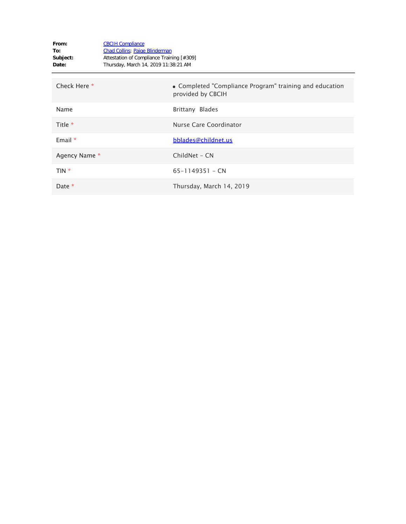| From:<br>To:<br>Subject:<br>Date: | <b>CBCIH Compliance</b><br><b>Chad Collins</b> ; Paige Blinderman<br>Attestation of Compliance Training [#309]<br>Thursday, March 14, 2019 11:38:21 AM |                                                                              |
|-----------------------------------|--------------------------------------------------------------------------------------------------------------------------------------------------------|------------------------------------------------------------------------------|
| Check Here *                      |                                                                                                                                                        | • Completed "Compliance Program" training and education<br>provided by CBCIH |
| Name                              |                                                                                                                                                        | Brittany Blades                                                              |
| Title $*$                         |                                                                                                                                                        | Nurse Care Coordinator                                                       |
| Email $*$                         |                                                                                                                                                        | bblades@childnet.us                                                          |
| Agency Name *                     |                                                                                                                                                        | ChildNet - CN                                                                |
| TIN *                             |                                                                                                                                                        | $65 - 1149351 - CN$                                                          |
| Date *                            |                                                                                                                                                        | Thursday, March 14, 2019                                                     |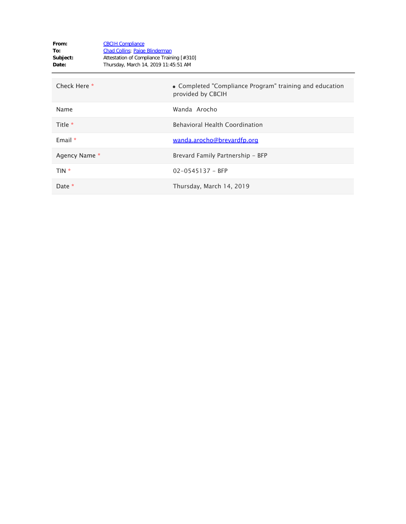| From:<br>To:<br>Subject:<br>Date: | <b>CBCIH Compliance</b><br><b>Chad Collins</b> ; Paige Blinderman<br>Attestation of Compliance Training [#310]<br>Thursday, March 14, 2019 11:45:51 AM |                                                                              |
|-----------------------------------|--------------------------------------------------------------------------------------------------------------------------------------------------------|------------------------------------------------------------------------------|
| Check Here *                      |                                                                                                                                                        | • Completed "Compliance Program" training and education<br>provided by CBCIH |
| Name                              |                                                                                                                                                        | Wanda Arocho                                                                 |
| Title *                           |                                                                                                                                                        | <b>Behavioral Health Coordination</b>                                        |
| Email $*$                         |                                                                                                                                                        | wanda.arocho@brevardfp.org                                                   |
| Agency Name *                     |                                                                                                                                                        | Brevard Family Partnership - BFP                                             |
| TIN *                             |                                                                                                                                                        | $02 - 0545137 - BFP$                                                         |
| Date *                            |                                                                                                                                                        | Thursday, March 14, 2019                                                     |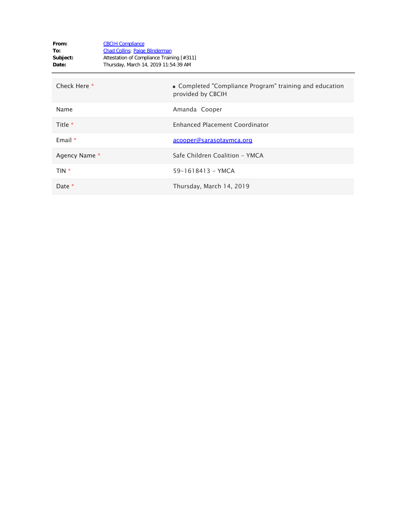| From:<br>To:<br>Subject:<br>Date: | <b>CBCIH Compliance</b><br><b>Chad Collins</b> ; Paige Blinderman<br>Attestation of Compliance Training [#311]<br>Thursday, March 14, 2019 11:54:39 AM |                                                                              |
|-----------------------------------|--------------------------------------------------------------------------------------------------------------------------------------------------------|------------------------------------------------------------------------------|
| Check Here *                      |                                                                                                                                                        | • Completed "Compliance Program" training and education<br>provided by CBCIH |
| Name                              |                                                                                                                                                        | Amanda Cooper                                                                |
| Title *                           |                                                                                                                                                        | <b>Enhanced Placement Coordinator</b>                                        |
| Email $*$                         |                                                                                                                                                        | acooper@sarasotaymca.org                                                     |
| Agency Name *                     |                                                                                                                                                        | Safe Children Coalition - YMCA                                               |
| $TIN *$                           |                                                                                                                                                        | 59-1618413 - YMCA                                                            |
| Date $*$                          |                                                                                                                                                        | Thursday, March 14, 2019                                                     |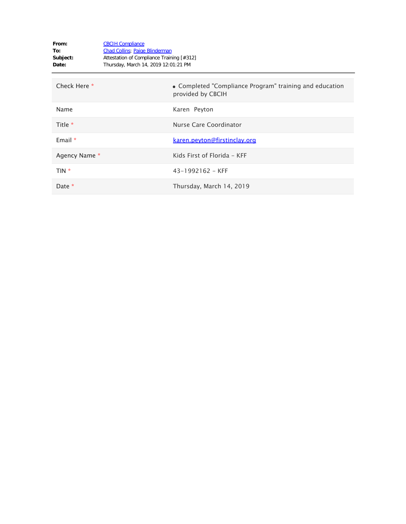| From:<br>To:<br>Subject:<br>Date: | <b>CBCIH Compliance</b><br><b>Chad Collins</b> ; Paige Blinderman<br>Attestation of Compliance Training [#312]<br>Thursday, March 14, 2019 12:01:21 PM |                                                                              |
|-----------------------------------|--------------------------------------------------------------------------------------------------------------------------------------------------------|------------------------------------------------------------------------------|
| Check Here *                      |                                                                                                                                                        | • Completed "Compliance Program" training and education<br>provided by CBCIH |
| Name                              |                                                                                                                                                        | Karen Peyton                                                                 |
| Title *                           |                                                                                                                                                        | Nurse Care Coordinator                                                       |
| Email $*$                         |                                                                                                                                                        | <u>karen.peyton@firstinclay.org</u>                                          |
| Agency Name *                     |                                                                                                                                                        | Kids First of Florida - KFF                                                  |
| TIN *                             |                                                                                                                                                        | $43 - 1992162 - KFF$                                                         |
| Date *                            |                                                                                                                                                        | Thursday, March 14, 2019                                                     |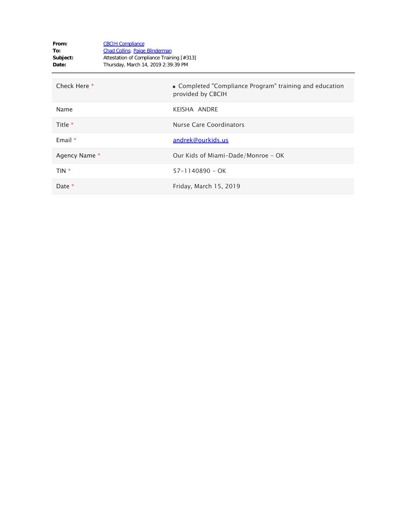| From:<br>To:<br>Subject:<br>Date: | <b>CBCIH Compliance</b><br><b>Chad Collins</b> ; Paige Blinderman<br>Attestation of Compliance Training [#313]<br>Thursday, March 14, 2019 2:39:39 PM |                                                                              |
|-----------------------------------|-------------------------------------------------------------------------------------------------------------------------------------------------------|------------------------------------------------------------------------------|
| Check Here *                      |                                                                                                                                                       | • Completed "Compliance Program" training and education<br>provided by CBCIH |
| Name                              |                                                                                                                                                       | KEISHA ANDRE                                                                 |
| Title *                           |                                                                                                                                                       | Nurse Care Coordinators                                                      |
| Email $*$                         |                                                                                                                                                       | andrek@ourkids.us                                                            |
| Agency Name *                     |                                                                                                                                                       | Our Kids of Miami-Dade/Monroe - OK                                           |
| TIN *                             |                                                                                                                                                       | $57 - 1140890 - OK$                                                          |
| Date *                            |                                                                                                                                                       | Friday, March 15, 2019                                                       |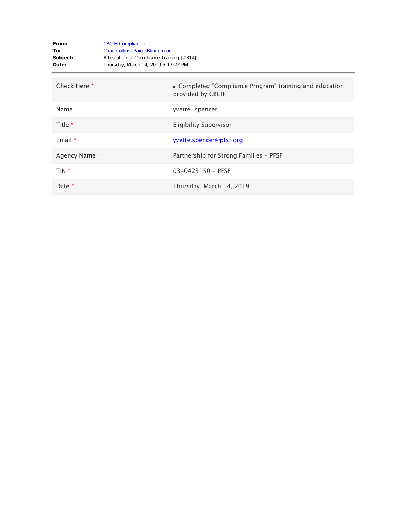| From:<br>To:<br>Subject:<br>Date: | <b>CBCIH Compliance</b><br><b>Chad Collins</b> ; Paige Blinderman<br>Attestation of Compliance Training [#314]<br>Thursday, March 14, 2019 5:17:22 PM |                                                                              |
|-----------------------------------|-------------------------------------------------------------------------------------------------------------------------------------------------------|------------------------------------------------------------------------------|
| Check Here *                      |                                                                                                                                                       | • Completed "Compliance Program" training and education<br>provided by CBCIH |
| Name                              |                                                                                                                                                       | yvette spencer                                                               |
| Title *                           |                                                                                                                                                       | <b>Eligibility Supervisor</b>                                                |
| Email $*$                         |                                                                                                                                                       | <u>vvette.spencer@pfsf.org</u>                                               |
| Agency Name *                     |                                                                                                                                                       | Partnership for Strong Families - PFSF                                       |
| $TIN *$                           |                                                                                                                                                       | $03 - 0423150 - PFSF$                                                        |
| Date $*$                          |                                                                                                                                                       | Thursday, March 14, 2019                                                     |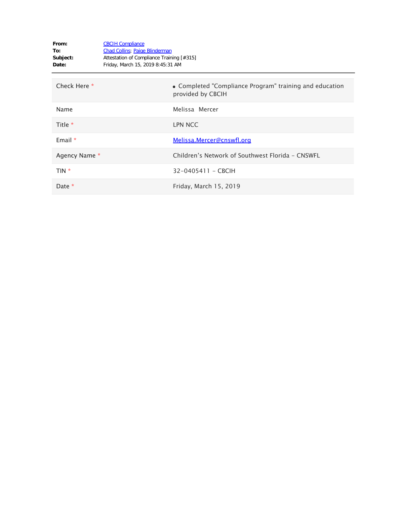| From:<br>To:<br>Subject:<br>Date: | <b>CBCIH Compliance</b><br><b>Chad Collins</b> ; Paige Blinderman<br>Attestation of Compliance Training [#315]<br>Friday, March 15, 2019 8:45:31 AM |                                                                              |
|-----------------------------------|-----------------------------------------------------------------------------------------------------------------------------------------------------|------------------------------------------------------------------------------|
| Check Here *                      |                                                                                                                                                     | • Completed "Compliance Program" training and education<br>provided by CBCIH |
| Name                              |                                                                                                                                                     | Melissa Mercer                                                               |
| Title *                           |                                                                                                                                                     | <b>LPN NCC</b>                                                               |
| Email $*$                         |                                                                                                                                                     | Melissa.Mercer@cnswfl.org                                                    |
| Agency Name *                     |                                                                                                                                                     | Children's Network of Southwest Florida - CNSWFL                             |
| TIN *                             |                                                                                                                                                     | 32-0405411 - CBCIH                                                           |
| Date *                            |                                                                                                                                                     | Friday, March 15, 2019                                                       |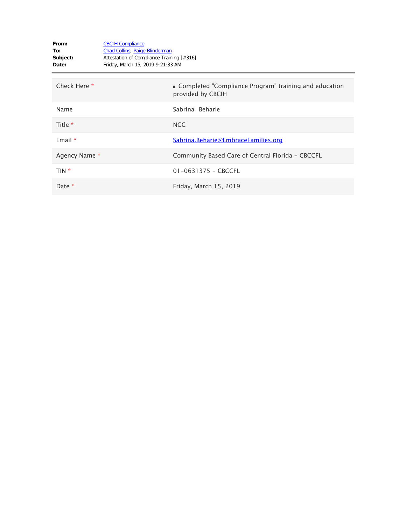| From:<br>To:<br>Subject:<br>Date: | <b>CBCIH Compliance</b><br>Chad Collins; Paige Blinderman<br>Attestation of Compliance Training [#316]<br>Friday, March 15, 2019 9:21:33 AM |                                                                              |
|-----------------------------------|---------------------------------------------------------------------------------------------------------------------------------------------|------------------------------------------------------------------------------|
| Check Here *                      |                                                                                                                                             | • Completed "Compliance Program" training and education<br>provided by CBCIH |
| Name                              |                                                                                                                                             | Sabrina Beharie                                                              |
| Title *                           |                                                                                                                                             | <b>NCC</b>                                                                   |
| Email $*$                         |                                                                                                                                             | Sabrina.Beharie@EmbraceFamilies.org                                          |
| Agency Name *                     |                                                                                                                                             | Community Based Care of Central Florida - CBCCFL                             |
| TIN *                             |                                                                                                                                             | $01 - 0631375 - CBCCFL$                                                      |
| Date *                            |                                                                                                                                             | Friday, March 15, 2019                                                       |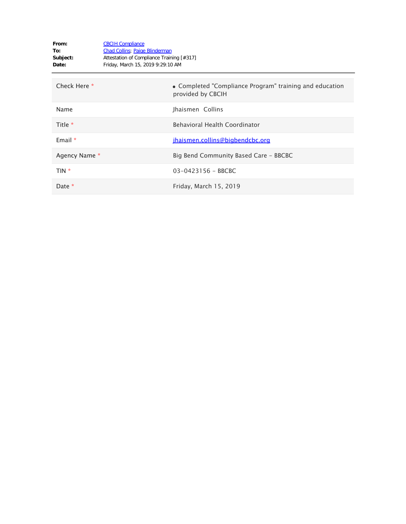| From:<br>To:<br>Subject:<br>Date: | <b>CBCIH Compliance</b><br><b>Chad Collins</b> ; Paige Blinderman<br>Attestation of Compliance Training [#317]<br>Friday, March 15, 2019 9:29:10 AM |                                                                              |
|-----------------------------------|-----------------------------------------------------------------------------------------------------------------------------------------------------|------------------------------------------------------------------------------|
| Check Here *                      |                                                                                                                                                     | • Completed "Compliance Program" training and education<br>provided by CBCIH |
| Name                              |                                                                                                                                                     | Jhaismen Collins                                                             |
| Title *                           |                                                                                                                                                     | <b>Behavioral Health Coordinator</b>                                         |
| Email $*$                         |                                                                                                                                                     | jhaismen.collins@bigbendcbc.org                                              |
| Agency Name *                     |                                                                                                                                                     | Big Bend Community Based Care - BBCBC                                        |
| TIN *                             |                                                                                                                                                     | 03-0423156 - BBCBC                                                           |
| Date *                            |                                                                                                                                                     | Friday, March 15, 2019                                                       |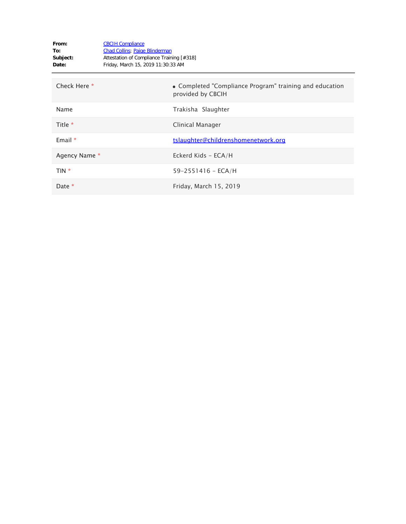| From:<br>To:<br>Subject:<br>Date: | <b>CBCIH Compliance</b><br><b>Chad Collins</b> ; Paige Blinderman<br>Attestation of Compliance Training [#318]<br>Friday, March 15, 2019 11:30:33 AM |                                                                              |
|-----------------------------------|------------------------------------------------------------------------------------------------------------------------------------------------------|------------------------------------------------------------------------------|
| Check Here *                      |                                                                                                                                                      | • Completed "Compliance Program" training and education<br>provided by CBCIH |
| Name                              |                                                                                                                                                      | Trakisha Slaughter                                                           |
| Title *                           |                                                                                                                                                      | Clinical Manager                                                             |
| Email $*$                         |                                                                                                                                                      | tslaughter@childrenshomenetwork.org                                          |
| Agency Name *                     |                                                                                                                                                      | Eckerd Kids - ECA/H                                                          |
| TIN *                             |                                                                                                                                                      | $59 - 2551416 - ECA/H$                                                       |
| Date *                            |                                                                                                                                                      | Friday, March 15, 2019                                                       |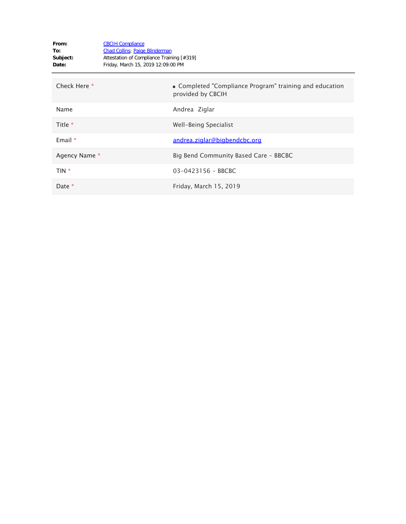| From:<br>To:<br>Subject:<br>Date: | <b>CBCIH Compliance</b><br><b>Chad Collins</b> ; Paige Blinderman<br>Attestation of Compliance Training [#319]<br>Friday, March 15, 2019 12:09:00 PM |                                                                              |
|-----------------------------------|------------------------------------------------------------------------------------------------------------------------------------------------------|------------------------------------------------------------------------------|
| Check Here *                      |                                                                                                                                                      | • Completed "Compliance Program" training and education<br>provided by CBCIH |
| Name                              |                                                                                                                                                      | Andrea Ziglar                                                                |
| Title $*$                         |                                                                                                                                                      | Well-Being Specialist                                                        |
| Email $*$                         |                                                                                                                                                      | andrea.ziglar@bigbendcbc.org                                                 |
| Agency Name *                     |                                                                                                                                                      | Big Bend Community Based Care - BBCBC                                        |
| TIN *                             |                                                                                                                                                      | $03 - 0423156 - BBCBC$                                                       |
| Date *                            |                                                                                                                                                      | Friday, March 15, 2019                                                       |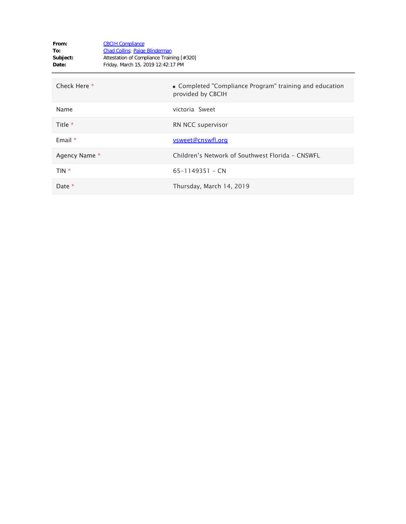| From:<br>To:<br>Subject:<br>Date: | <b>CBCIH Compliance</b><br><b>Chad Collins</b> ; Paige Blinderman<br>Attestation of Compliance Training [#320]<br>Friday, March 15, 2019 12:42:17 PM |                                                                              |
|-----------------------------------|------------------------------------------------------------------------------------------------------------------------------------------------------|------------------------------------------------------------------------------|
| Check Here *                      |                                                                                                                                                      | • Completed "Compliance Program" training and education<br>provided by CBCIH |
| Name                              |                                                                                                                                                      | victoria Sweet                                                               |
| Title *                           |                                                                                                                                                      | RN NCC supervisor                                                            |
| Email $*$                         |                                                                                                                                                      | <u>vsweet@cnswfl.org</u>                                                     |
| Agency Name *                     |                                                                                                                                                      | Children's Network of Southwest Florida - CNSWFL                             |
| TIN *                             |                                                                                                                                                      | $65 - 1149351 - CN$                                                          |
| Date *                            |                                                                                                                                                      | Thursday, March 14, 2019                                                     |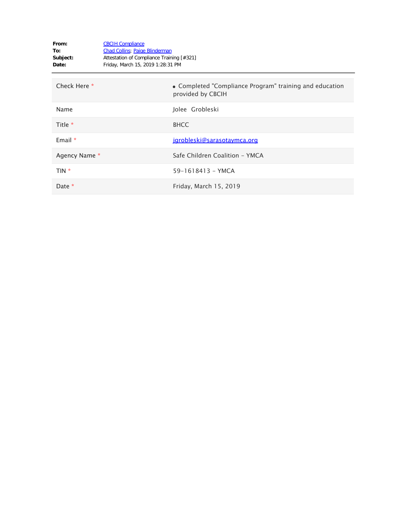| From:<br>To:<br>Subject:<br>Date: | <b>CBCIH Compliance</b><br><b>Chad Collins</b> ; Paige Blinderman<br>Attestation of Compliance Training [#321]<br>Friday, March 15, 2019 1:28:31 PM |                                                                              |
|-----------------------------------|-----------------------------------------------------------------------------------------------------------------------------------------------------|------------------------------------------------------------------------------|
| Check Here *                      |                                                                                                                                                     | • Completed "Compliance Program" training and education<br>provided by CBCIH |
| Name                              |                                                                                                                                                     | Jolee Grobleski                                                              |
| Title *                           |                                                                                                                                                     | <b>BHCC</b>                                                                  |
| Email $*$                         |                                                                                                                                                     | jgrobleski@sarasotaymca.org                                                  |
| Agency Name *                     |                                                                                                                                                     | Safe Children Coalition - YMCA                                               |
| TIN *                             |                                                                                                                                                     | 59-1618413 - YMCA                                                            |
| Date *                            |                                                                                                                                                     | Friday, March 15, 2019                                                       |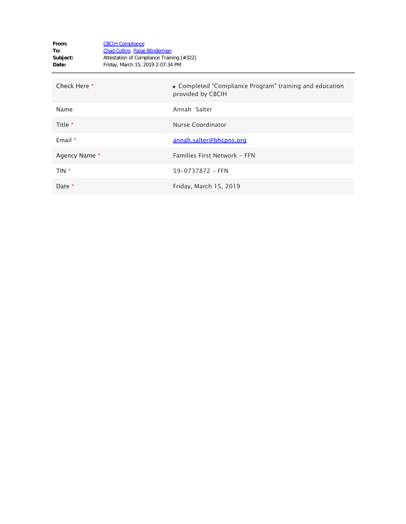| From:<br>To:<br>Subject:<br>Date: | <b>CBCIH Compliance</b><br><b>Chad Collins</b> ; Paige Blinderman<br>Attestation of Compliance Training [#322]<br>Friday, March 15, 2019 2:07:34 PM |                                                                              |
|-----------------------------------|-----------------------------------------------------------------------------------------------------------------------------------------------------|------------------------------------------------------------------------------|
| Check Here *                      |                                                                                                                                                     | • Completed "Compliance Program" training and education<br>provided by CBCIH |
| Name                              |                                                                                                                                                     | Annah Salter                                                                 |
| Title *                           |                                                                                                                                                     | Nurse Coordinator                                                            |
| Email $*$                         |                                                                                                                                                     | annah.salter@bhcpns.org                                                      |
| Agency Name *                     |                                                                                                                                                     | Families First Network - FFN                                                 |
| TIN *                             |                                                                                                                                                     | 59-0737872 - FFN                                                             |
| Date *                            |                                                                                                                                                     | Friday, March 15, 2019                                                       |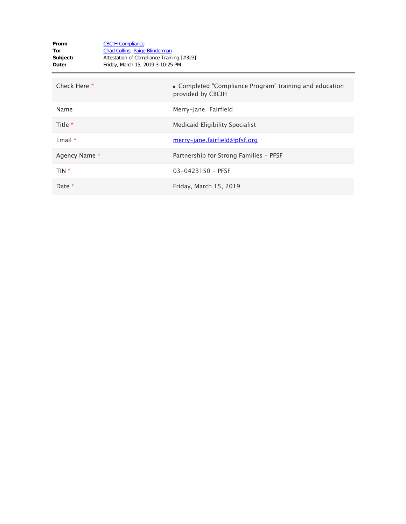| From:<br>To:<br>Subject:<br>Date: | <b>CBCIH Compliance</b><br><b>Chad Collins</b> ; Paige Blinderman<br>Attestation of Compliance Training [#323]<br>Friday, March 15, 2019 3:10:25 PM |                                                                              |
|-----------------------------------|-----------------------------------------------------------------------------------------------------------------------------------------------------|------------------------------------------------------------------------------|
| Check Here *                      |                                                                                                                                                     | • Completed "Compliance Program" training and education<br>provided by CBCIH |
| Name                              |                                                                                                                                                     | Merry-Jane Fairfield                                                         |
| Title *                           |                                                                                                                                                     | Medicaid Eligibility Specialist                                              |
| Email *                           |                                                                                                                                                     | <u>merry-jane.fairfield@pfsf.org</u>                                         |
| Agency Name *                     |                                                                                                                                                     | Partnership for Strong Families - PFSF                                       |
| TIN *                             |                                                                                                                                                     | $03 - 0423150 - PFSF$                                                        |
| Date *                            |                                                                                                                                                     | Friday, March 15, 2019                                                       |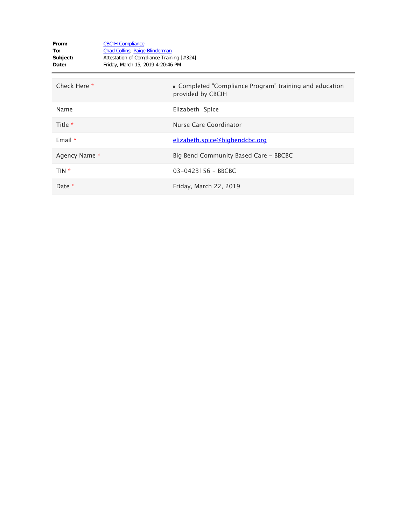| From:<br>To:<br>Subject:<br>Date: | <b>CBCIH Compliance</b><br><b>Chad Collins</b> ; Paige Blinderman<br>Attestation of Compliance Training [#324]<br>Friday, March 15, 2019 4:20:46 PM |                                                                              |
|-----------------------------------|-----------------------------------------------------------------------------------------------------------------------------------------------------|------------------------------------------------------------------------------|
| Check Here *                      |                                                                                                                                                     | • Completed "Compliance Program" training and education<br>provided by CBCIH |
| Name                              |                                                                                                                                                     | Elizabeth Spice                                                              |
| Title $*$                         |                                                                                                                                                     | Nurse Care Coordinator                                                       |
| Email $*$                         |                                                                                                                                                     | elizabeth.spice@bigbendcbc.org                                               |
| Agency Name *                     |                                                                                                                                                     | Big Bend Community Based Care - BBCBC                                        |
| TIN *                             |                                                                                                                                                     | $03 - 0423156 - BBCBC$                                                       |
| Date $*$                          |                                                                                                                                                     | Friday, March 22, 2019                                                       |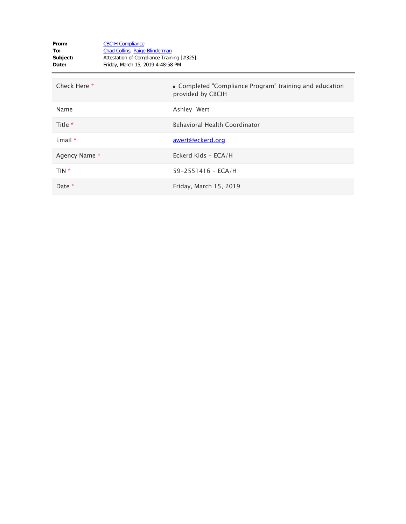| From:<br>To:<br>Subject:<br>Date: | <b>CBCIH Compliance</b><br><b>Chad Collins</b> ; Paige Blinderman<br>Attestation of Compliance Training [#325]<br>Friday, March 15, 2019 4:48:58 PM |
|-----------------------------------|-----------------------------------------------------------------------------------------------------------------------------------------------------|
| Check Here *                      | • Completed "Compliance Program" training and education<br>provided by CBCIH                                                                        |
| Name                              | Ashley Wert                                                                                                                                         |
| Title *                           | <b>Behavioral Health Coordinator</b>                                                                                                                |
| Email $*$                         | awert@eckerd.org                                                                                                                                    |
| Agency Name *                     | Eckerd Kids - ECA/H                                                                                                                                 |
| TIN *                             | $59 - 2551416 - ECA/H$                                                                                                                              |
| Date *                            | Friday, March 15, 2019                                                                                                                              |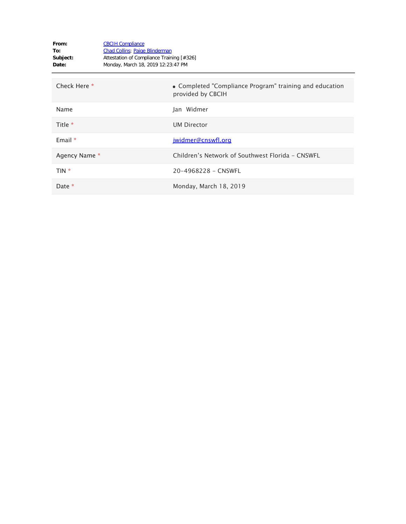| From:<br>To:<br>Subject:<br>Date: | <b>CBCIH Compliance</b><br><b>Chad Collins</b> ; Paige Blinderman<br>Attestation of Compliance Training [#326]<br>Monday, March 18, 2019 12:23:47 PM |
|-----------------------------------|------------------------------------------------------------------------------------------------------------------------------------------------------|
| Check Here *                      | • Completed "Compliance Program" training and education<br>provided by CBCIH                                                                         |
| Name                              | Jan Widmer                                                                                                                                           |
| Title *                           | <b>UM Director</b>                                                                                                                                   |
| Email $*$                         | jwidmer@cnswfl.org                                                                                                                                   |
| Agency Name *                     | Children's Network of Southwest Florida - CNSWFL                                                                                                     |
| TIN *                             | 20-4968228 - CNSWFL                                                                                                                                  |
| Date *                            | Monday, March 18, 2019                                                                                                                               |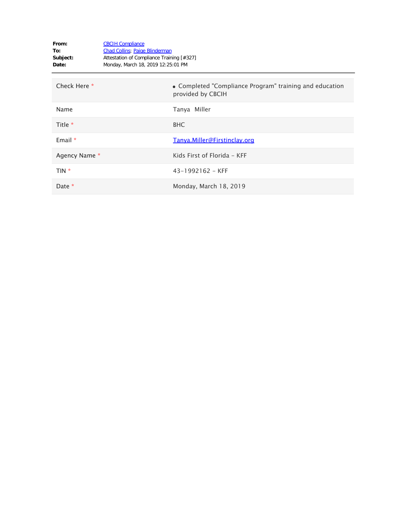| From:<br>To:<br>Subject:<br>Date: | <b>CBCIH Compliance</b><br><b>Chad Collins</b> ; Paige Blinderman<br>Attestation of Compliance Training [#327]<br>Monday, March 18, 2019 12:25:01 PM |                                                                              |
|-----------------------------------|------------------------------------------------------------------------------------------------------------------------------------------------------|------------------------------------------------------------------------------|
| Check Here *                      |                                                                                                                                                      | • Completed "Compliance Program" training and education<br>provided by CBCIH |
| Name                              |                                                                                                                                                      | Tanya Miller                                                                 |
| Title *                           |                                                                                                                                                      | <b>BHC</b>                                                                   |
| Email $*$                         |                                                                                                                                                      | Tanya.Miller@Firstinclay.org                                                 |
| Agency Name *                     |                                                                                                                                                      | Kids First of Florida - KFF                                                  |
| TIN *                             |                                                                                                                                                      | $43 - 1992162 - KFF$                                                         |
| Date *                            |                                                                                                                                                      | Monday, March 18, 2019                                                       |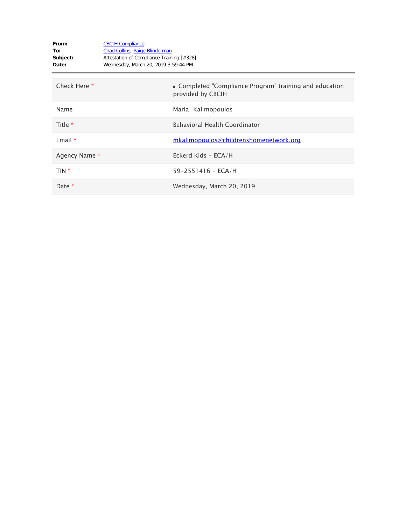| From:<br>To:<br>Subject:<br>Date: | <b>CBCIH Compliance</b><br><b>Chad Collins</b> ; Paige Blinderman<br>Attestation of Compliance Training [#328]<br>Wednesday, March 20, 2019 3:59:44 PM |                                                                              |
|-----------------------------------|--------------------------------------------------------------------------------------------------------------------------------------------------------|------------------------------------------------------------------------------|
| Check Here *                      |                                                                                                                                                        | • Completed "Compliance Program" training and education<br>provided by CBCIH |
| Name                              |                                                                                                                                                        | Maria Kalimopoulos                                                           |
| Title $*$                         |                                                                                                                                                        | <b>Behavioral Health Coordinator</b>                                         |
| Email $*$                         |                                                                                                                                                        | mkalimopoulos@childrenshomenetwork.org                                       |
| Agency Name *                     |                                                                                                                                                        | Eckerd Kids - ECA/H                                                          |
| TIN *                             |                                                                                                                                                        | $59 - 2551416 - ECA/H$                                                       |
| Date $*$                          |                                                                                                                                                        | Wednesday, March 20, 2019                                                    |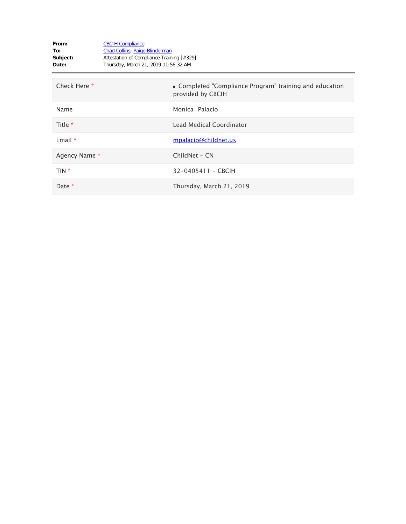| From:<br>To:<br>Subject:<br>Date: | <b>CBCIH Compliance</b><br><b>Chad Collins</b> ; Paige Blinderman<br>Attestation of Compliance Training [#329]<br>Thursday, March 21, 2019 11:56:32 AM |                                                                              |
|-----------------------------------|--------------------------------------------------------------------------------------------------------------------------------------------------------|------------------------------------------------------------------------------|
| Check Here *                      |                                                                                                                                                        | • Completed "Compliance Program" training and education<br>provided by CBCIH |
| Name                              |                                                                                                                                                        | Monica Palacio                                                               |
| Title $*$                         |                                                                                                                                                        | Lead Medical Coordinator                                                     |
| Email $*$                         |                                                                                                                                                        | mpalacio@childnet.us                                                         |
| Agency Name *                     |                                                                                                                                                        | ChildNet - CN                                                                |
| TIN *                             |                                                                                                                                                        | 32-0405411 - CBCIH                                                           |
| Date *                            |                                                                                                                                                        | Thursday, March 21, 2019                                                     |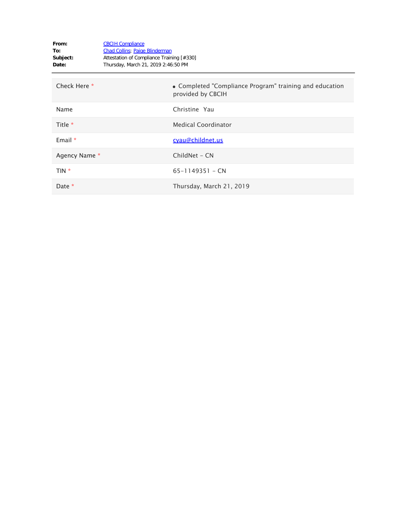| From:<br>To:<br>Subject:<br>Date: | <b>CBCIH Compliance</b><br>Chad Collins; Paige Blinderman<br>Attestation of Compliance Training [#330]<br>Thursday, March 21, 2019 2:46:50 PM |                                                                              |
|-----------------------------------|-----------------------------------------------------------------------------------------------------------------------------------------------|------------------------------------------------------------------------------|
| Check Here *                      |                                                                                                                                               | • Completed "Compliance Program" training and education<br>provided by CBCIH |
| Name                              |                                                                                                                                               | Christine Yau                                                                |
| Title $*$                         |                                                                                                                                               | <b>Medical Coordinator</b>                                                   |
| Email $*$                         |                                                                                                                                               | cyau@childnet.us                                                             |
| Agency Name *                     |                                                                                                                                               | ChildNet - CN                                                                |
| TIN *                             |                                                                                                                                               | $65 - 1149351 - CN$                                                          |
| Date *                            |                                                                                                                                               | Thursday, March 21, 2019                                                     |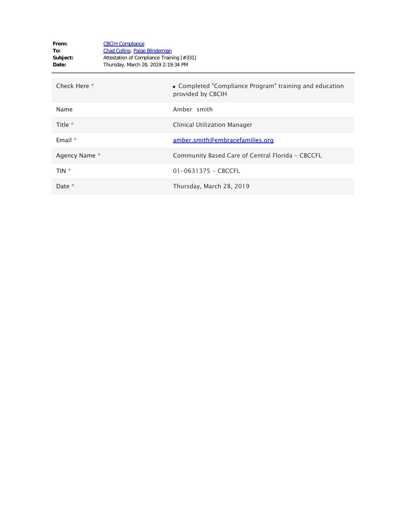| From:<br>To:<br>Subject:<br>Date: | <b>CBCIH Compliance</b><br><b>Chad Collins</b> ; Paige Blinderman<br>Attestation of Compliance Training [#331]<br>Thursday, March 28, 2019 2:19:34 PM |                                                                              |
|-----------------------------------|-------------------------------------------------------------------------------------------------------------------------------------------------------|------------------------------------------------------------------------------|
| Check Here *                      |                                                                                                                                                       | • Completed "Compliance Program" training and education<br>provided by CBCIH |
| Name                              |                                                                                                                                                       | Amber smith                                                                  |
| Title *                           |                                                                                                                                                       | Clinical Utilization Manager                                                 |
| Email $*$                         |                                                                                                                                                       | <u>amber.smith@embracefamilies.org</u>                                       |
| Agency Name *                     |                                                                                                                                                       | Community Based Care of Central Florida - CBCCFL                             |
| TIN *                             |                                                                                                                                                       | $01 - 0631375 - CBCCFL$                                                      |
| Date *                            |                                                                                                                                                       | Thursday, March 28, 2019                                                     |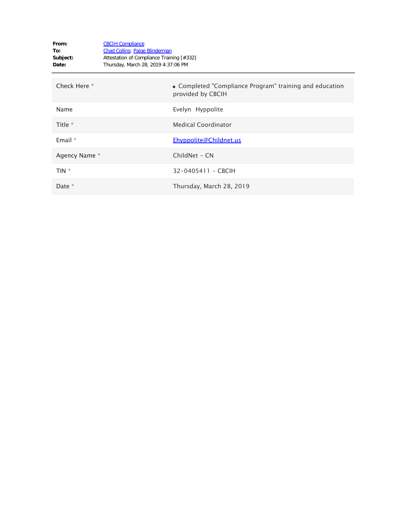| From:<br>To:<br>Subject:<br>Date: | <b>CBCIH Compliance</b><br><b>Chad Collins</b> ; Paige Blinderman<br>Attestation of Compliance Training [#332]<br>Thursday, March 28, 2019 4:37:06 PM |                                                                              |
|-----------------------------------|-------------------------------------------------------------------------------------------------------------------------------------------------------|------------------------------------------------------------------------------|
| Check Here *                      |                                                                                                                                                       | • Completed "Compliance Program" training and education<br>provided by CBCIH |
| Name                              |                                                                                                                                                       | Evelyn Hyppolite                                                             |
| Title *                           |                                                                                                                                                       | <b>Medical Coordinator</b>                                                   |
| Email $*$                         |                                                                                                                                                       | Ehyppolite@Childnet.us                                                       |
| Agency Name *                     |                                                                                                                                                       | ChildNet - CN                                                                |
| TIN *                             |                                                                                                                                                       | 32-0405411 - CBCIH                                                           |
| Date *                            |                                                                                                                                                       | Thursday, March 28, 2019                                                     |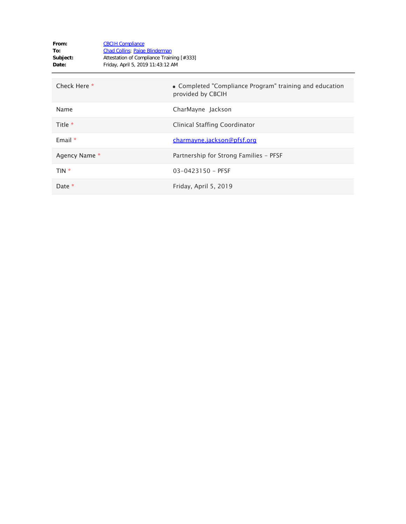| From:<br>To:<br>Subject:<br>Date: | <b>CBCIH Compliance</b><br><b>Chad Collins</b> ; Paige Blinderman<br>Attestation of Compliance Training [#333]<br>Friday, April 5, 2019 11:43:12 AM |                                                                              |
|-----------------------------------|-----------------------------------------------------------------------------------------------------------------------------------------------------|------------------------------------------------------------------------------|
| Check Here *                      |                                                                                                                                                     | • Completed "Compliance Program" training and education<br>provided by CBCIH |
| Name                              |                                                                                                                                                     | CharMayne Jackson                                                            |
| Title *                           |                                                                                                                                                     | Clinical Staffing Coordinator                                                |
| Email *                           |                                                                                                                                                     | charmayne.jackson@pfsf.org                                                   |
| Agency Name *                     |                                                                                                                                                     | Partnership for Strong Families - PFSF                                       |
| TIN *                             |                                                                                                                                                     | $03 - 0423150 - PFSF$                                                        |
| Date *                            |                                                                                                                                                     | Friday, April 5, 2019                                                        |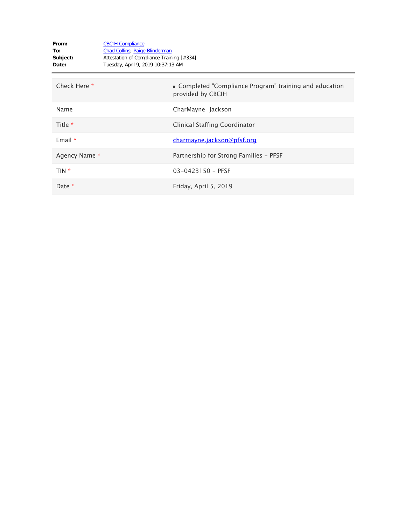| From:<br>To:<br>Subject:<br>Date: | <b>CBCIH Compliance</b><br><b>Chad Collins</b> ; Paige Blinderman<br>Attestation of Compliance Training [#334]<br>Tuesday, April 9, 2019 10:37:13 AM |                                                                              |
|-----------------------------------|------------------------------------------------------------------------------------------------------------------------------------------------------|------------------------------------------------------------------------------|
| Check Here *                      |                                                                                                                                                      | • Completed "Compliance Program" training and education<br>provided by CBCIH |
| Name                              |                                                                                                                                                      | CharMayne Jackson                                                            |
| Title *                           |                                                                                                                                                      | Clinical Staffing Coordinator                                                |
| Email $*$                         |                                                                                                                                                      | charmayne.jackson@pfsf.org                                                   |
| Agency Name *                     |                                                                                                                                                      | Partnership for Strong Families - PFSF                                       |
| $TIN *$                           |                                                                                                                                                      | $03 - 0423150 - PFSF$                                                        |
| Date *                            |                                                                                                                                                      | Friday, April 5, 2019                                                        |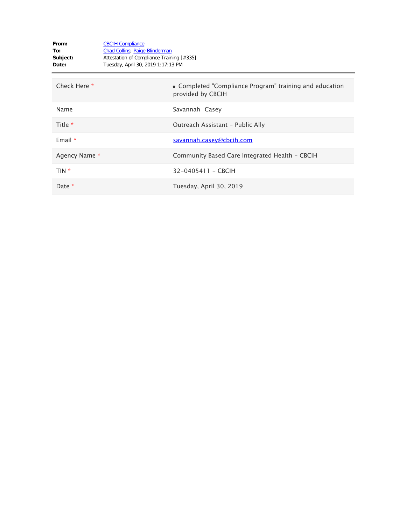| From:<br>To:<br>Subject:<br>Date: | <b>CBCIH Compliance</b><br><b>Chad Collins</b> ; Paige Blinderman<br>Attestation of Compliance Training [#335]<br>Tuesday, April 30, 2019 1:17:13 PM |                                                                              |
|-----------------------------------|------------------------------------------------------------------------------------------------------------------------------------------------------|------------------------------------------------------------------------------|
| Check Here *                      |                                                                                                                                                      | • Completed "Compliance Program" training and education<br>provided by CBCIH |
| Name                              |                                                                                                                                                      | Savannah Casey                                                               |
| Title $*$                         |                                                                                                                                                      | Outreach Assistant - Public Ally                                             |
| Email $*$                         |                                                                                                                                                      | savannah.casey@cbcih.com                                                     |
| Agency Name *                     |                                                                                                                                                      | Community Based Care Integrated Health - CBCIH                               |
| TIN *                             |                                                                                                                                                      | 32-0405411 - CBCIH                                                           |
| Date $*$                          |                                                                                                                                                      | Tuesday, April 30, 2019                                                      |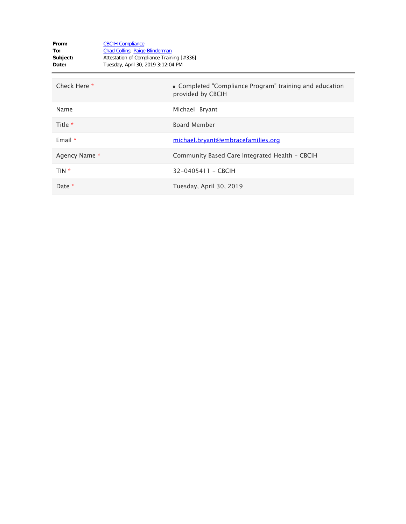| From:<br>To:<br>Subject:<br>Date: | <b>CBCIH Compliance</b><br><b>Chad Collins</b> ; Paige Blinderman<br>Attestation of Compliance Training [#336]<br>Tuesday, April 30, 2019 3:12:04 PM |                                                                              |
|-----------------------------------|------------------------------------------------------------------------------------------------------------------------------------------------------|------------------------------------------------------------------------------|
| Check Here *                      |                                                                                                                                                      | • Completed "Compliance Program" training and education<br>provided by CBCIH |
| Name                              |                                                                                                                                                      | Michael Bryant                                                               |
| Title *                           |                                                                                                                                                      | <b>Board Member</b>                                                          |
| Email $*$                         |                                                                                                                                                      | michael.bryant@embracefamilies.org                                           |
| Agency Name *                     |                                                                                                                                                      | Community Based Care Integrated Health - CBCIH                               |
| TIN *                             |                                                                                                                                                      | 32-0405411 - CBCIH                                                           |
| Date *                            |                                                                                                                                                      | Tuesday, April 30, 2019                                                      |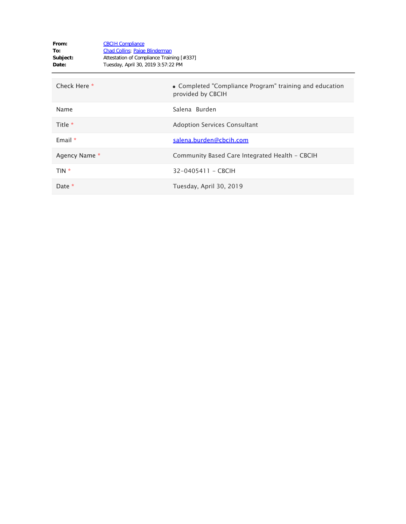| From:<br>To:<br>Subject:<br>Date: | <b>CBCIH Compliance</b><br><b>Chad Collins</b> ; Paige Blinderman<br>Attestation of Compliance Training [#337]<br>Tuesday, April 30, 2019 3:57:22 PM |                                                                              |
|-----------------------------------|------------------------------------------------------------------------------------------------------------------------------------------------------|------------------------------------------------------------------------------|
| Check Here *                      |                                                                                                                                                      | • Completed "Compliance Program" training and education<br>provided by CBCIH |
| Name                              |                                                                                                                                                      | Salena Burden                                                                |
| Title *                           |                                                                                                                                                      | <b>Adoption Services Consultant</b>                                          |
| Email $*$                         |                                                                                                                                                      | salena.burden@cbcih.com                                                      |
| Agency Name *                     |                                                                                                                                                      | Community Based Care Integrated Health - CBCIH                               |
| TIN *                             |                                                                                                                                                      | 32-0405411 - CBCIH                                                           |
| Date *                            |                                                                                                                                                      | Tuesday, April 30, 2019                                                      |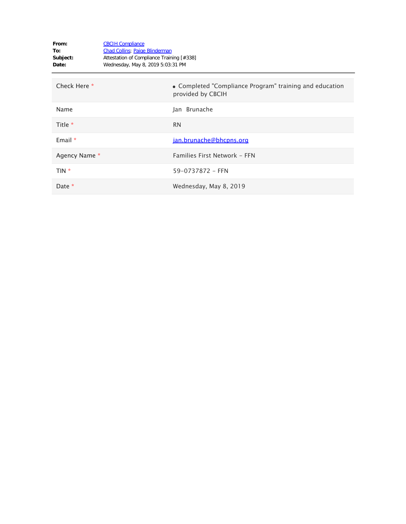| From:<br>To:<br>Subject:<br>Date: | <b>CBCIH Compliance</b><br><b>Chad Collins</b> ; Paige Blinderman<br>Attestation of Compliance Training [#338]<br>Wednesday, May 8, 2019 5:03:31 PM |                                                                              |
|-----------------------------------|-----------------------------------------------------------------------------------------------------------------------------------------------------|------------------------------------------------------------------------------|
| Check Here *                      |                                                                                                                                                     | • Completed "Compliance Program" training and education<br>provided by CBCIH |
| Name                              |                                                                                                                                                     | Jan Brunache                                                                 |
| Title *                           |                                                                                                                                                     | <b>RN</b>                                                                    |
| Email *                           |                                                                                                                                                     | jan.brunache@bhcpns.org                                                      |
| Agency Name *                     |                                                                                                                                                     | Families First Network - FFN                                                 |
| TIN *                             |                                                                                                                                                     | 59-0737872 - FFN                                                             |
| Date *                            |                                                                                                                                                     | Wednesday, May 8, 2019                                                       |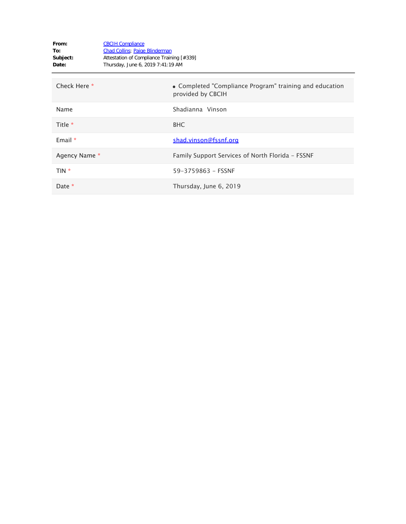| From:<br>To:<br>Subject:<br>Date: | <b>CBCIH Compliance</b><br><b>Chad Collins</b> ; Paige Blinderman<br>Attestation of Compliance Training [#339]<br>Thursday, June 6, 2019 7:41:19 AM |                                                                              |
|-----------------------------------|-----------------------------------------------------------------------------------------------------------------------------------------------------|------------------------------------------------------------------------------|
| Check Here *                      |                                                                                                                                                     | • Completed "Compliance Program" training and education<br>provided by CBCIH |
| Name                              |                                                                                                                                                     | Shadianna Vinson                                                             |
| Title *                           |                                                                                                                                                     | <b>BHC</b>                                                                   |
| Email $*$                         |                                                                                                                                                     | shad.vinson@fssnf.org                                                        |
| Agency Name *                     |                                                                                                                                                     | Family Support Services of North Florida - FSSNF                             |
| TIN *                             |                                                                                                                                                     | 59-3759863 - FSSNF                                                           |
| Date *                            |                                                                                                                                                     | Thursday, June 6, 2019                                                       |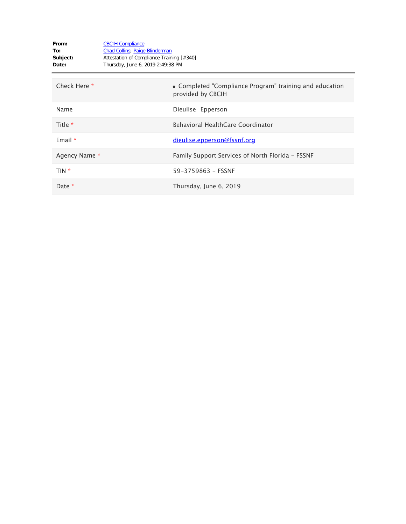| From:<br>To:<br>Subject:<br>Date: | <b>CBCIH Compliance</b><br><b>Chad Collins</b> ; Paige Blinderman<br>Attestation of Compliance Training [#340]<br>Thursday, June 6, 2019 2:49:38 PM |                                                                              |
|-----------------------------------|-----------------------------------------------------------------------------------------------------------------------------------------------------|------------------------------------------------------------------------------|
| Check Here *                      |                                                                                                                                                     | • Completed "Compliance Program" training and education<br>provided by CBCIH |
| Name                              |                                                                                                                                                     | Dieulise Epperson                                                            |
| Title $*$                         |                                                                                                                                                     | Behavioral HealthCare Coordinator                                            |
| Email $*$                         |                                                                                                                                                     | dieulise.epperson@fssnf.org                                                  |
| Agency Name *                     |                                                                                                                                                     | Family Support Services of North Florida - FSSNF                             |
| TIN *                             |                                                                                                                                                     | 59-3759863 - FSSNF                                                           |
| Date $*$                          |                                                                                                                                                     | Thursday, June 6, 2019                                                       |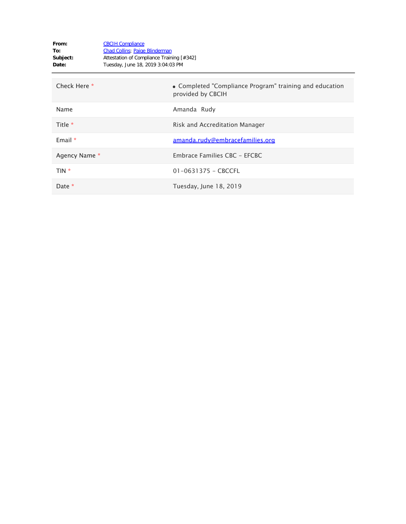| From:<br>To:<br>Subject:<br>Date: | <b>CBCIH Compliance</b><br><b>Chad Collins</b> ; Paige Blinderman<br>Attestation of Compliance Training [#342]<br>Tuesday, June 18, 2019 3:04:03 PM |                                                                              |
|-----------------------------------|-----------------------------------------------------------------------------------------------------------------------------------------------------|------------------------------------------------------------------------------|
| Check Here *                      |                                                                                                                                                     | • Completed "Compliance Program" training and education<br>provided by CBCIH |
| Name                              |                                                                                                                                                     | Amanda Rudy                                                                  |
| Title $*$                         |                                                                                                                                                     | Risk and Accreditation Manager                                               |
| Email $*$                         |                                                                                                                                                     | amanda.rudy@embracefamilies.org                                              |
| Agency Name *                     |                                                                                                                                                     | Embrace Families CBC - EFCBC                                                 |
| TIN *                             |                                                                                                                                                     | $01 - 0631375 - CBCCFL$                                                      |
| Date *                            |                                                                                                                                                     | Tuesday, June 18, 2019                                                       |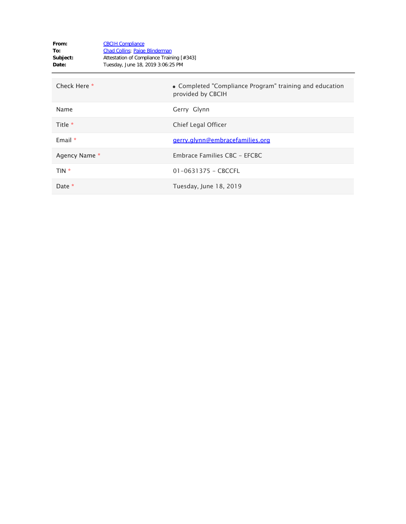| From:<br>To:<br>Subject:<br>Date: | <b>CBCIH Compliance</b><br><b>Chad Collins</b> ; Paige Blinderman<br>Attestation of Compliance Training [#343]<br>Tuesday, June 18, 2019 3:06:25 PM |                                                                              |
|-----------------------------------|-----------------------------------------------------------------------------------------------------------------------------------------------------|------------------------------------------------------------------------------|
| Check Here *                      |                                                                                                                                                     | • Completed "Compliance Program" training and education<br>provided by CBCIH |
| Name                              |                                                                                                                                                     | Gerry Glynn                                                                  |
| Title *                           |                                                                                                                                                     | Chief Legal Officer                                                          |
| Email $*$                         |                                                                                                                                                     | gerry.glynn@embracefamilies.org                                              |
| Agency Name *                     |                                                                                                                                                     | Embrace Families CBC - EFCBC                                                 |
| $TIN *$                           |                                                                                                                                                     | $01 - 0631375 - CBCCFL$                                                      |
| Date $*$                          |                                                                                                                                                     | Tuesday, June 18, 2019                                                       |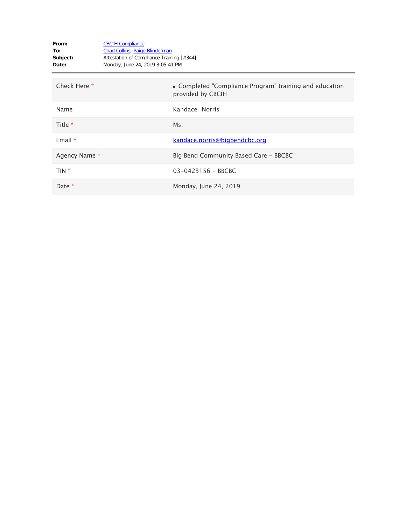| From:<br>To:<br>Subject:<br>Date: | <b>CBCIH Compliance</b><br><b>Chad Collins</b> ; Paige Blinderman<br>Attestation of Compliance Training [#344]<br>Monday, June 24, 2019 3:05:41 PM |                                                                              |
|-----------------------------------|----------------------------------------------------------------------------------------------------------------------------------------------------|------------------------------------------------------------------------------|
| Check Here *                      |                                                                                                                                                    | • Completed "Compliance Program" training and education<br>provided by CBCIH |
| Name                              |                                                                                                                                                    | Kandace Norris                                                               |
| Title *                           |                                                                                                                                                    | Ms.                                                                          |
| Email *                           |                                                                                                                                                    | kandace.norris@bigbendcbc.org                                                |
| Agency Name *                     |                                                                                                                                                    | Big Bend Community Based Care - BBCBC                                        |
| TIN *                             |                                                                                                                                                    | 03-0423156 - BBCBC                                                           |
| Date *                            |                                                                                                                                                    | Monday, June 24, 2019                                                        |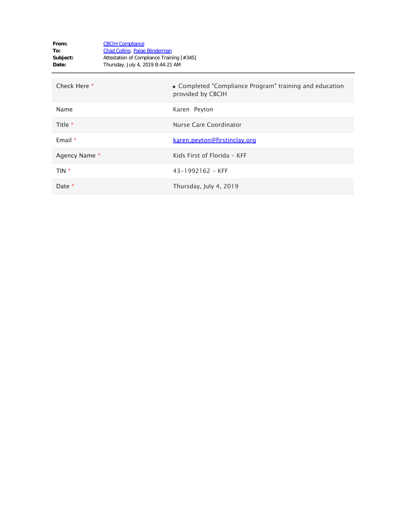| From:<br>To:<br>Subject:<br>Date: | <b>CBCIH Compliance</b><br><b>Chad Collins</b> ; Paige Blinderman<br>Attestation of Compliance Training [#345]<br>Thursday, July 4, 2019 8:44:21 AM |                                                                              |
|-----------------------------------|-----------------------------------------------------------------------------------------------------------------------------------------------------|------------------------------------------------------------------------------|
| Check Here *                      |                                                                                                                                                     | • Completed "Compliance Program" training and education<br>provided by CBCIH |
| Name                              |                                                                                                                                                     | Karen Peyton                                                                 |
| Title *                           |                                                                                                                                                     | Nurse Care Coordinator                                                       |
| Email $*$                         |                                                                                                                                                     | <u>karen.peyton@firstinclay.org</u>                                          |
| Agency Name *                     |                                                                                                                                                     | Kids First of Florida - KFF                                                  |
| TIN <sup>*</sup>                  |                                                                                                                                                     | $43 - 1992162 - KFF$                                                         |
| Date *                            |                                                                                                                                                     | Thursday, July 4, 2019                                                       |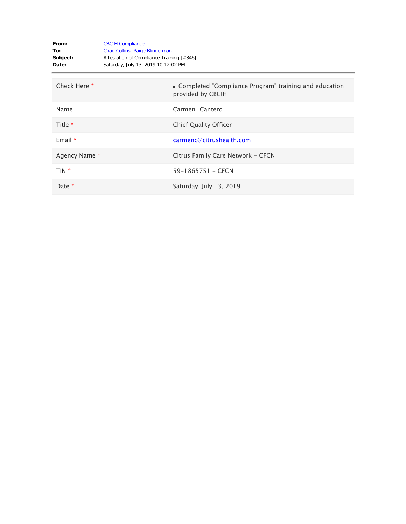| From:<br>To:<br>Subject:<br>Date: | <b>CBCIH Compliance</b><br><b>Chad Collins</b> ; Paige Blinderman<br>Attestation of Compliance Training [#346]<br>Saturday, July 13, 2019 10:12:02 PM |                                                                              |
|-----------------------------------|-------------------------------------------------------------------------------------------------------------------------------------------------------|------------------------------------------------------------------------------|
| Check Here *                      |                                                                                                                                                       | • Completed "Compliance Program" training and education<br>provided by CBCIH |
| Name                              |                                                                                                                                                       | Carmen Cantero                                                               |
| Title *                           |                                                                                                                                                       | <b>Chief Quality Officer</b>                                                 |
| Email *                           |                                                                                                                                                       | carmenc@citrushealth.com                                                     |
| Agency Name *                     |                                                                                                                                                       | Citrus Family Care Network - CFCN                                            |
| TIN *                             |                                                                                                                                                       | 59-1865751 - CFCN                                                            |
| Date *                            |                                                                                                                                                       | Saturday, July 13, 2019                                                      |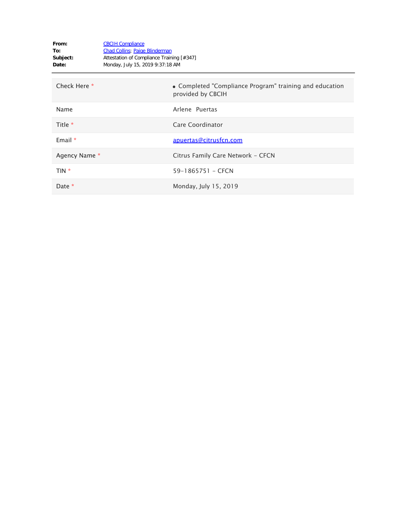| From:<br>To:<br>Subject:<br>Date: | <b>CBCIH Compliance</b><br><b>Chad Collins</b> ; Paige Blinderman<br>Attestation of Compliance Training [#347]<br>Monday, July 15, 2019 9:37:18 AM |                                                                              |
|-----------------------------------|----------------------------------------------------------------------------------------------------------------------------------------------------|------------------------------------------------------------------------------|
| Check Here *                      |                                                                                                                                                    | • Completed "Compliance Program" training and education<br>provided by CBCIH |
| Name                              |                                                                                                                                                    | Arlene Puertas                                                               |
| Title *                           |                                                                                                                                                    | Care Coordinator                                                             |
| Email $*$                         |                                                                                                                                                    | apuertas@citrusfcn.com                                                       |
| Agency Name *                     |                                                                                                                                                    | Citrus Family Care Network - CFCN                                            |
| TIN *                             |                                                                                                                                                    | 59-1865751 - CFCN                                                            |
| Date *                            |                                                                                                                                                    | Monday, July 15, 2019                                                        |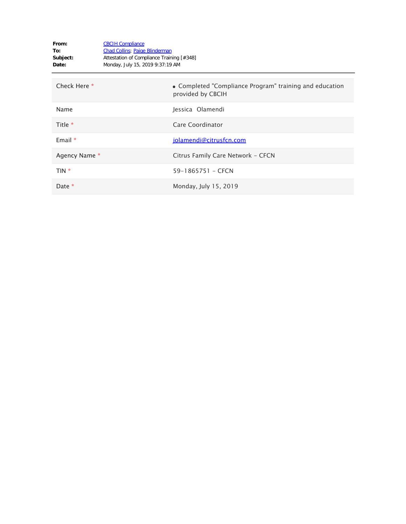| From:<br>To:<br>Subject:<br>Date: | <b>CBCIH Compliance</b><br><b>Chad Collins</b> ; Paige Blinderman<br>Attestation of Compliance Training [#348]<br>Monday, July 15, 2019 9:37:19 AM |                                                                              |
|-----------------------------------|----------------------------------------------------------------------------------------------------------------------------------------------------|------------------------------------------------------------------------------|
| Check Here *                      |                                                                                                                                                    | • Completed "Compliance Program" training and education<br>provided by CBCIH |
| Name                              |                                                                                                                                                    | Jessica Olamendi                                                             |
| Title *                           |                                                                                                                                                    | Care Coordinator                                                             |
| Email $*$                         |                                                                                                                                                    | jolamendi@citrusfcn.com                                                      |
| Agency Name *                     |                                                                                                                                                    | Citrus Family Care Network - CFCN                                            |
| TIN *                             |                                                                                                                                                    | 59-1865751 - CFCN                                                            |
| Date *                            |                                                                                                                                                    | Monday, July 15, 2019                                                        |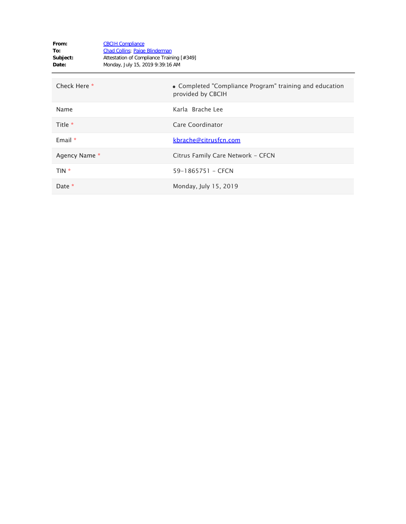| From:<br>To:<br>Subject:<br>Date: | <b>CBCIH Compliance</b><br><b>Chad Collins</b> ; Paige Blinderman<br>Attestation of Compliance Training [#349]<br>Monday, July 15, 2019 9:39:16 AM |                                                                              |
|-----------------------------------|----------------------------------------------------------------------------------------------------------------------------------------------------|------------------------------------------------------------------------------|
| Check Here *                      |                                                                                                                                                    | • Completed "Compliance Program" training and education<br>provided by CBCIH |
| Name                              |                                                                                                                                                    | Karla Brache Lee                                                             |
| Title *                           |                                                                                                                                                    | Care Coordinator                                                             |
| Email $*$                         |                                                                                                                                                    | kbrache@citrusfcn.com                                                        |
| Agency Name *                     |                                                                                                                                                    | Citrus Family Care Network - CFCN                                            |
| TIN *                             |                                                                                                                                                    | 59-1865751 - CFCN                                                            |
| Date *                            |                                                                                                                                                    | Monday, July 15, 2019                                                        |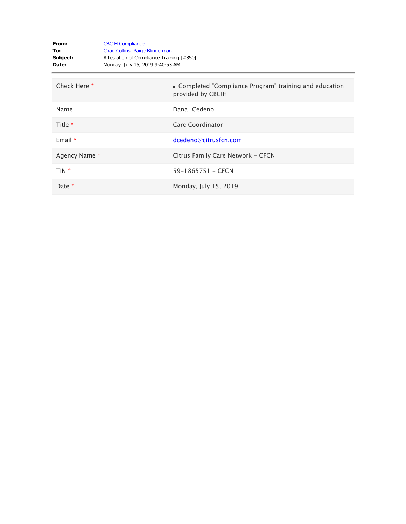| From:<br>To:<br>Subject:<br>Date: | <b>CBCIH Compliance</b><br><b>Chad Collins</b> ; Paige Blinderman<br>Attestation of Compliance Training [#350]<br>Monday, July 15, 2019 9:40:53 AM |                                                                              |
|-----------------------------------|----------------------------------------------------------------------------------------------------------------------------------------------------|------------------------------------------------------------------------------|
| Check Here *                      |                                                                                                                                                    | • Completed "Compliance Program" training and education<br>provided by CBCIH |
| Name                              |                                                                                                                                                    | Dana Cedeno                                                                  |
| Title *                           |                                                                                                                                                    | Care Coordinator                                                             |
| Email $*$                         |                                                                                                                                                    | dcedeno@citrusfcn.com                                                        |
| Agency Name *                     |                                                                                                                                                    | Citrus Family Care Network - CFCN                                            |
| TIN *                             |                                                                                                                                                    | 59-1865751 - CFCN                                                            |
| Date $*$                          |                                                                                                                                                    | Monday, July 15, 2019                                                        |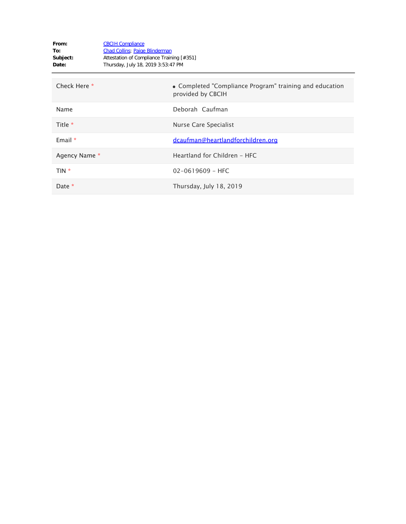| From:<br>To:<br>Subject:<br>Date: | <b>CBCIH Compliance</b><br><b>Chad Collins</b> ; Paige Blinderman<br>Attestation of Compliance Training [#351]<br>Thursday, July 18, 2019 3:53:47 PM |                                                                              |
|-----------------------------------|------------------------------------------------------------------------------------------------------------------------------------------------------|------------------------------------------------------------------------------|
| Check Here *                      |                                                                                                                                                      | • Completed "Compliance Program" training and education<br>provided by CBCIH |
| Name                              |                                                                                                                                                      | Deborah Caufman                                                              |
| Title *                           |                                                                                                                                                      | Nurse Care Specialist                                                        |
| Email $*$                         |                                                                                                                                                      | dcaufman@heartlandforchildren.org                                            |
| Agency Name *                     |                                                                                                                                                      | Heartland for Children - HFC                                                 |
| $TIN *$                           |                                                                                                                                                      | $02 - 0619609 - HFC$                                                         |
| Date $*$                          |                                                                                                                                                      | Thursday, July 18, 2019                                                      |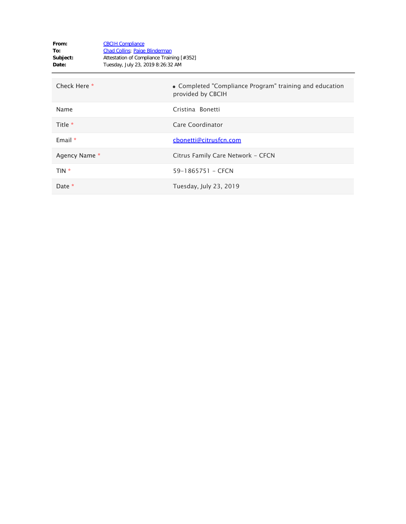| From:<br>To:<br>Subject:<br>Date: | <b>CBCIH Compliance</b><br><b>Chad Collins</b> ; Paige Blinderman<br>Attestation of Compliance Training [#352]<br>Tuesday, July 23, 2019 8:26:32 AM |                                                                              |
|-----------------------------------|-----------------------------------------------------------------------------------------------------------------------------------------------------|------------------------------------------------------------------------------|
| Check Here *                      |                                                                                                                                                     | • Completed "Compliance Program" training and education<br>provided by CBCIH |
| Name                              |                                                                                                                                                     | Cristina Bonetti                                                             |
| Title *                           |                                                                                                                                                     | Care Coordinator                                                             |
| Email $*$                         |                                                                                                                                                     | cbonetti@citrusfcn.com                                                       |
| Agency Name *                     |                                                                                                                                                     | Citrus Family Care Network - CFCN                                            |
| TIN *                             |                                                                                                                                                     | 59-1865751 - CFCN                                                            |
| Date *                            |                                                                                                                                                     | Tuesday, July 23, 2019                                                       |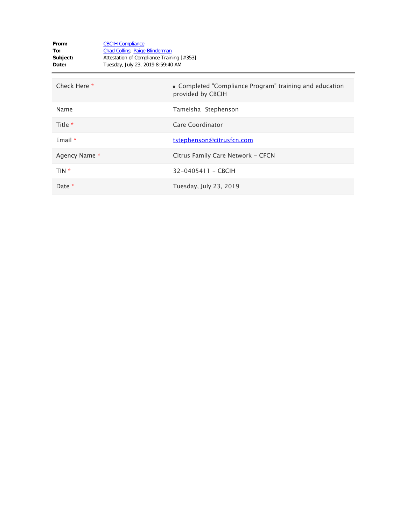| From:<br>To:<br>Subject:<br>Date: | <b>CBCIH Compliance</b><br><b>Chad Collins</b> ; Paige Blinderman<br>Attestation of Compliance Training [#353]<br>Tuesday, July 23, 2019 8:59:40 AM |                                                                              |
|-----------------------------------|-----------------------------------------------------------------------------------------------------------------------------------------------------|------------------------------------------------------------------------------|
| Check Here *                      |                                                                                                                                                     | • Completed "Compliance Program" training and education<br>provided by CBCIH |
| Name                              |                                                                                                                                                     | Tameisha Stephenson                                                          |
| Title *                           |                                                                                                                                                     | Care Coordinator                                                             |
| Email $*$                         |                                                                                                                                                     | tstephenson@citrusfcn.com                                                    |
| Agency Name *                     |                                                                                                                                                     | Citrus Family Care Network - CFCN                                            |
| TIN *                             |                                                                                                                                                     | 32-0405411 - CBCIH                                                           |
| Date *                            |                                                                                                                                                     | Tuesday, July 23, 2019                                                       |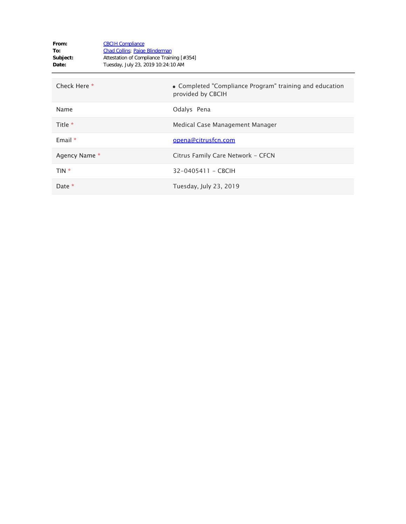| From:<br>To:<br>Subject:<br>Date: | <b>CBCIH Compliance</b><br><b>Chad Collins</b> ; Paige Blinderman<br>Attestation of Compliance Training [#354]<br>Tuesday, July 23, 2019 10:24:10 AM |                                                                              |
|-----------------------------------|------------------------------------------------------------------------------------------------------------------------------------------------------|------------------------------------------------------------------------------|
| Check Here *                      |                                                                                                                                                      | • Completed "Compliance Program" training and education<br>provided by CBCIH |
| Name                              |                                                                                                                                                      | Odalys Pena                                                                  |
| Title *                           |                                                                                                                                                      | Medical Case Management Manager                                              |
| Email $*$                         |                                                                                                                                                      | opena@citrusfcn.com                                                          |
| Agency Name *                     |                                                                                                                                                      | Citrus Family Care Network - CFCN                                            |
| $TIN *$                           |                                                                                                                                                      | 32-0405411 - CBCIH                                                           |
| Date *                            |                                                                                                                                                      | Tuesday, July 23, 2019                                                       |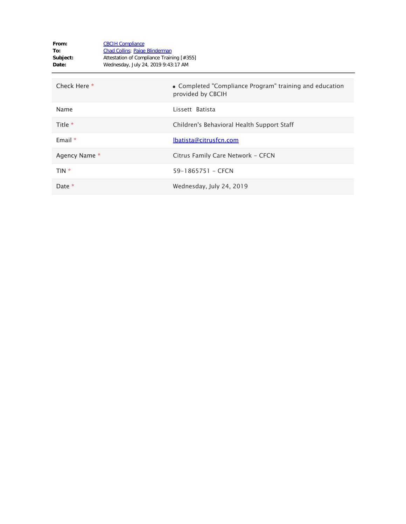| From:<br>To:<br>Subject:<br>Date: | <b>CBCIH Compliance</b><br><b>Chad Collins</b> ; Paige Blinderman<br>Attestation of Compliance Training [#355]<br>Wednesday, July 24, 2019 9:43:17 AM |  |
|-----------------------------------|-------------------------------------------------------------------------------------------------------------------------------------------------------|--|
| Check Here *                      | • Completed "Compliance Program" training and education<br>provided by CBCIH                                                                          |  |
| Name                              | Lissett Batista                                                                                                                                       |  |
| Title *                           | Children's Behavioral Health Support Staff                                                                                                            |  |
| Email $*$                         | lbatista@citrusfcn.com                                                                                                                                |  |
| Agency Name *                     | Citrus Family Care Network - CFCN                                                                                                                     |  |
| TIN *                             | 59-1865751 - CFCN                                                                                                                                     |  |
| Date *                            | Wednesday, July 24, 2019                                                                                                                              |  |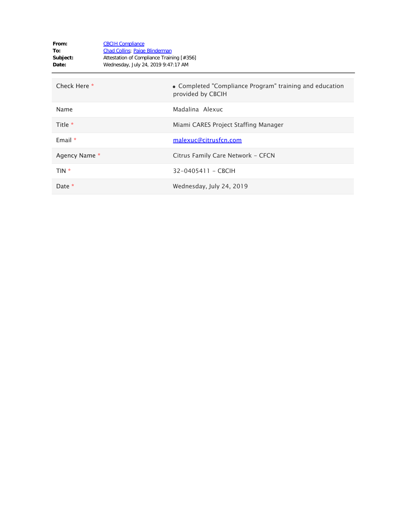| From:<br>To:<br>Subject:<br>Date: | <b>CBCIH Compliance</b><br><b>Chad Collins</b> ; Paige Blinderman<br>Attestation of Compliance Training [#356]<br>Wednesday, July 24, 2019 9:47:17 AM |                                                                              |
|-----------------------------------|-------------------------------------------------------------------------------------------------------------------------------------------------------|------------------------------------------------------------------------------|
| Check Here *                      |                                                                                                                                                       | • Completed "Compliance Program" training and education<br>provided by CBCIH |
| Name                              |                                                                                                                                                       | Madalina Alexuc                                                              |
| Title *                           |                                                                                                                                                       | Miami CARES Project Staffing Manager                                         |
| Email $*$                         |                                                                                                                                                       | malexuc@citrusfcn.com                                                        |
| Agency Name *                     |                                                                                                                                                       | Citrus Family Care Network - CFCN                                            |
| TIN *                             |                                                                                                                                                       | 32-0405411 - CBCIH                                                           |
| Date *                            |                                                                                                                                                       | Wednesday, July 24, 2019                                                     |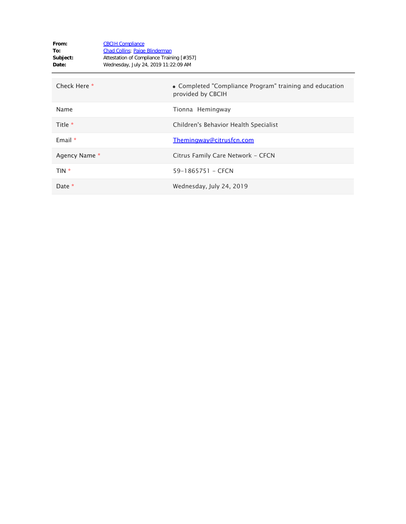| From:<br>To:<br>Subject:<br>Date: | <b>CBCIH Compliance</b><br><b>Chad Collins</b> ; Paige Blinderman<br>Attestation of Compliance Training [#357]<br>Wednesday, July 24, 2019 11:22:09 AM |                                                                              |
|-----------------------------------|--------------------------------------------------------------------------------------------------------------------------------------------------------|------------------------------------------------------------------------------|
| Check Here *                      |                                                                                                                                                        | • Completed "Compliance Program" training and education<br>provided by CBCIH |
| Name                              |                                                                                                                                                        | Tionna Hemingway                                                             |
| Title *                           |                                                                                                                                                        | Children's Behavior Health Specialist                                        |
| Email $*$                         |                                                                                                                                                        | Themingway@citrusfcn.com                                                     |
| Agency Name *                     |                                                                                                                                                        | Citrus Family Care Network - CFCN                                            |
| $TIN *$                           |                                                                                                                                                        | 59-1865751 - CFCN                                                            |
| Date *                            |                                                                                                                                                        | Wednesday, July 24, 2019                                                     |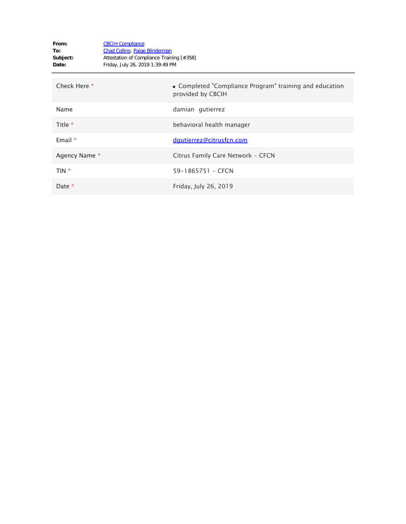| From:<br>To:<br>Subject:<br>Date: | <b>CBCIH Compliance</b><br><b>Chad Collins</b> ; Paige Blinderman<br>Attestation of Compliance Training [#358]<br>Friday, July 26, 2019 1:39:49 PM |                                                                              |
|-----------------------------------|----------------------------------------------------------------------------------------------------------------------------------------------------|------------------------------------------------------------------------------|
| Check Here *                      |                                                                                                                                                    | • Completed "Compliance Program" training and education<br>provided by CBCIH |
| Name                              |                                                                                                                                                    | damian gutierrez                                                             |
| Title *                           |                                                                                                                                                    | behavioral health manager                                                    |
| Email $*$                         |                                                                                                                                                    | dqutierrez@citrusfcn.com                                                     |
| Agency Name *                     |                                                                                                                                                    | Citrus Family Care Network - CFCN                                            |
| $TIN *$                           |                                                                                                                                                    | 59-1865751 - CFCN                                                            |
| Date $*$                          |                                                                                                                                                    | Friday, July 26, 2019                                                        |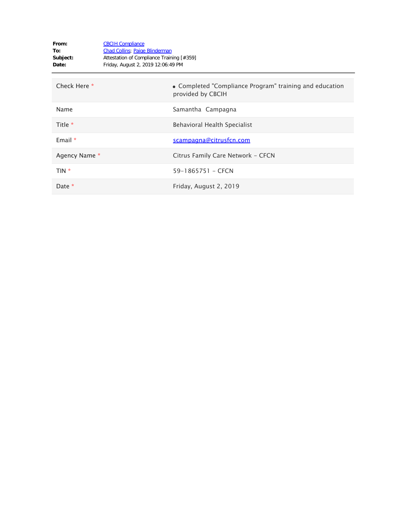| From:<br>To:<br>Subject:<br>Date: | <b>CBCIH Compliance</b><br><b>Chad Collins</b> ; Paige Blinderman<br>Attestation of Compliance Training [#359]<br>Friday, August 2, 2019 12:06:49 PM |                                                                              |
|-----------------------------------|------------------------------------------------------------------------------------------------------------------------------------------------------|------------------------------------------------------------------------------|
| Check Here *                      |                                                                                                                                                      | • Completed "Compliance Program" training and education<br>provided by CBCIH |
| Name                              |                                                                                                                                                      | Samantha Campagna                                                            |
| Title *                           |                                                                                                                                                      | Behavioral Health Specialist                                                 |
| Email *                           |                                                                                                                                                      | scampagna@citrusfcn.com                                                      |
| Agency Name *                     |                                                                                                                                                      | Citrus Family Care Network - CFCN                                            |
| $TIN *$                           |                                                                                                                                                      | 59-1865751 - CFCN                                                            |
| Date *                            |                                                                                                                                                      | Friday, August 2, 2019                                                       |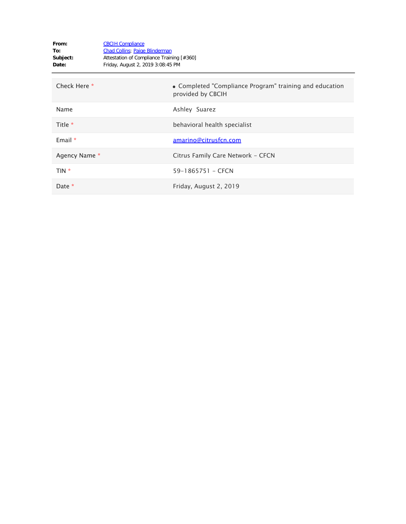| From:<br>To:<br>Subject:<br>Date: | <b>CBCIH Compliance</b><br><b>Chad Collins</b> ; Paige Blinderman<br>Attestation of Compliance Training [#360]<br>Friday, August 2, 2019 3:08:45 PM |                                                                              |
|-----------------------------------|-----------------------------------------------------------------------------------------------------------------------------------------------------|------------------------------------------------------------------------------|
| Check Here *                      |                                                                                                                                                     | • Completed "Compliance Program" training and education<br>provided by CBCIH |
| Name                              |                                                                                                                                                     | Ashley Suarez                                                                |
| Title *                           |                                                                                                                                                     | behavioral health specialist                                                 |
| Email $*$                         |                                                                                                                                                     | amarino@citrusfcn.com                                                        |
| Agency Name *                     |                                                                                                                                                     | Citrus Family Care Network - CFCN                                            |
| $TIN *$                           |                                                                                                                                                     | 59-1865751 - CFCN                                                            |
| Date *                            |                                                                                                                                                     | Friday, August 2, 2019                                                       |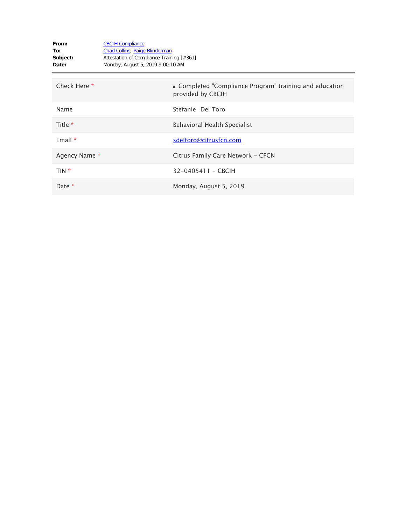| From:<br>To:<br>Subject:<br>Date: | <b>CBCIH Compliance</b><br><b>Chad Collins</b> ; Paige Blinderman<br>Attestation of Compliance Training [#361]<br>Monday, August 5, 2019 9:00:10 AM |                                                                              |
|-----------------------------------|-----------------------------------------------------------------------------------------------------------------------------------------------------|------------------------------------------------------------------------------|
| Check Here *                      |                                                                                                                                                     | • Completed "Compliance Program" training and education<br>provided by CBCIH |
| Name                              |                                                                                                                                                     | Stefanie Del Toro                                                            |
| Title *                           |                                                                                                                                                     | Behavioral Health Specialist                                                 |
| Email $*$                         |                                                                                                                                                     | sdeltoro@citrusfcn.com                                                       |
| Agency Name *                     |                                                                                                                                                     | Citrus Family Care Network - CFCN                                            |
| TIN *                             |                                                                                                                                                     | 32-0405411 - CBCIH                                                           |
| Date $*$                          |                                                                                                                                                     | Monday, August 5, 2019                                                       |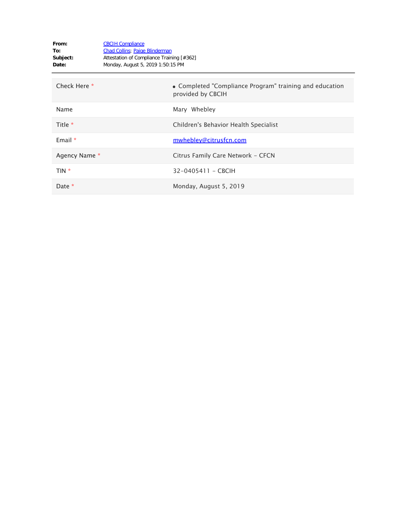| From:<br>To:<br>Subject:<br>Date: | <b>CBCIH Compliance</b><br><b>Chad Collins</b> ; Paige Blinderman<br>Attestation of Compliance Training [#362]<br>Monday, August 5, 2019 1:50:15 PM |                                                                              |
|-----------------------------------|-----------------------------------------------------------------------------------------------------------------------------------------------------|------------------------------------------------------------------------------|
| Check Here *                      |                                                                                                                                                     | • Completed "Compliance Program" training and education<br>provided by CBCIH |
| Name                              |                                                                                                                                                     | Mary Whebley                                                                 |
| Title *                           |                                                                                                                                                     | Children's Behavior Health Specialist                                        |
| Email $*$                         |                                                                                                                                                     | mwhebley@citrusfcn.com                                                       |
| Agency Name *                     |                                                                                                                                                     | Citrus Family Care Network - CFCN                                            |
| TIN *                             |                                                                                                                                                     | 32-0405411 - CBCIH                                                           |
| Date $*$                          |                                                                                                                                                     | Monday, August 5, 2019                                                       |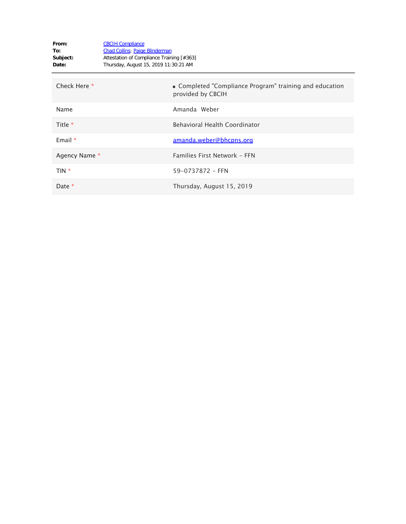| From:<br>To:<br>Subject:<br>Date: | <b>CBCIH Compliance</b><br><b>Chad Collins</b> ; Paige Blinderman<br>Attestation of Compliance Training [#363]<br>Thursday, August 15, 2019 11:30:21 AM |                                                                              |
|-----------------------------------|---------------------------------------------------------------------------------------------------------------------------------------------------------|------------------------------------------------------------------------------|
| Check Here *                      |                                                                                                                                                         | • Completed "Compliance Program" training and education<br>provided by CBCIH |
| Name                              |                                                                                                                                                         | Amanda Weber                                                                 |
| Title $*$                         |                                                                                                                                                         | <b>Behavioral Health Coordinator</b>                                         |
| Email $*$                         |                                                                                                                                                         | amanda.weber@bhcpns.org                                                      |
| Agency Name *                     |                                                                                                                                                         | Families First Network - FFN                                                 |
| TIN *                             |                                                                                                                                                         | 59-0737872 - FFN                                                             |
| Date *                            |                                                                                                                                                         | Thursday, August 15, 2019                                                    |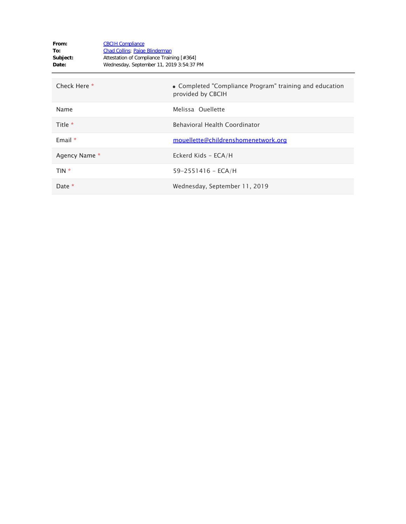| From:<br>To:<br>Subject:<br>Date: | <b>CBCIH Compliance</b><br><b>Chad Collins</b> ; Paige Blinderman<br>Attestation of Compliance Training [#364]<br>Wednesday, September 11, 2019 3:54:37 PM |                                                                              |
|-----------------------------------|------------------------------------------------------------------------------------------------------------------------------------------------------------|------------------------------------------------------------------------------|
| Check Here *                      |                                                                                                                                                            | • Completed "Compliance Program" training and education<br>provided by CBCIH |
| Name                              |                                                                                                                                                            | Melissa Ouellette                                                            |
| Title $*$                         |                                                                                                                                                            | <b>Behavioral Health Coordinator</b>                                         |
| Email $*$                         |                                                                                                                                                            | mouellette@childrenshomenetwork.org                                          |
| Agency Name *                     |                                                                                                                                                            | Eckerd Kids - ECA/H                                                          |
| TIN *                             |                                                                                                                                                            | $59 - 2551416 - ECA/H$                                                       |
| Date *                            |                                                                                                                                                            | Wednesday, September 11, 2019                                                |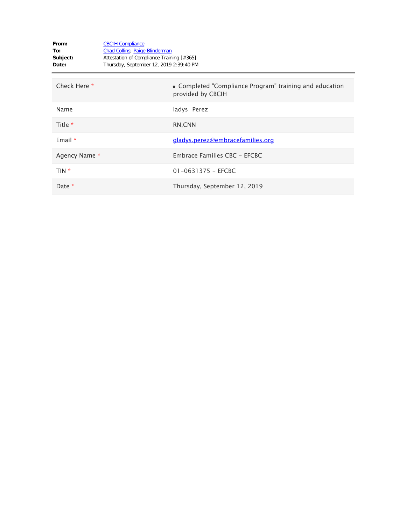| From:<br>To:<br>Subject:<br>Date: | <b>CBCIH Compliance</b><br><b>Chad Collins</b> ; Paige Blinderman<br>Attestation of Compliance Training [#365]<br>Thursday, September 12, 2019 2:39:40 PM |                                                                              |
|-----------------------------------|-----------------------------------------------------------------------------------------------------------------------------------------------------------|------------------------------------------------------------------------------|
| Check Here *                      |                                                                                                                                                           | • Completed "Compliance Program" training and education<br>provided by CBCIH |
| Name                              |                                                                                                                                                           | ladys Perez                                                                  |
| Title $*$                         |                                                                                                                                                           | RN, CNN                                                                      |
| Email $*$                         |                                                                                                                                                           | gladys.perez@embracefamilies.org                                             |
| Agency Name *                     |                                                                                                                                                           | Embrace Families CBC - EFCBC                                                 |
| TIN *                             |                                                                                                                                                           | $01 - 0631375 - EFCBC$                                                       |
| Date *                            |                                                                                                                                                           | Thursday, September 12, 2019                                                 |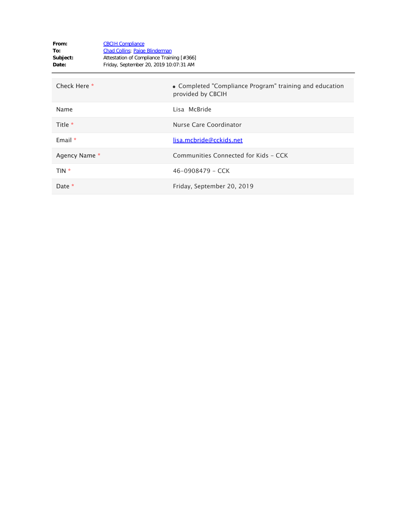| From:<br>To:<br>Subject:<br>Date: | <b>CBCIH Compliance</b><br><b>Chad Collins</b> ; Paige Blinderman<br>Attestation of Compliance Training [#366]<br>Friday, September 20, 2019 10:07:31 AM |                                                                              |
|-----------------------------------|----------------------------------------------------------------------------------------------------------------------------------------------------------|------------------------------------------------------------------------------|
| Check Here *                      |                                                                                                                                                          | • Completed "Compliance Program" training and education<br>provided by CBCIH |
| Name                              |                                                                                                                                                          | Lisa McBride                                                                 |
| Title *                           |                                                                                                                                                          | Nurse Care Coordinator                                                       |
| Email $*$                         |                                                                                                                                                          | lisa.mcbride@cckids.net                                                      |
| Agency Name *                     |                                                                                                                                                          | Communities Connected for Kids - CCK                                         |
| TIN *                             |                                                                                                                                                          | $46 - 0908479 - CCK$                                                         |
| Date *                            |                                                                                                                                                          | Friday, September 20, 2019                                                   |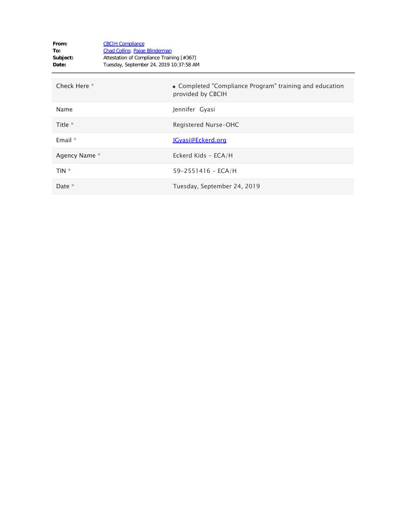| From:<br>To:<br>Subject:<br>Date: | <b>CBCIH Compliance</b><br><b>Chad Collins</b> ; Paige Blinderman<br>Attestation of Compliance Training [#367]<br>Tuesday, September 24, 2019 10:37:58 AM |                                                                              |
|-----------------------------------|-----------------------------------------------------------------------------------------------------------------------------------------------------------|------------------------------------------------------------------------------|
| Check Here *                      |                                                                                                                                                           | • Completed "Compliance Program" training and education<br>provided by CBCIH |
| Name                              |                                                                                                                                                           | Jennifer Gyasi                                                               |
| Title *                           |                                                                                                                                                           | Registered Nurse-OHC                                                         |
| Email $*$                         |                                                                                                                                                           | JGyasi@Eckerd.org                                                            |
| Agency Name *                     |                                                                                                                                                           | Eckerd Kids - ECA/H                                                          |
| TIN *                             |                                                                                                                                                           | $59 - 2551416 - ECA/H$                                                       |
| Date *                            |                                                                                                                                                           | Tuesday, September 24, 2019                                                  |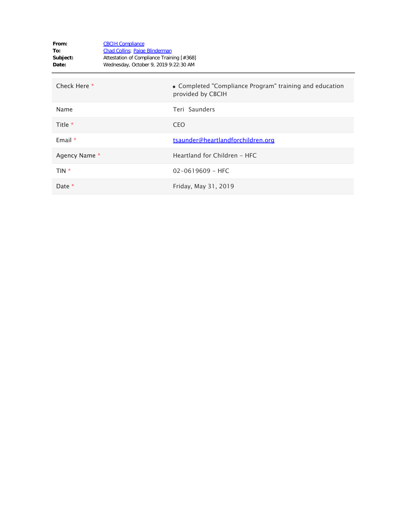| From:<br>To:<br>Subject:<br>Date: | <b>CBCIH Compliance</b><br><b>Chad Collins</b> ; Paige Blinderman<br>Attestation of Compliance Training [#368]<br>Wednesday, October 9, 2019 9:22:30 AM |                                                                              |
|-----------------------------------|---------------------------------------------------------------------------------------------------------------------------------------------------------|------------------------------------------------------------------------------|
| Check Here *                      |                                                                                                                                                         | • Completed "Compliance Program" training and education<br>provided by CBCIH |
| Name                              |                                                                                                                                                         | Teri Saunders                                                                |
| Title *                           |                                                                                                                                                         | <b>CEO</b>                                                                   |
| Email $*$                         |                                                                                                                                                         | tsaunder@heartlandforchildren.org                                            |
| Agency Name *                     |                                                                                                                                                         | Heartland for Children - HFC                                                 |
| TIN *                             |                                                                                                                                                         | $02 - 0619609 - HFC$                                                         |
| Date *                            |                                                                                                                                                         | Friday, May 31, 2019                                                         |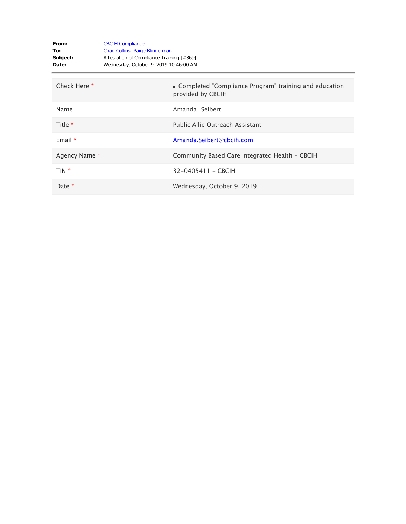| From:<br>To:<br>Subject:<br>Date: | <b>CBCIH Compliance</b><br><b>Chad Collins</b> ; Paige Blinderman<br>Attestation of Compliance Training [#369]<br>Wednesday, October 9, 2019 10:46:00 AM |                                                                              |
|-----------------------------------|----------------------------------------------------------------------------------------------------------------------------------------------------------|------------------------------------------------------------------------------|
| Check Here *                      |                                                                                                                                                          | • Completed "Compliance Program" training and education<br>provided by CBCIH |
| Name                              |                                                                                                                                                          | Amanda Seibert                                                               |
| Title *                           |                                                                                                                                                          | Public Allie Outreach Assistant                                              |
| Email $*$                         |                                                                                                                                                          | Amanda.Seibert@cbcih.com                                                     |
| Agency Name *                     |                                                                                                                                                          | Community Based Care Integrated Health - CBCIH                               |
| TIN *                             |                                                                                                                                                          | 32-0405411 - CBCIH                                                           |
| Date *                            |                                                                                                                                                          | Wednesday, October 9, 2019                                                   |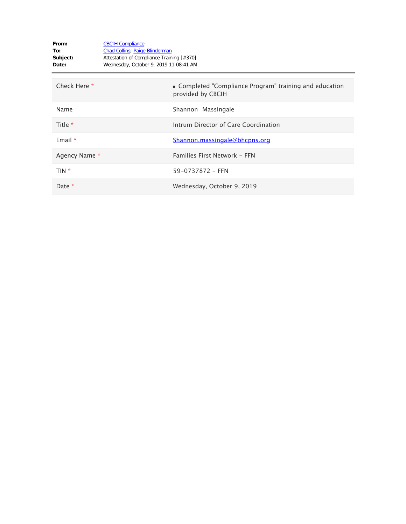| From:<br>To:<br>Subject:<br>Date: | <b>CBCIH Compliance</b><br><b>Chad Collins</b> ; Paige Blinderman<br>Attestation of Compliance Training [#370]<br>Wednesday, October 9, 2019 11:08:41 AM |                                                                              |
|-----------------------------------|----------------------------------------------------------------------------------------------------------------------------------------------------------|------------------------------------------------------------------------------|
| Check Here *                      |                                                                                                                                                          | • Completed "Compliance Program" training and education<br>provided by CBCIH |
| Name                              |                                                                                                                                                          | Shannon Massingale                                                           |
| Title *                           |                                                                                                                                                          | Intrum Director of Care Coordination                                         |
| Email $*$                         |                                                                                                                                                          | Shannon.massingale@bhcpns.org                                                |
| Agency Name *                     |                                                                                                                                                          | Families First Network - FFN                                                 |
| TIN *                             |                                                                                                                                                          | 59-0737872 - FFN                                                             |
| Date *                            |                                                                                                                                                          | Wednesday, October 9, 2019                                                   |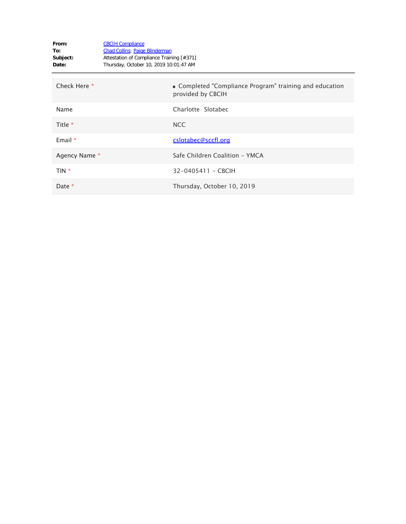| From:<br>To:<br>Subject:<br>Date: | <b>CBCIH Compliance</b><br><b>Chad Collins</b> ; Paige Blinderman<br>Attestation of Compliance Training [#371]<br>Thursday, October 10, 2019 10:01:47 AM |                                                                              |
|-----------------------------------|----------------------------------------------------------------------------------------------------------------------------------------------------------|------------------------------------------------------------------------------|
| Check Here *                      |                                                                                                                                                          | • Completed "Compliance Program" training and education<br>provided by CBCIH |
| Name                              |                                                                                                                                                          | Charlotte Slotabec                                                           |
| Title *                           |                                                                                                                                                          | <b>NCC</b>                                                                   |
| Email $*$                         |                                                                                                                                                          | cslotabec@sccfl.org                                                          |
| Agency Name *                     |                                                                                                                                                          | Safe Children Coalition - YMCA                                               |
| $TIN *$                           |                                                                                                                                                          | 32-0405411 - CBCIH                                                           |
| Date $*$                          |                                                                                                                                                          | Thursday, October 10, 2019                                                   |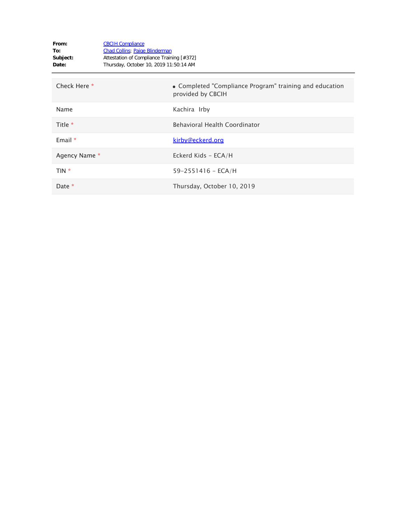| From:<br>To:<br>Subject:<br>Date: | <b>CBCIH Compliance</b><br><b>Chad Collins</b> ; Paige Blinderman<br>Attestation of Compliance Training [#372]<br>Thursday, October 10, 2019 11:50:14 AM |                                                                              |
|-----------------------------------|----------------------------------------------------------------------------------------------------------------------------------------------------------|------------------------------------------------------------------------------|
| Check Here *                      |                                                                                                                                                          | • Completed "Compliance Program" training and education<br>provided by CBCIH |
| Name                              |                                                                                                                                                          | Kachira Irby                                                                 |
| Title *                           |                                                                                                                                                          | <b>Behavioral Health Coordinator</b>                                         |
| Email *                           |                                                                                                                                                          | kirby@eckerd.org                                                             |
| Agency Name *                     |                                                                                                                                                          | Eckerd Kids - ECA/H                                                          |
| TIN *                             |                                                                                                                                                          | $59 - 2551416 - ECA/H$                                                       |
| Date *                            |                                                                                                                                                          | Thursday, October 10, 2019                                                   |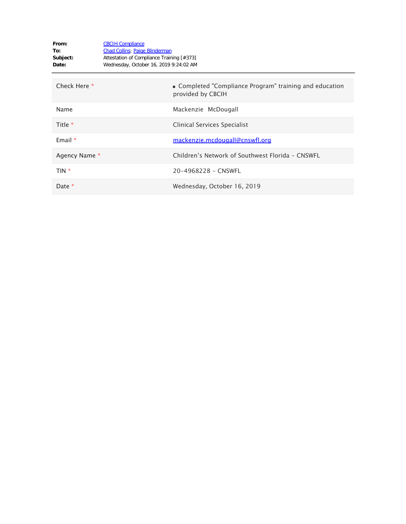| From:<br>To:<br>Subject:<br>Date: | <b>CBCIH Compliance</b><br><b>Chad Collins</b> ; Paige Blinderman<br>Attestation of Compliance Training [#373]<br>Wednesday, October 16, 2019 9:24:02 AM |                                                                              |
|-----------------------------------|----------------------------------------------------------------------------------------------------------------------------------------------------------|------------------------------------------------------------------------------|
| Check Here *                      |                                                                                                                                                          | • Completed "Compliance Program" training and education<br>provided by CBCIH |
| Name                              |                                                                                                                                                          | Mackenzie McDougall                                                          |
| Title *                           |                                                                                                                                                          | Clinical Services Specialist                                                 |
| Email $*$                         |                                                                                                                                                          | mackenzie.mcdougall@cnswfl.org                                               |
| Agency Name *                     |                                                                                                                                                          | Children's Network of Southwest Florida - CNSWFL                             |
| TIN *                             |                                                                                                                                                          | 20-4968228 - CNSWFL                                                          |
| Date *                            |                                                                                                                                                          | Wednesday, October 16, 2019                                                  |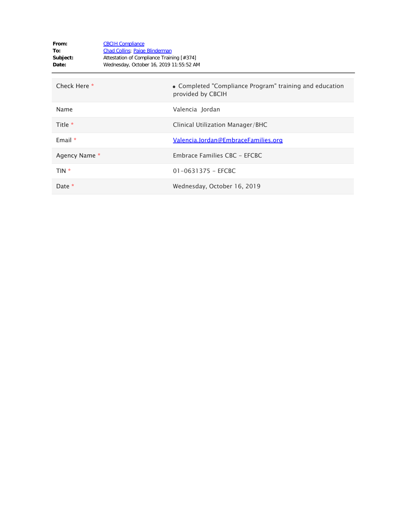| From:<br>To:<br>Subject:<br>Date: | <b>CBCIH Compliance</b><br><b>Chad Collins</b> ; Paige Blinderman<br>Attestation of Compliance Training [#374]<br>Wednesday, October 16, 2019 11:55:52 AM |                                                                              |
|-----------------------------------|-----------------------------------------------------------------------------------------------------------------------------------------------------------|------------------------------------------------------------------------------|
| Check Here *                      |                                                                                                                                                           | • Completed "Compliance Program" training and education<br>provided by CBCIH |
| Name                              |                                                                                                                                                           | Valencia Jordan                                                              |
| Title $*$                         |                                                                                                                                                           | Clinical Utilization Manager/BHC                                             |
| Email $*$                         |                                                                                                                                                           | <u>Valencia.Jordan@EmbraceFamilies.org</u>                                   |
| Agency Name *                     |                                                                                                                                                           | Embrace Families CBC - EFCBC                                                 |
| $TIN *$                           |                                                                                                                                                           | $01 - 0631375 - EFCBC$                                                       |
| Date *                            |                                                                                                                                                           | Wednesday, October 16, 2019                                                  |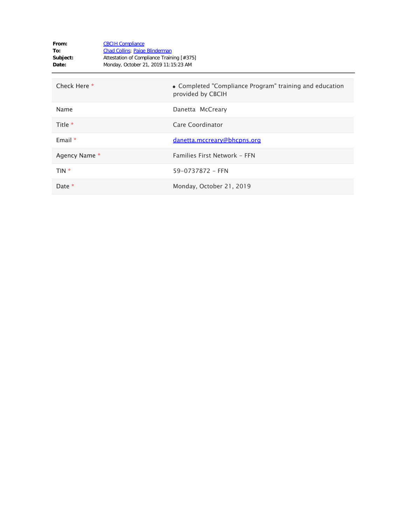| From:<br>To:<br>Subject:<br>Date: | <b>CBCIH Compliance</b><br><b>Chad Collins</b> ; Paige Blinderman<br>Attestation of Compliance Training [#375]<br>Monday, October 21, 2019 11:15:23 AM |                                                                              |
|-----------------------------------|--------------------------------------------------------------------------------------------------------------------------------------------------------|------------------------------------------------------------------------------|
| Check Here *                      |                                                                                                                                                        | • Completed "Compliance Program" training and education<br>provided by CBCIH |
| Name                              |                                                                                                                                                        | Danetta McCreary                                                             |
| Title *                           |                                                                                                                                                        | Care Coordinator                                                             |
| Email $*$                         |                                                                                                                                                        | danetta.mccreary@bhcpns.org                                                  |
| Agency Name *                     |                                                                                                                                                        | Families First Network - FFN                                                 |
| TIN *                             |                                                                                                                                                        | 59-0737872 - FFN                                                             |
| Date *                            |                                                                                                                                                        | Monday, October 21, 2019                                                     |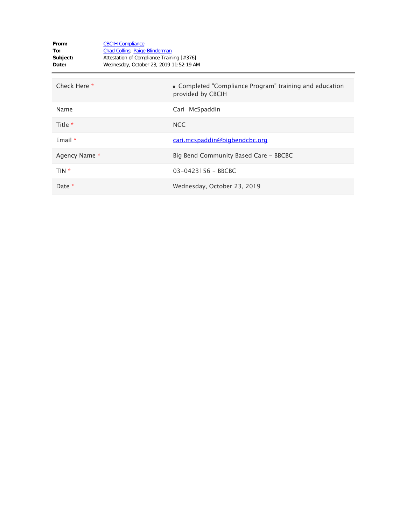| From:<br>To:<br>Subject:<br>Date: | <b>CBCIH Compliance</b><br><b>Chad Collins</b> ; Paige Blinderman<br>Attestation of Compliance Training [#376]<br>Wednesday, October 23, 2019 11:52:19 AM |                                                                              |
|-----------------------------------|-----------------------------------------------------------------------------------------------------------------------------------------------------------|------------------------------------------------------------------------------|
| Check Here *                      |                                                                                                                                                           | • Completed "Compliance Program" training and education<br>provided by CBCIH |
| Name                              |                                                                                                                                                           | Cari McSpaddin                                                               |
| Title *                           |                                                                                                                                                           | NCC                                                                          |
| Email $*$                         |                                                                                                                                                           | cari.mcspaddin@bigbendcbc.org                                                |
| Agency Name *                     |                                                                                                                                                           | Big Bend Community Based Care - BBCBC                                        |
| TIN *                             |                                                                                                                                                           | 03-0423156 - BBCBC                                                           |
| Date *                            |                                                                                                                                                           | Wednesday, October 23, 2019                                                  |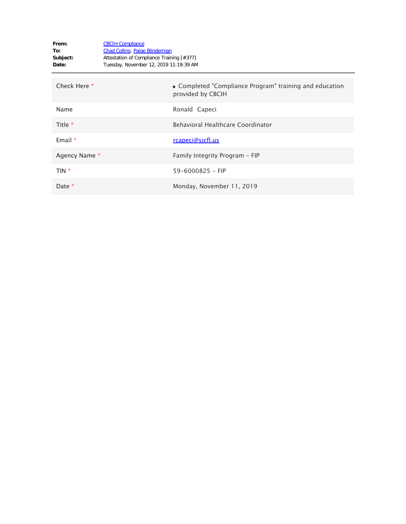| From:<br>To:<br>Subject:<br>Date: | <b>CBCIH Compliance</b><br><b>Chad Collins</b> ; Paige Blinderman<br>Attestation of Compliance Training [#377]<br>Tuesday, November 12, 2019 11:19:39 AM |                                                                              |
|-----------------------------------|----------------------------------------------------------------------------------------------------------------------------------------------------------|------------------------------------------------------------------------------|
| Check Here *                      |                                                                                                                                                          | • Completed "Compliance Program" training and education<br>provided by CBCIH |
| Name                              |                                                                                                                                                          | Ronald Capeci                                                                |
| Title $*$                         |                                                                                                                                                          | Behavioral Healthcare Coordinator                                            |
| Email $*$                         |                                                                                                                                                          | <u>rcapeci@sicfl.us</u>                                                      |
| Agency Name *                     |                                                                                                                                                          | Family Integrity Program - FIP                                               |
| TIN *                             |                                                                                                                                                          | $59 - 6000825 - FIP$                                                         |
| Date *                            |                                                                                                                                                          | Monday, November 11, 2019                                                    |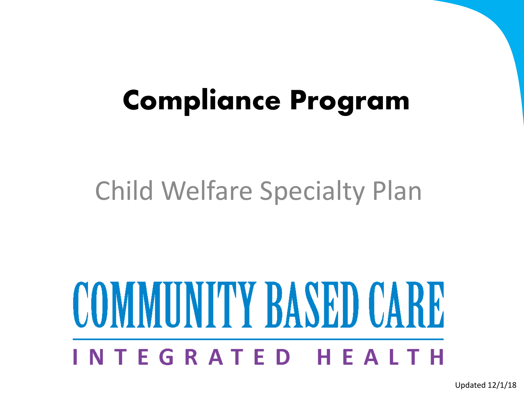## **Compliance Program**

### Child Welfare Specialty Plan

# **COMMUNITY BASED CARE** NTEGRATED HEALTH

Updated 12/1/18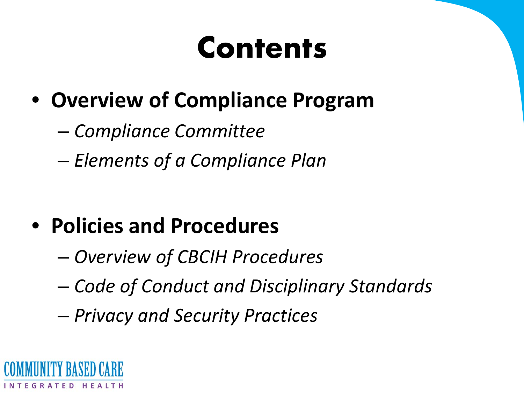## **Contents**

- **Overview of Compliance Program**
	- *Compliance Committee*
	- *Elements of a Compliance Plan*

#### • **Policies and Procedures**

- *Overview of CBCIH Procedures*
- *Code of Conduct and Disciplinary Standards*
- *Privacy and Security Practices*

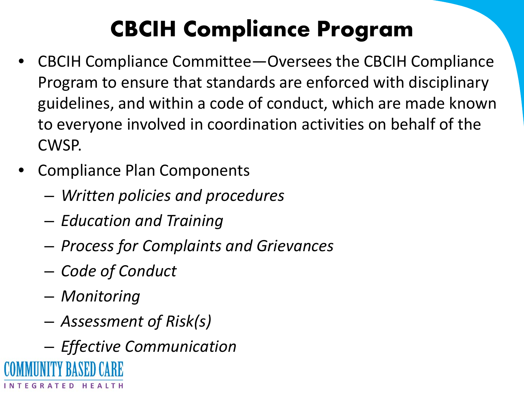# **CBCIH Compliance Program**

- CBCIH Compliance Committee—Oversees the CBCIH Compliance Program to ensure that standards are enforced with disciplinary guidelines, and within a code of conduct, which are made known to everyone involved in coordination activities on behalf of the CWSP.
- Compliance Plan Components
	- *Written policies and procedures*
	- *Education and Training*
	- *Process for Complaints and Grievances*
	- *Code of Conduct*
	- *Monitoring*
	- *Assessment of Risk(s)*
- *Effective Communication*INTEGRATED HEALTH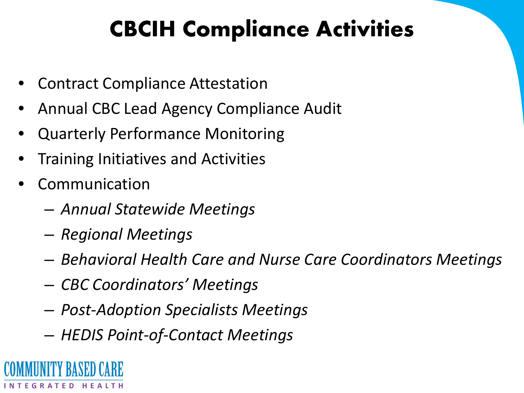### **CBCIH Compliance Activities**

- Contract Compliance Attestation
- Annual CBC Lead Agency Compliance Audit
- Quarterly Performance Monitoring
- Training Initiatives and Activities
- **Communication** 
	- *Annual Statewide Meetings*
	- *Regional Meetings*
	- *Behavioral Health Care and Nurse Care Coordinators Meetings*
	- *CBC Coordinators' Meetings*
	- *Post-Adoption Specialists Meetings*
	- *HEDIS Point-of-Contact Meetings*

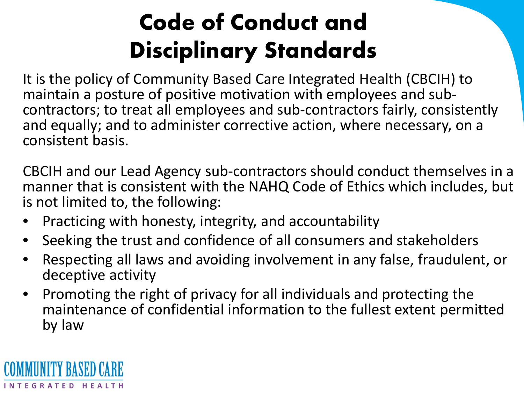## **Code of Conduct and Disciplinary Standards**

It is the policy of Community Based Care Integrated Health (CBCIH) to<br>maintain a posture of positive motivation with employees and subcontractors; to treat all employees and sub-contractors fairly, consistently and equally; and to administer corrective action, where necessary, on a consistent basis.

CBCIH and our Lead Agency sub-contractors should conduct themselves in a manner that is consistent with the NAHQ Code of Ethics which includes, but is not limited to, the following:

- Practicing with honesty, integrity, and accountability
- Seeking the trust and confidence of all consumers and stakeholders
- Respecting all laws and avoiding involvement in any false, fraudulent, or deceptive activity
- Promoting the right of privacy for all individuals and protecting the maintenance of confidential information to the fullest extent permitted by law

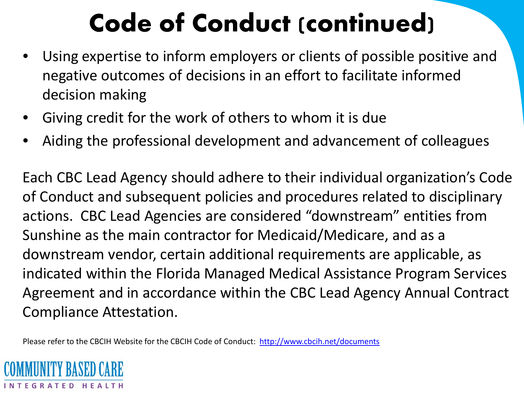# **Code of Conduct (continued)**

- Using expertise to inform employers or clients of possible positive and negative outcomes of decisions in an effort to facilitate informed decision making
- Giving credit for the work of others to whom it is due
- Aiding the professional development and advancement of colleagues

Each CBC Lead Agency should adhere to their individual organization's Code of Conduct and subsequent policies and procedures related to disciplinary actions. CBC Lead Agencies are considered "downstream" entities from Sunshine as the main contractor for Medicaid/Medicare, and as a downstream vendor, certain additional requirements are applicable, as indicated within the Florida Managed Medical Assistance Program Services Agreement and in accordance within the CBC Lead Agency Annual Contract Compliance Attestation.

Please refer to the CBCIH Website for the CBCIH Code of Conduct: <http://www.cbcih.net/documents>

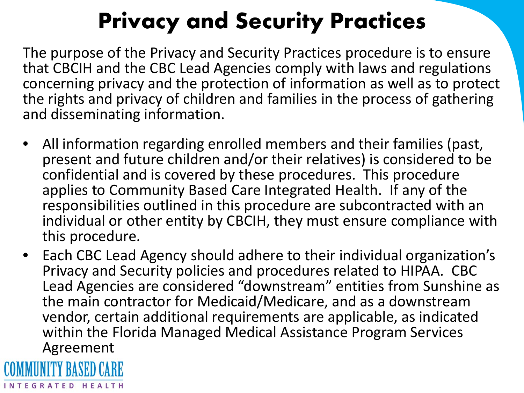### **Privacy and Security Practices**

The purpose of the Privacy and Security Practices procedure is to ensure that CBCIH and the CBC Lead Agencies comply with laws and regulations concerning privacy and the protection of information as well as to protect the rights and privacy of children and families in the process of gathering and disseminating information.

- All information regarding enrolled members and their families (past, present and future children and/or their relatives) is considered to be confidential and is covered by these procedures. This procedure applies to Community Based Care Integrated Health. If any of the responsibilities outlined in this procedure are subcontracted with an individual or other entity by CBCIH, they must ensure compliance with this procedure.
- Each CBC Lead Agency should adhere to their individual organization's Privacy and Security policies and procedures related to HIPAA. CBC Lead Agencies are considered "downstream" entities from Sunshine as the main contractor for Medicaid/Medicare, and as a downstream vendor, certain additional requirements are applicable, as indicated within the Florida Managed Medical Assistance Program Services Agreement

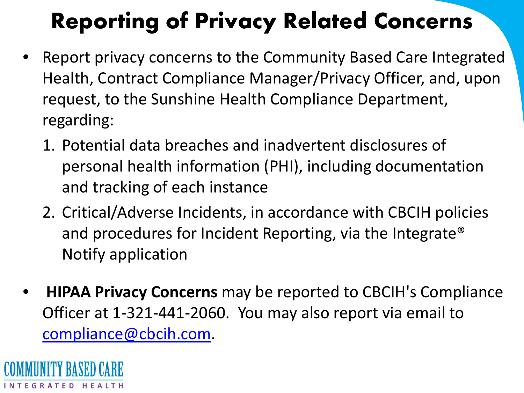# **Reporting of Privacy Related Concerns**

- Report privacy concerns to the Community Based Care Integrated Health, Contract Compliance Manager/Privacy Officer, and, upon request, to the Sunshine Health Compliance Department, regarding:
	- 1. Potential data breaches and inadvertent disclosures of personal health information (PHI), including documentation and tracking of each instance
	- 2. Critical/Adverse Incidents, in accordance with CBCIH policies and procedures for Incident Reporting, via the Integrate® Notify application
- **HIPAA Privacy Concerns** may be reported to CBCIH's Compliance Officer at 1-321-441-2060. You may also report via email to [compliance@cbcih.com](mailto:compliance@cbcih.com?subject=Compliance%20report).

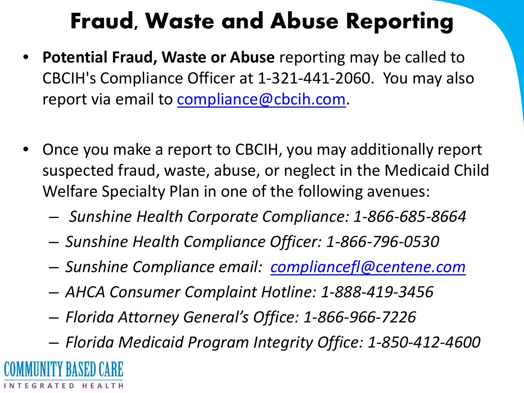#### **Fraud, Waste and Abuse Reporting**

- **Potential Fraud, Waste or Abuse** reporting may be called to CBCIH's Compliance Officer at 1-321-441-2060. You may also report via email to [compliance@cbcih.com](mailto:compliance@cbcih.com?subject=Compliance%20report).
- Once you make a report to CBCIH, you may additionally report suspected fraud, waste, abuse, or neglect in the Medicaid Child Welfare Specialty Plan in one of the following avenues:
	- *Sunshine Health Corporate Compliance: 1-866-685-8664*
	- *Sunshine Health Compliance Officer: 1-866-796-0530*
	- *Sunshine Compliance email: [compliancefl@centene.com](mailto:compliancefl@centene.com?subject=FL%20Medicaid%20CWSP%20Fraud-Waste-Abuse)*
	- *AHCA Consumer Complaint Hotline: 1-888-419-3456*
	- *Florida Attorney General's Office: 1-866-966-7226*
	- *Florida Medicaid Program Integrity Office: 1-850-412-4600*

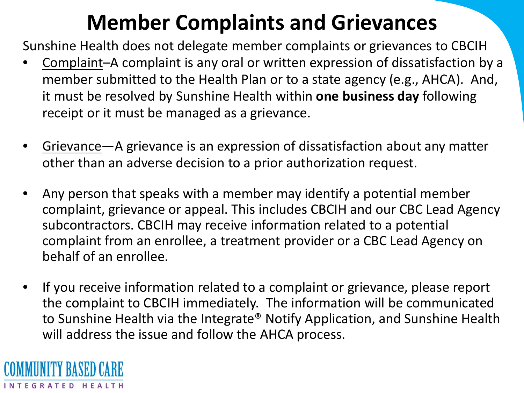#### **Member Complaints and Grievances**

Sunshine Health does not delegate member complaints or grievances to CBCIH

- Complaint–A complaint is any oral or written expression of dissatisfaction by a member submitted to the Health Plan or to a state agency (e.g., AHCA). And, it must be resolved by Sunshine Health within **one business day** following receipt or it must be managed as a grievance.
- Grievance—A grievance is an expression of dissatisfaction about any matter other than an adverse decision to a prior authorization request.
- Any person that speaks with a member may identify a potential member complaint, grievance or appeal. This includes CBCIH and our CBC Lead Agency subcontractors. CBCIH may receive information related to a potential complaint from an enrollee, a treatment provider or a CBC Lead Agency on behalf of an enrollee.
- If you receive information related to a complaint or grievance, please report the complaint to CBCIH immediately. The information will be communicated to Sunshine Health via the Integrate® Notify Application, and Sunshine Health will address the issue and follow the AHCA process.